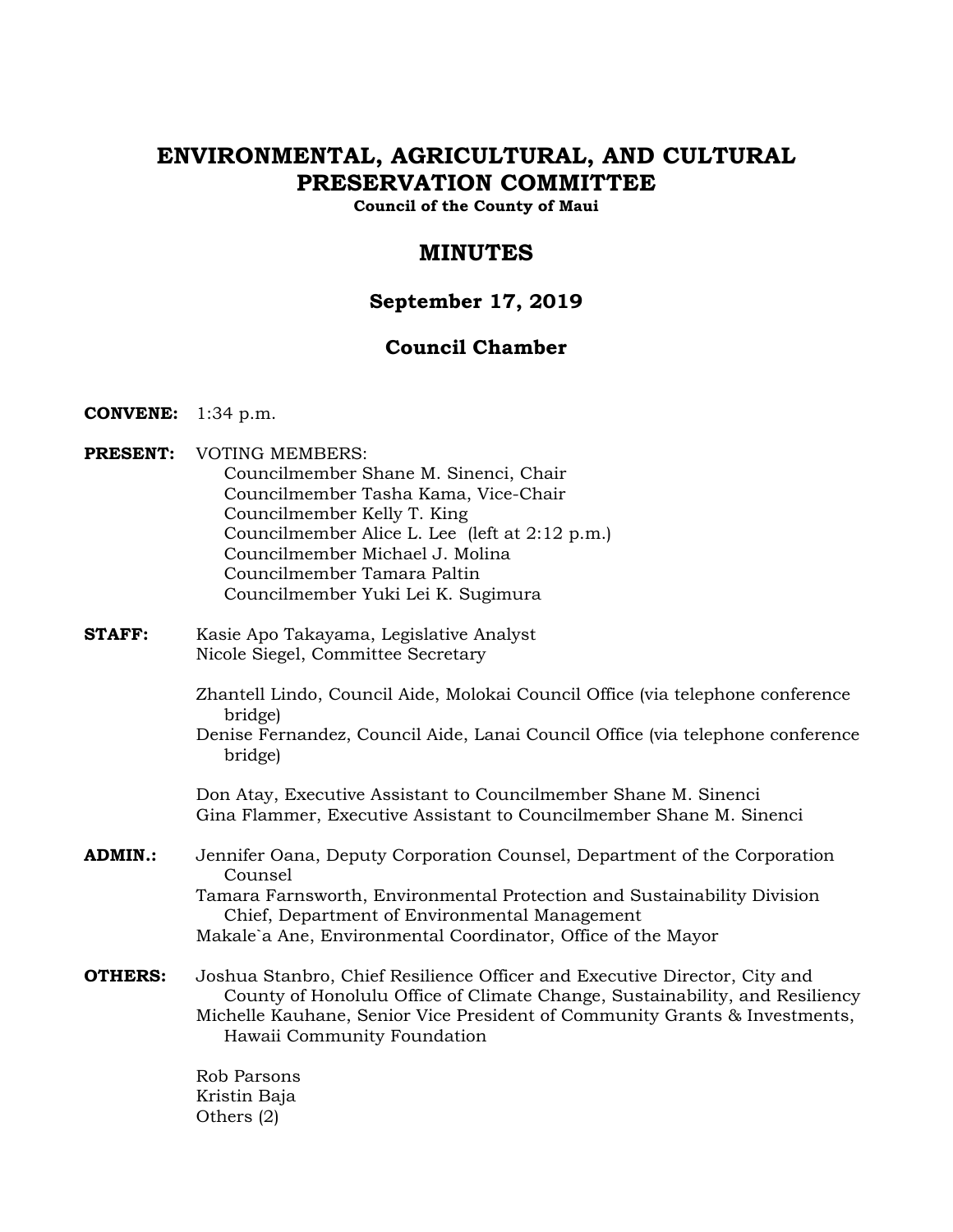# **ENVIRONMENTAL, AGRICULTURAL, AND CULTURAL PRESERVATION COMMITTEE**

**Council of the County of Maui** 

## **MINUTES**

## **September 17, 2019**

## **Council Chamber**

- **CONVENE:** 1:34 p.m.
- **PRESENT:** VOTING MEMBERS: Councilmember Shane M. Sinenci, Chair Councilmember Tasha Kama, Vice-Chair Councilmember Kelly T. King Councilmember Alice L. Lee (left at 2:12 p.m.) Councilmember Michael J. Molina Councilmember Tamara Paltin Councilmember Yuki Lei K. Sugimura
- **STAFF:** Kasie Apo Takayama, Legislative Analyst Nicole Siegel, Committee Secretary
	- Zhantell Lindo, Council Aide, Molokai Council Office (via telephone conference bridge)
	- Denise Fernandez, Council Aide, Lanai Council Office (via telephone conference bridge)

Don Atay, Executive Assistant to Councilmember Shane M. Sinenci Gina Flammer, Executive Assistant to Councilmember Shane M. Sinenci

- **ADMIN.:** Jennifer Oana, Deputy Corporation Counsel, Department of the Corporation Counsel Tamara Farnsworth, Environmental Protection and Sustainability Division Chief, Department of Environmental Management Makale`a Ane, Environmental Coordinator, Office of the Mayor
- **OTHERS:** Joshua Stanbro, Chief Resilience Officer and Executive Director, City and County of Honolulu Office of Climate Change, Sustainability, and Resiliency Michelle Kauhane, Senior Vice President of Community Grants & Investments, Hawaii Community Foundation

Rob Parsons Kristin Baja Others (2)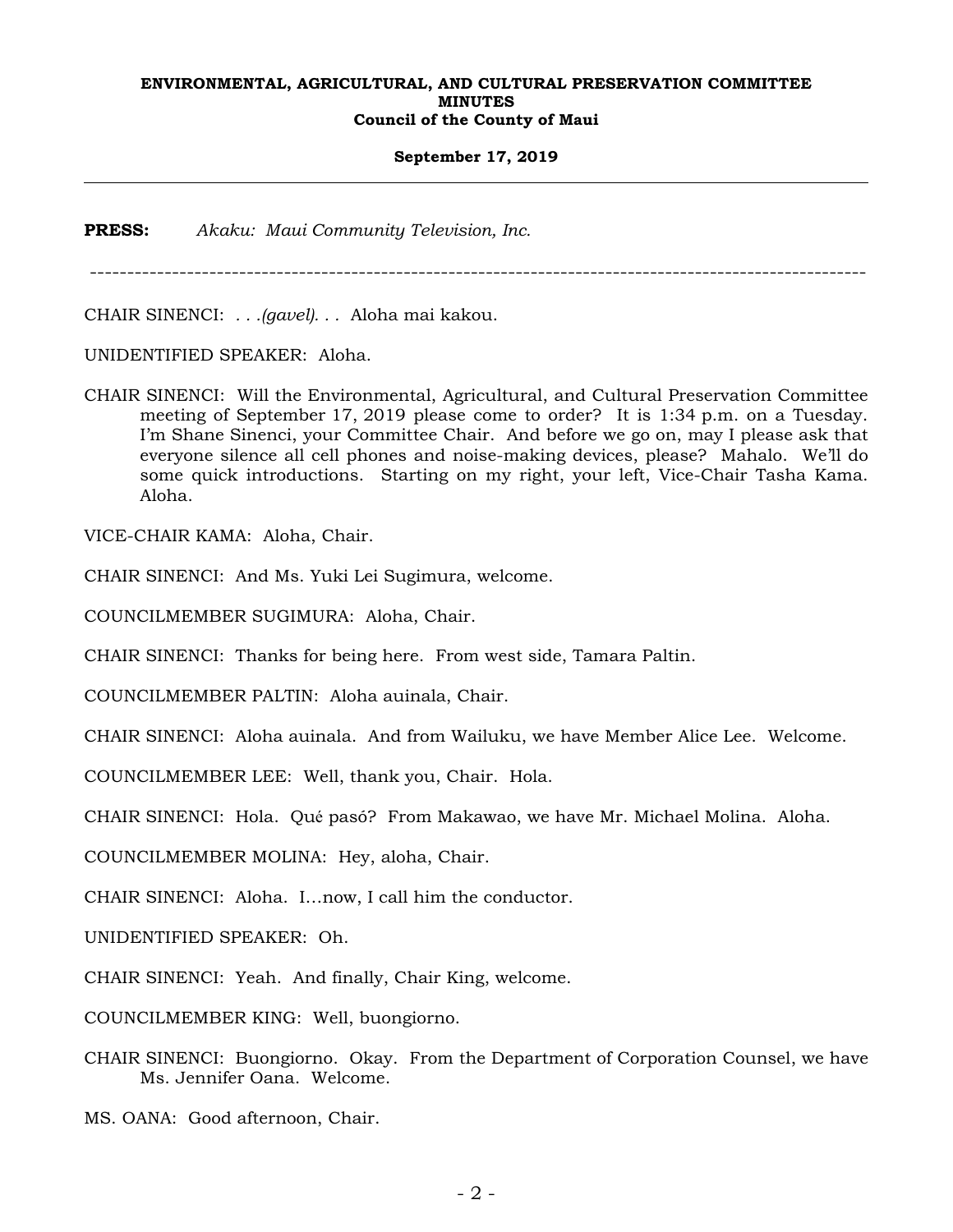## **September 17, 2019**

**PRESS:** *Akaku: Maui Community Television, Inc.*

--------------------------------------------------------------------------------------------------------

CHAIR SINENCI: *. . .(gavel). . .* Aloha mai kakou.

UNIDENTIFIED SPEAKER: Aloha.

CHAIR SINENCI: Will the Environmental, Agricultural, and Cultural Preservation Committee meeting of September 17, 2019 please come to order? It is 1:34 p.m. on a Tuesday. I'm Shane Sinenci, your Committee Chair. And before we go on, may I please ask that everyone silence all cell phones and noise-making devices, please? Mahalo. We'll do some quick introductions. Starting on my right, your left, Vice-Chair Tasha Kama. Aloha.

VICE-CHAIR KAMA: Aloha, Chair.

CHAIR SINENCI: And Ms. Yuki Lei Sugimura, welcome.

COUNCILMEMBER SUGIMURA: Aloha, Chair.

CHAIR SINENCI: Thanks for being here. From west side, Tamara Paltin.

COUNCILMEMBER PALTIN: Aloha auinala, Chair.

CHAIR SINENCI: Aloha auinala. And from Wailuku, we have Member Alice Lee. Welcome.

COUNCILMEMBER LEE: Well, thank you, Chair. Hola.

CHAIR SINENCI: Hola. Qué pasó? From Makawao, we have Mr. Michael Molina. Aloha.

COUNCILMEMBER MOLINA: Hey, aloha, Chair.

CHAIR SINENCI: Aloha. I…now, I call him the conductor.

UNIDENTIFIED SPEAKER: Oh.

CHAIR SINENCI: Yeah. And finally, Chair King, welcome.

COUNCILMEMBER KING: Well, buongiorno.

CHAIR SINENCI: Buongiorno. Okay. From the Department of Corporation Counsel, we have Ms. Jennifer Oana. Welcome.

MS. OANA: Good afternoon, Chair.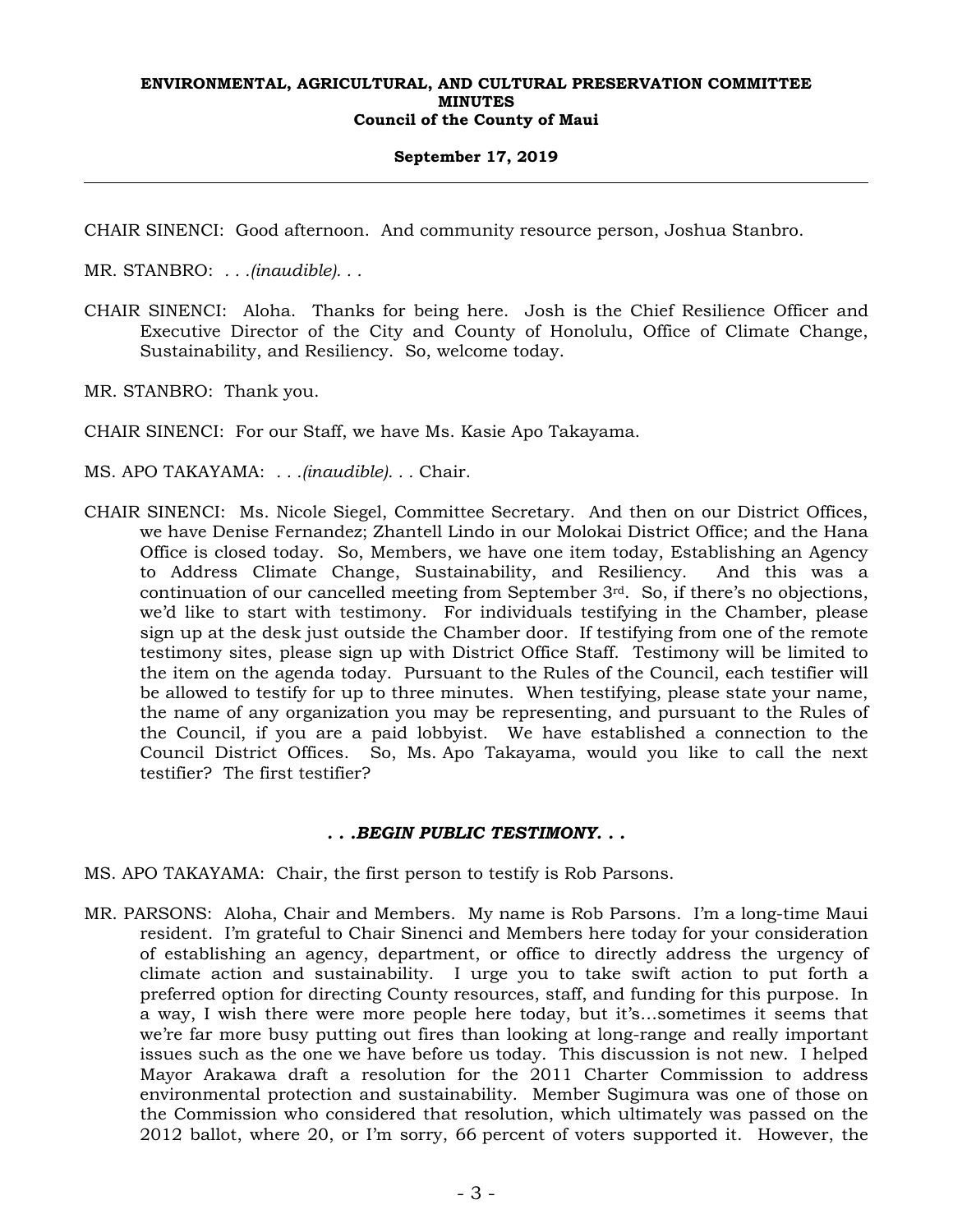## **September 17, 2019**

CHAIR SINENCI: Good afternoon. And community resource person, Joshua Stanbro.

MR. STANBRO: *. . .(inaudible). . .*

CHAIR SINENCI: Aloha. Thanks for being here. Josh is the Chief Resilience Officer and Executive Director of the City and County of Honolulu, Office of Climate Change, Sustainability, and Resiliency. So, welcome today.

MR. STANBRO: Thank you.

CHAIR SINENCI: For our Staff, we have Ms. Kasie Apo Takayama.

MS. APO TAKAYAMA: *. . .(inaudible). . .* Chair.

CHAIR SINENCI: Ms. Nicole Siegel, Committee Secretary. And then on our District Offices, we have Denise Fernandez; Zhantell Lindo in our Molokai District Office; and the Hana Office is closed today. So, Members, we have one item today, Establishing an Agency to Address Climate Change, Sustainability, and Resiliency. And this was a continuation of our cancelled meeting from September 3rd. So, if there's no objections, we'd like to start with testimony. For individuals testifying in the Chamber, please sign up at the desk just outside the Chamber door. If testifying from one of the remote testimony sites, please sign up with District Office Staff. Testimony will be limited to the item on the agenda today. Pursuant to the Rules of the Council, each testifier will be allowed to testify for up to three minutes. When testifying, please state your name, the name of any organization you may be representing, and pursuant to the Rules of the Council, if you are a paid lobbyist. We have established a connection to the Council District Offices. So, Ms. Apo Takayama, would you like to call the next testifier? The first testifier?

## *. . .BEGIN PUBLIC TESTIMONY. . .*

- MS. APO TAKAYAMA: Chair, the first person to testify is Rob Parsons.
- MR. PARSONS: Aloha, Chair and Members. My name is Rob Parsons. I'm a long-time Maui resident. I'm grateful to Chair Sinenci and Members here today for your consideration of establishing an agency, department, or office to directly address the urgency of climate action and sustainability. I urge you to take swift action to put forth a preferred option for directing County resources, staff, and funding for this purpose. In a way, I wish there were more people here today, but it's…sometimes it seems that we're far more busy putting out fires than looking at long-range and really important issues such as the one we have before us today. This discussion is not new. I helped Mayor Arakawa draft a resolution for the 2011 Charter Commission to address environmental protection and sustainability. Member Sugimura was one of those on the Commission who considered that resolution, which ultimately was passed on the 2012 ballot, where 20, or I'm sorry, 66 percent of voters supported it. However, the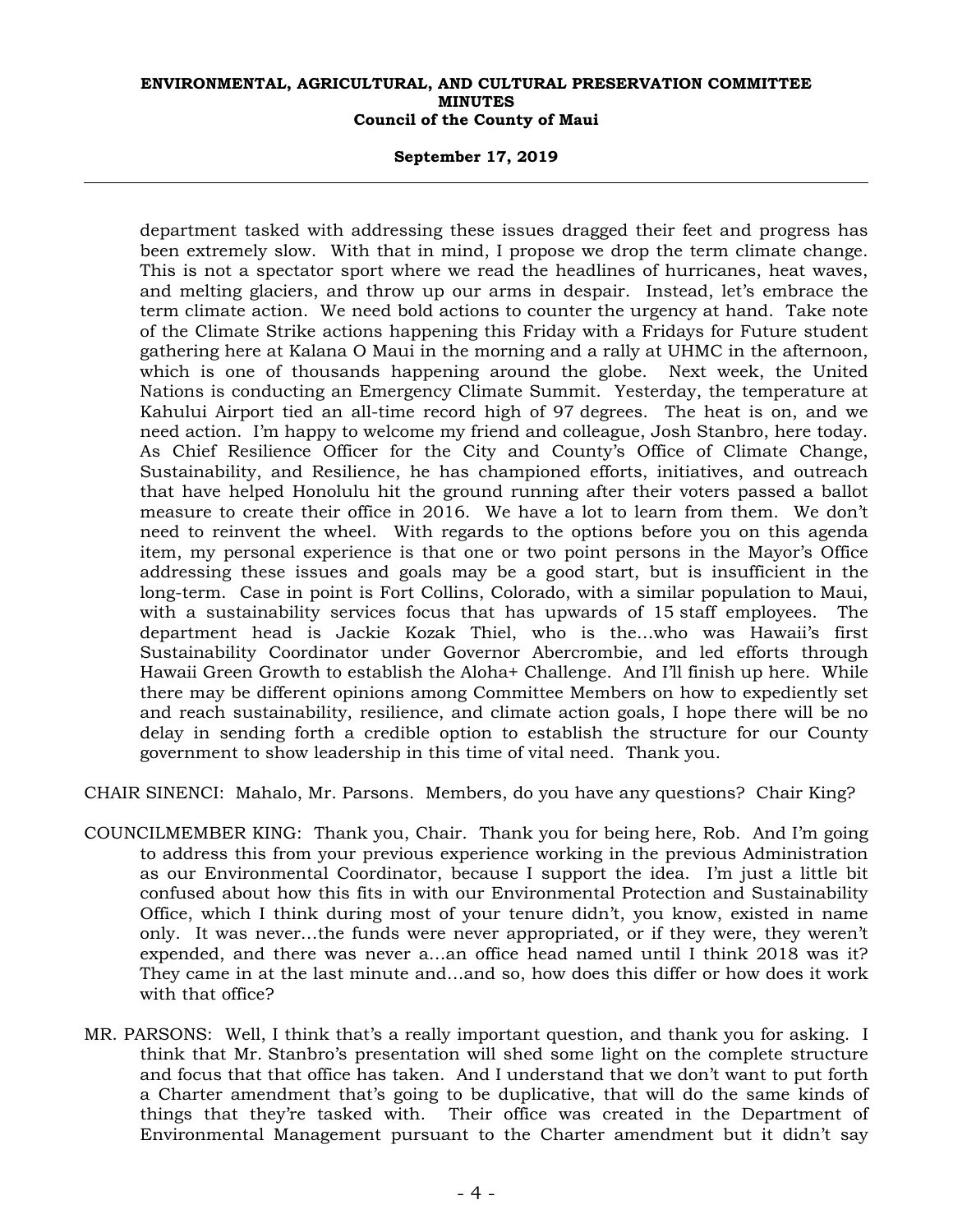## **September 17, 2019**

department tasked with addressing these issues dragged their feet and progress has been extremely slow. With that in mind, I propose we drop the term climate change. This is not a spectator sport where we read the headlines of hurricanes, heat waves, and melting glaciers, and throw up our arms in despair. Instead, let's embrace the term climate action. We need bold actions to counter the urgency at hand. Take note of the Climate Strike actions happening this Friday with a Fridays for Future student gathering here at Kalana O Maui in the morning and a rally at UHMC in the afternoon, which is one of thousands happening around the globe. Next week, the United Nations is conducting an Emergency Climate Summit. Yesterday, the temperature at Kahului Airport tied an all-time record high of 97 degrees. The heat is on, and we need action. I'm happy to welcome my friend and colleague, Josh Stanbro, here today. As Chief Resilience Officer for the City and County's Office of Climate Change, Sustainability, and Resilience, he has championed efforts, initiatives, and outreach that have helped Honolulu hit the ground running after their voters passed a ballot measure to create their office in 2016. We have a lot to learn from them. We don't need to reinvent the wheel. With regards to the options before you on this agenda item, my personal experience is that one or two point persons in the Mayor's Office addressing these issues and goals may be a good start, but is insufficient in the long-term. Case in point is Fort Collins, Colorado, with a similar population to Maui, with a sustainability services focus that has upwards of 15 staff employees. The department head is Jackie Kozak Thiel, who is the…who was Hawaii's first Sustainability Coordinator under Governor Abercrombie, and led efforts through Hawaii Green Growth to establish the Aloha+ Challenge. And I'll finish up here. While there may be different opinions among Committee Members on how to expediently set and reach sustainability, resilience, and climate action goals, I hope there will be no delay in sending forth a credible option to establish the structure for our County government to show leadership in this time of vital need. Thank you.

CHAIR SINENCI: Mahalo, Mr. Parsons. Members, do you have any questions? Chair King?

- COUNCILMEMBER KING: Thank you, Chair. Thank you for being here, Rob. And I'm going to address this from your previous experience working in the previous Administration as our Environmental Coordinator, because I support the idea. I'm just a little bit confused about how this fits in with our Environmental Protection and Sustainability Office, which I think during most of your tenure didn't, you know, existed in name only. It was never…the funds were never appropriated, or if they were, they weren't expended, and there was never a…an office head named until I think 2018 was it? They came in at the last minute and…and so, how does this differ or how does it work with that office?
- MR. PARSONS: Well, I think that's a really important question, and thank you for asking. I think that Mr. Stanbro's presentation will shed some light on the complete structure and focus that that office has taken. And I understand that we don't want to put forth a Charter amendment that's going to be duplicative, that will do the same kinds of things that they're tasked with. Their office was created in the Department of Environmental Management pursuant to the Charter amendment but it didn't say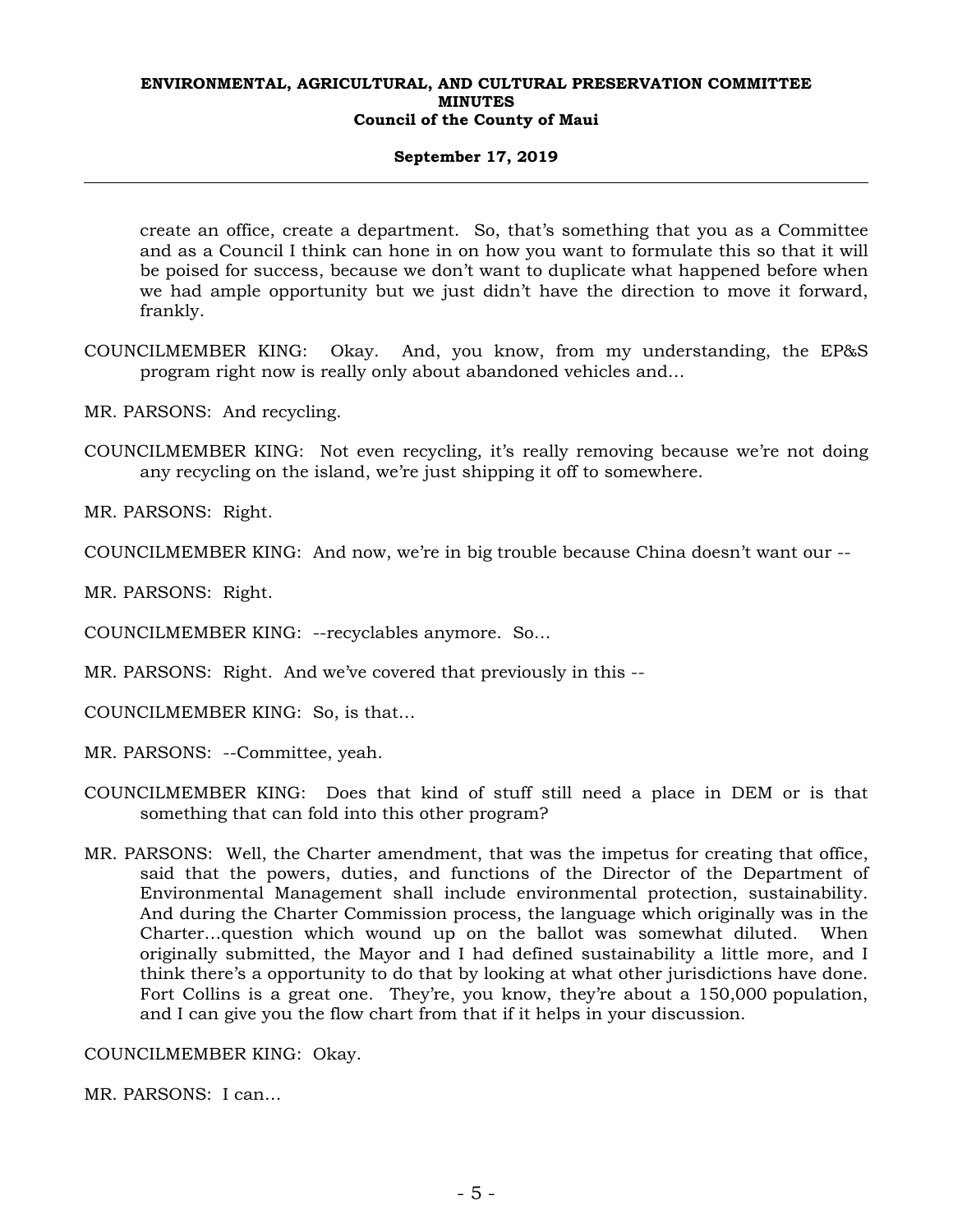## **September 17, 2019**

create an office, create a department. So, that's something that you as a Committee and as a Council I think can hone in on how you want to formulate this so that it will be poised for success, because we don't want to duplicate what happened before when we had ample opportunity but we just didn't have the direction to move it forward, frankly.

- COUNCILMEMBER KING: Okay. And, you know, from my understanding, the EP&S program right now is really only about abandoned vehicles and…
- MR. PARSONS: And recycling.
- COUNCILMEMBER KING: Not even recycling, it's really removing because we're not doing any recycling on the island, we're just shipping it off to somewhere.

MR. PARSONS: Right.

COUNCILMEMBER KING: And now, we're in big trouble because China doesn't want our --

MR. PARSONS: Right.

COUNCILMEMBER KING: --recyclables anymore. So…

MR. PARSONS: Right. And we've covered that previously in this --

COUNCILMEMBER KING: So, is that…

MR. PARSONS: --Committee, yeah.

- COUNCILMEMBER KING: Does that kind of stuff still need a place in DEM or is that something that can fold into this other program?
- MR. PARSONS: Well, the Charter amendment, that was the impetus for creating that office, said that the powers, duties, and functions of the Director of the Department of Environmental Management shall include environmental protection, sustainability. And during the Charter Commission process, the language which originally was in the Charter…question which wound up on the ballot was somewhat diluted. When originally submitted, the Mayor and I had defined sustainability a little more, and I think there's a opportunity to do that by looking at what other jurisdictions have done. Fort Collins is a great one. They're, you know, they're about a 150,000 population, and I can give you the flow chart from that if it helps in your discussion.

COUNCILMEMBER KING: Okay.

MR. PARSONS: I can…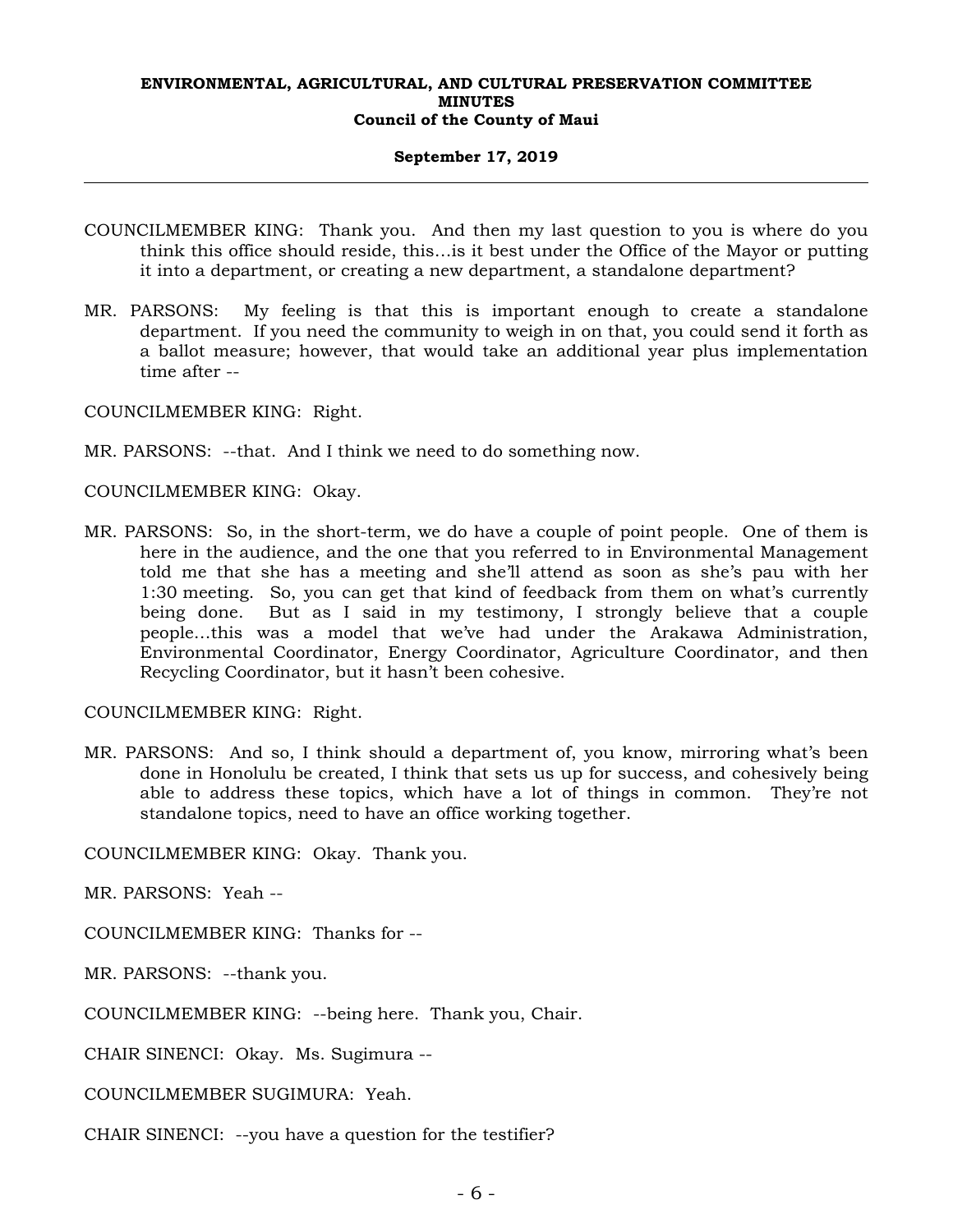## **September 17, 2019**

- COUNCILMEMBER KING: Thank you. And then my last question to you is where do you think this office should reside, this…is it best under the Office of the Mayor or putting it into a department, or creating a new department, a standalone department?
- MR. PARSONS: My feeling is that this is important enough to create a standalone department. If you need the community to weigh in on that, you could send it forth as a ballot measure; however, that would take an additional year plus implementation time after --

COUNCILMEMBER KING: Right.

MR. PARSONS: --that. And I think we need to do something now.

COUNCILMEMBER KING: Okay.

MR. PARSONS: So, in the short-term, we do have a couple of point people. One of them is here in the audience, and the one that you referred to in Environmental Management told me that she has a meeting and she'll attend as soon as she's pau with her 1:30 meeting. So, you can get that kind of feedback from them on what's currently being done. But as I said in my testimony, I strongly believe that a couple people…this was a model that we've had under the Arakawa Administration, Environmental Coordinator, Energy Coordinator, Agriculture Coordinator, and then Recycling Coordinator, but it hasn't been cohesive.

COUNCILMEMBER KING: Right.

MR. PARSONS: And so, I think should a department of, you know, mirroring what's been done in Honolulu be created, I think that sets us up for success, and cohesively being able to address these topics, which have a lot of things in common. They're not standalone topics, need to have an office working together.

COUNCILMEMBER KING: Okay. Thank you.

MR. PARSONS: Yeah --

COUNCILMEMBER KING: Thanks for --

MR. PARSONS: --thank you.

COUNCILMEMBER KING: --being here. Thank you, Chair.

CHAIR SINENCI: Okay. Ms. Sugimura --

COUNCILMEMBER SUGIMURA: Yeah.

CHAIR SINENCI: --you have a question for the testifier?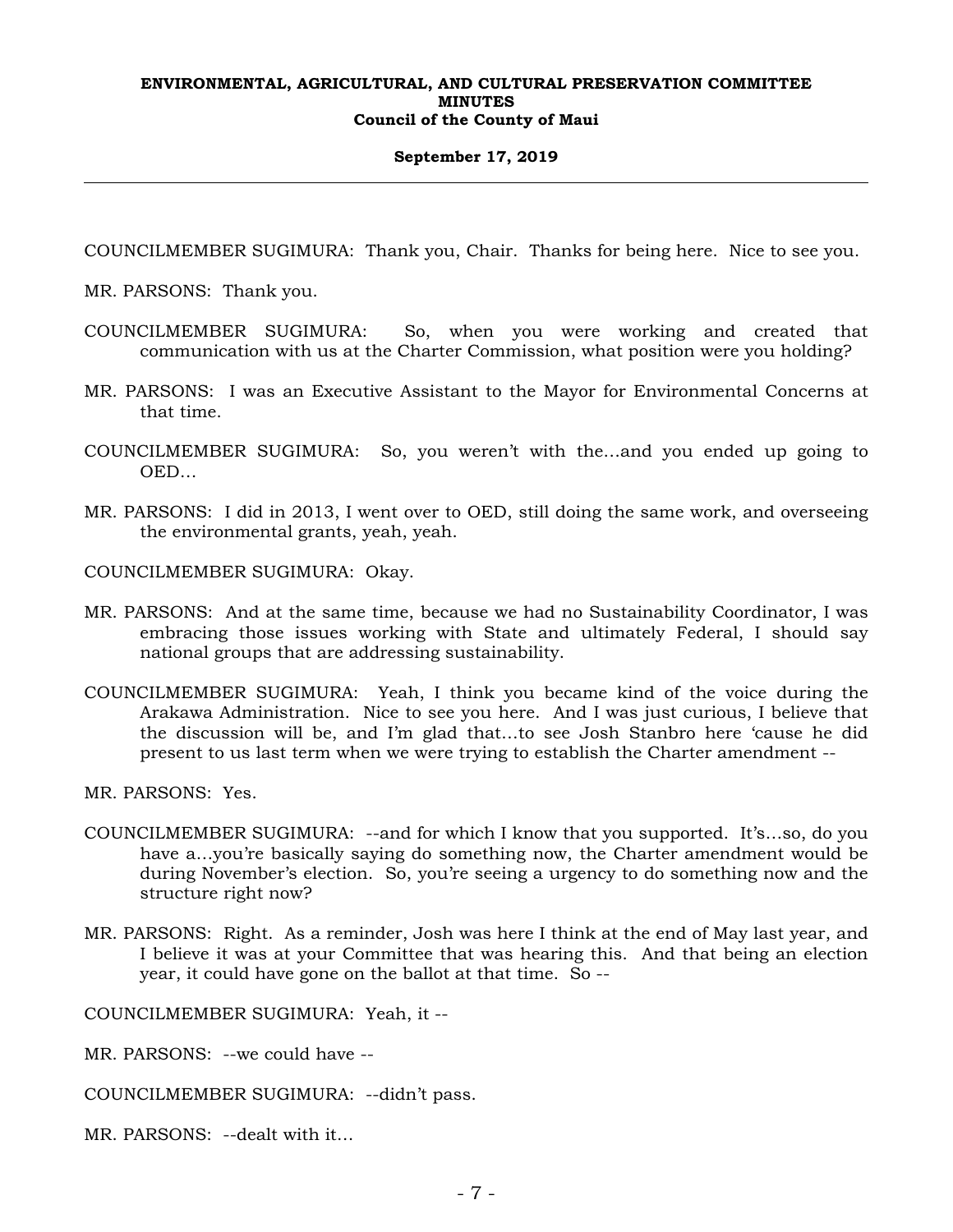## **September 17, 2019**

COUNCILMEMBER SUGIMURA: Thank you, Chair. Thanks for being here. Nice to see you.

MR. PARSONS: Thank you.

- COUNCILMEMBER SUGIMURA: So, when you were working and created that communication with us at the Charter Commission, what position were you holding?
- MR. PARSONS: I was an Executive Assistant to the Mayor for Environmental Concerns at that time.
- COUNCILMEMBER SUGIMURA: So, you weren't with the…and you ended up going to OED…
- MR. PARSONS: I did in 2013, I went over to OED, still doing the same work, and overseeing the environmental grants, yeah, yeah.

COUNCILMEMBER SUGIMURA: Okay.

- MR. PARSONS: And at the same time, because we had no Sustainability Coordinator, I was embracing those issues working with State and ultimately Federal, I should say national groups that are addressing sustainability.
- COUNCILMEMBER SUGIMURA: Yeah, I think you became kind of the voice during the Arakawa Administration. Nice to see you here. And I was just curious, I believe that the discussion will be, and I'm glad that…to see Josh Stanbro here 'cause he did present to us last term when we were trying to establish the Charter amendment --

MR. PARSONS: Yes.

- COUNCILMEMBER SUGIMURA: --and for which I know that you supported. It's…so, do you have a...you're basically saying do something now, the Charter amendment would be during November's election. So, you're seeing a urgency to do something now and the structure right now?
- MR. PARSONS: Right. As a reminder, Josh was here I think at the end of May last year, and I believe it was at your Committee that was hearing this. And that being an election year, it could have gone on the ballot at that time. So --

COUNCILMEMBER SUGIMURA: Yeah, it --

- MR. PARSONS: --we could have --
- COUNCILMEMBER SUGIMURA: --didn't pass.
- MR. PARSONS: --dealt with it…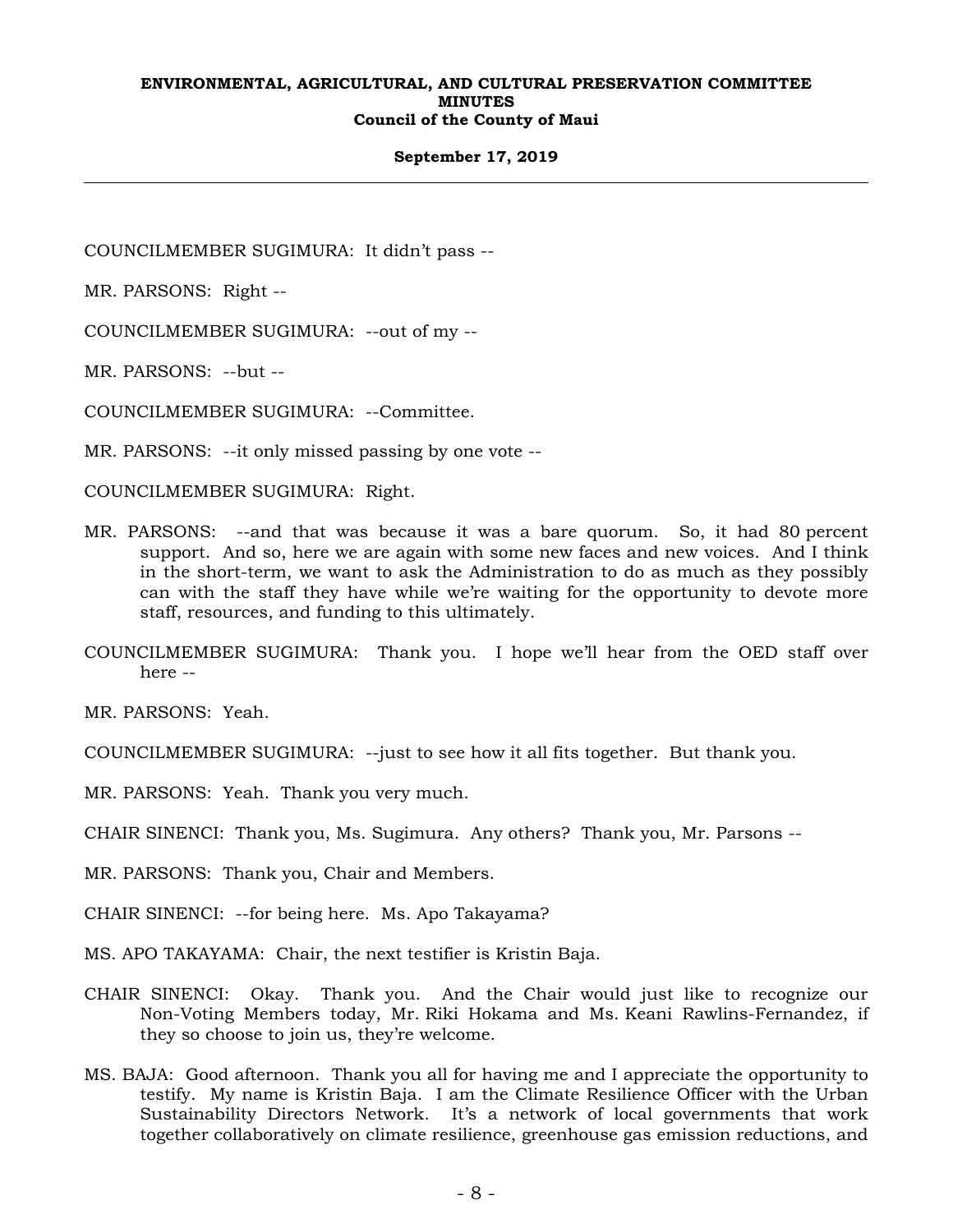## **September 17, 2019**

COUNCILMEMBER SUGIMURA: It didn't pass --

MR. PARSONS: Right --

COUNCILMEMBER SUGIMURA: --out of my --

MR. PARSONS: --but --

COUNCILMEMBER SUGIMURA: --Committee.

MR. PARSONS: --it only missed passing by one vote --

COUNCILMEMBER SUGIMURA: Right.

- MR. PARSONS: --and that was because it was a bare quorum. So, it had 80 percent support. And so, here we are again with some new faces and new voices. And I think in the short-term, we want to ask the Administration to do as much as they possibly can with the staff they have while we're waiting for the opportunity to devote more staff, resources, and funding to this ultimately.
- COUNCILMEMBER SUGIMURA: Thank you. I hope we'll hear from the OED staff over here --

MR. PARSONS: Yeah.

- COUNCILMEMBER SUGIMURA: --just to see how it all fits together. But thank you.
- MR. PARSONS: Yeah. Thank you very much.
- CHAIR SINENCI: Thank you, Ms. Sugimura. Any others? Thank you, Mr. Parsons --
- MR. PARSONS: Thank you, Chair and Members.
- CHAIR SINENCI: --for being here. Ms. Apo Takayama?
- MS. APO TAKAYAMA: Chair, the next testifier is Kristin Baja.
- CHAIR SINENCI: Okay. Thank you. And the Chair would just like to recognize our Non-Voting Members today, Mr. Riki Hokama and Ms. Keani Rawlins-Fernandez, if they so choose to join us, they're welcome.
- MS. BAJA: Good afternoon. Thank you all for having me and I appreciate the opportunity to testify. My name is Kristin Baja. I am the Climate Resilience Officer with the Urban Sustainability Directors Network. It's a network of local governments that work together collaboratively on climate resilience, greenhouse gas emission reductions, and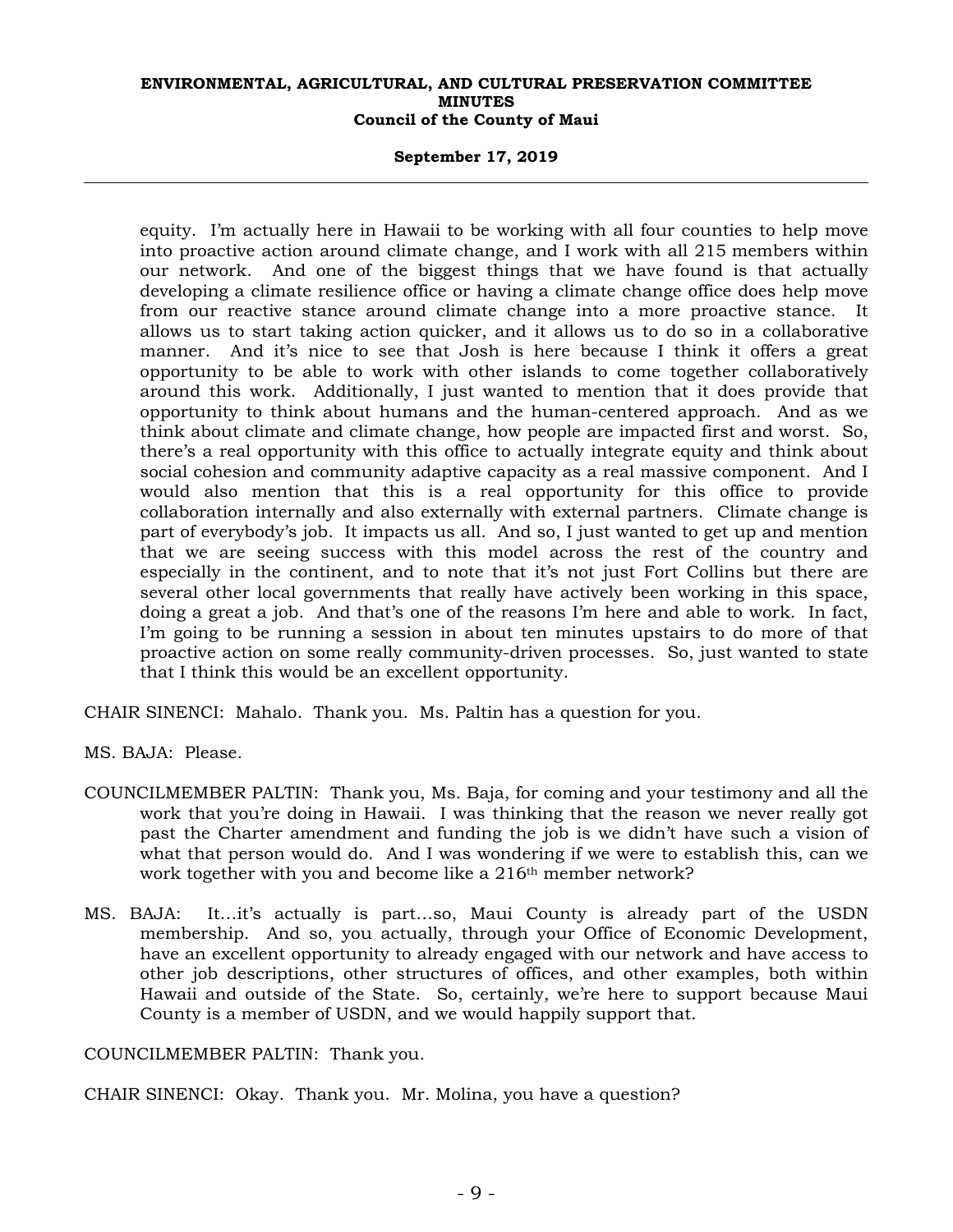## **September 17, 2019**

equity. I'm actually here in Hawaii to be working with all four counties to help move into proactive action around climate change, and I work with all 215 members within our network. And one of the biggest things that we have found is that actually developing a climate resilience office or having a climate change office does help move from our reactive stance around climate change into a more proactive stance. It allows us to start taking action quicker, and it allows us to do so in a collaborative manner. And it's nice to see that Josh is here because I think it offers a great opportunity to be able to work with other islands to come together collaboratively around this work. Additionally, I just wanted to mention that it does provide that opportunity to think about humans and the human-centered approach. And as we think about climate and climate change, how people are impacted first and worst. So, there's a real opportunity with this office to actually integrate equity and think about social cohesion and community adaptive capacity as a real massive component. And I would also mention that this is a real opportunity for this office to provide collaboration internally and also externally with external partners. Climate change is part of everybody's job. It impacts us all. And so, I just wanted to get up and mention that we are seeing success with this model across the rest of the country and especially in the continent, and to note that it's not just Fort Collins but there are several other local governments that really have actively been working in this space, doing a great a job. And that's one of the reasons I'm here and able to work. In fact, I'm going to be running a session in about ten minutes upstairs to do more of that proactive action on some really community-driven processes. So, just wanted to state that I think this would be an excellent opportunity.

CHAIR SINENCI: Mahalo. Thank you. Ms. Paltin has a question for you.

MS. BAJA: Please.

- COUNCILMEMBER PALTIN: Thank you, Ms. Baja, for coming and your testimony and all the work that you're doing in Hawaii. I was thinking that the reason we never really got past the Charter amendment and funding the job is we didn't have such a vision of what that person would do. And I was wondering if we were to establish this, can we work together with you and become like a 216<sup>th</sup> member network?
- MS. BAJA: It…it's actually is part…so, Maui County is already part of the USDN membership. And so, you actually, through your Office of Economic Development, have an excellent opportunity to already engaged with our network and have access to other job descriptions, other structures of offices, and other examples, both within Hawaii and outside of the State. So, certainly, we're here to support because Maui County is a member of USDN, and we would happily support that.

COUNCILMEMBER PALTIN: Thank you.

CHAIR SINENCI: Okay. Thank you. Mr. Molina, you have a question?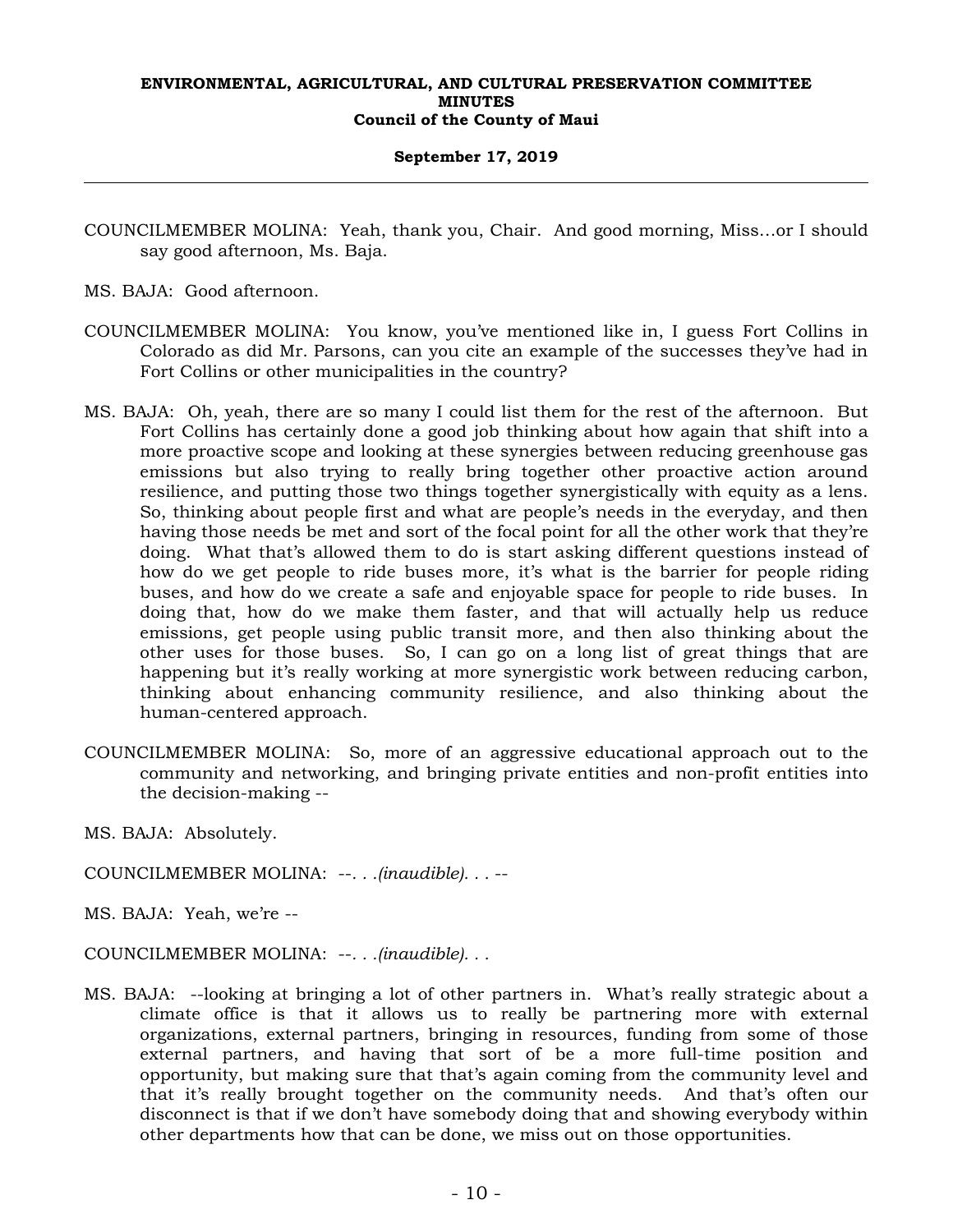## **September 17, 2019**

- COUNCILMEMBER MOLINA: Yeah, thank you, Chair. And good morning, Miss…or I should say good afternoon, Ms. Baja.
- MS. BAJA: Good afternoon.
- COUNCILMEMBER MOLINA: You know, you've mentioned like in, I guess Fort Collins in Colorado as did Mr. Parsons, can you cite an example of the successes they've had in Fort Collins or other municipalities in the country?
- MS. BAJA: Oh, yeah, there are so many I could list them for the rest of the afternoon. But Fort Collins has certainly done a good job thinking about how again that shift into a more proactive scope and looking at these synergies between reducing greenhouse gas emissions but also trying to really bring together other proactive action around resilience, and putting those two things together synergistically with equity as a lens. So, thinking about people first and what are people's needs in the everyday, and then having those needs be met and sort of the focal point for all the other work that they're doing. What that's allowed them to do is start asking different questions instead of how do we get people to ride buses more, it's what is the barrier for people riding buses, and how do we create a safe and enjoyable space for people to ride buses. In doing that, how do we make them faster, and that will actually help us reduce emissions, get people using public transit more, and then also thinking about the other uses for those buses. So, I can go on a long list of great things that are happening but it's really working at more synergistic work between reducing carbon, thinking about enhancing community resilience, and also thinking about the human-centered approach.
- COUNCILMEMBER MOLINA: So, more of an aggressive educational approach out to the community and networking, and bringing private entities and non-profit entities into the decision-making --
- MS. BAJA: Absolutely.
- COUNCILMEMBER MOLINA: --*. . .(inaudible). . .* --
- MS. BAJA: Yeah, we're --
- COUNCILMEMBER MOLINA: --*. . .(inaudible). . .*
- MS. BAJA: --looking at bringing a lot of other partners in. What's really strategic about a climate office is that it allows us to really be partnering more with external organizations, external partners, bringing in resources, funding from some of those external partners, and having that sort of be a more full-time position and opportunity, but making sure that that's again coming from the community level and that it's really brought together on the community needs. And that's often our disconnect is that if we don't have somebody doing that and showing everybody within other departments how that can be done, we miss out on those opportunities.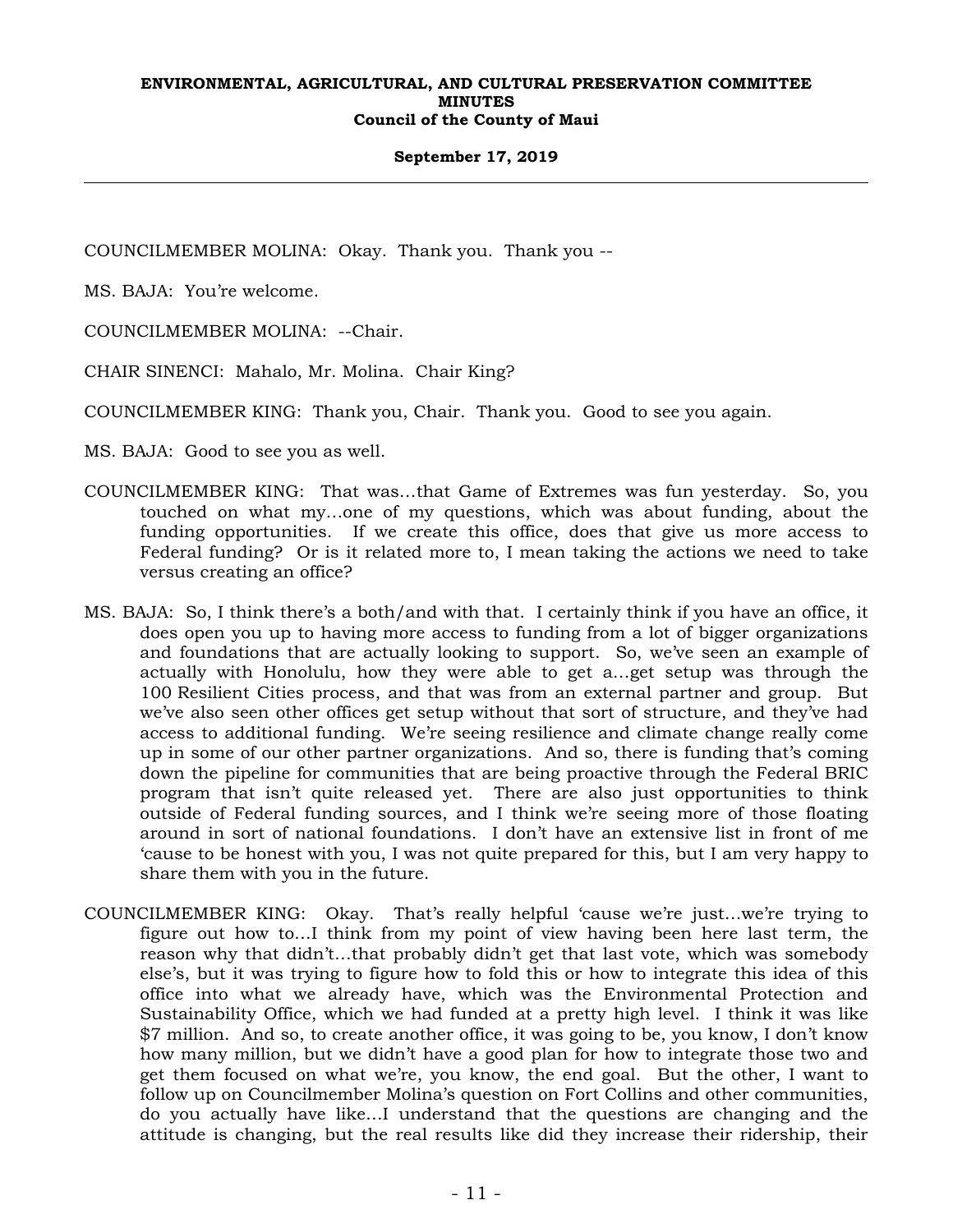## **September 17, 2019**

COUNCILMEMBER MOLINA: Okay. Thank you. Thank you --

MS. BAJA: You're welcome.

COUNCILMEMBER MOLINA: --Chair.

CHAIR SINENCI: Mahalo, Mr. Molina. Chair King?

COUNCILMEMBER KING: Thank you, Chair. Thank you. Good to see you again.

MS. BAJA: Good to see you as well.

- COUNCILMEMBER KING: That was…that Game of Extremes was fun yesterday. So, you touched on what my…one of my questions, which was about funding, about the funding opportunities. If we create this office, does that give us more access to Federal funding? Or is it related more to, I mean taking the actions we need to take versus creating an office?
- MS. BAJA: So, I think there's a both/and with that. I certainly think if you have an office, it does open you up to having more access to funding from a lot of bigger organizations and foundations that are actually looking to support. So, we've seen an example of actually with Honolulu, how they were able to get a…get setup was through the 100 Resilient Cities process, and that was from an external partner and group. But we've also seen other offices get setup without that sort of structure, and they've had access to additional funding. We're seeing resilience and climate change really come up in some of our other partner organizations. And so, there is funding that's coming down the pipeline for communities that are being proactive through the Federal BRIC program that isn't quite released yet. There are also just opportunities to think outside of Federal funding sources, and I think we're seeing more of those floating around in sort of national foundations. I don't have an extensive list in front of me 'cause to be honest with you, I was not quite prepared for this, but I am very happy to share them with you in the future.
- COUNCILMEMBER KING: Okay. That's really helpful 'cause we're just…we're trying to figure out how to…I think from my point of view having been here last term, the reason why that didn't…that probably didn't get that last vote, which was somebody else's, but it was trying to figure how to fold this or how to integrate this idea of this office into what we already have, which was the Environmental Protection and Sustainability Office, which we had funded at a pretty high level. I think it was like \$7 million. And so, to create another office, it was going to be, you know, I don't know how many million, but we didn't have a good plan for how to integrate those two and get them focused on what we're, you know, the end goal. But the other, I want to follow up on Councilmember Molina's question on Fort Collins and other communities, do you actually have like…I understand that the questions are changing and the attitude is changing, but the real results like did they increase their ridership, their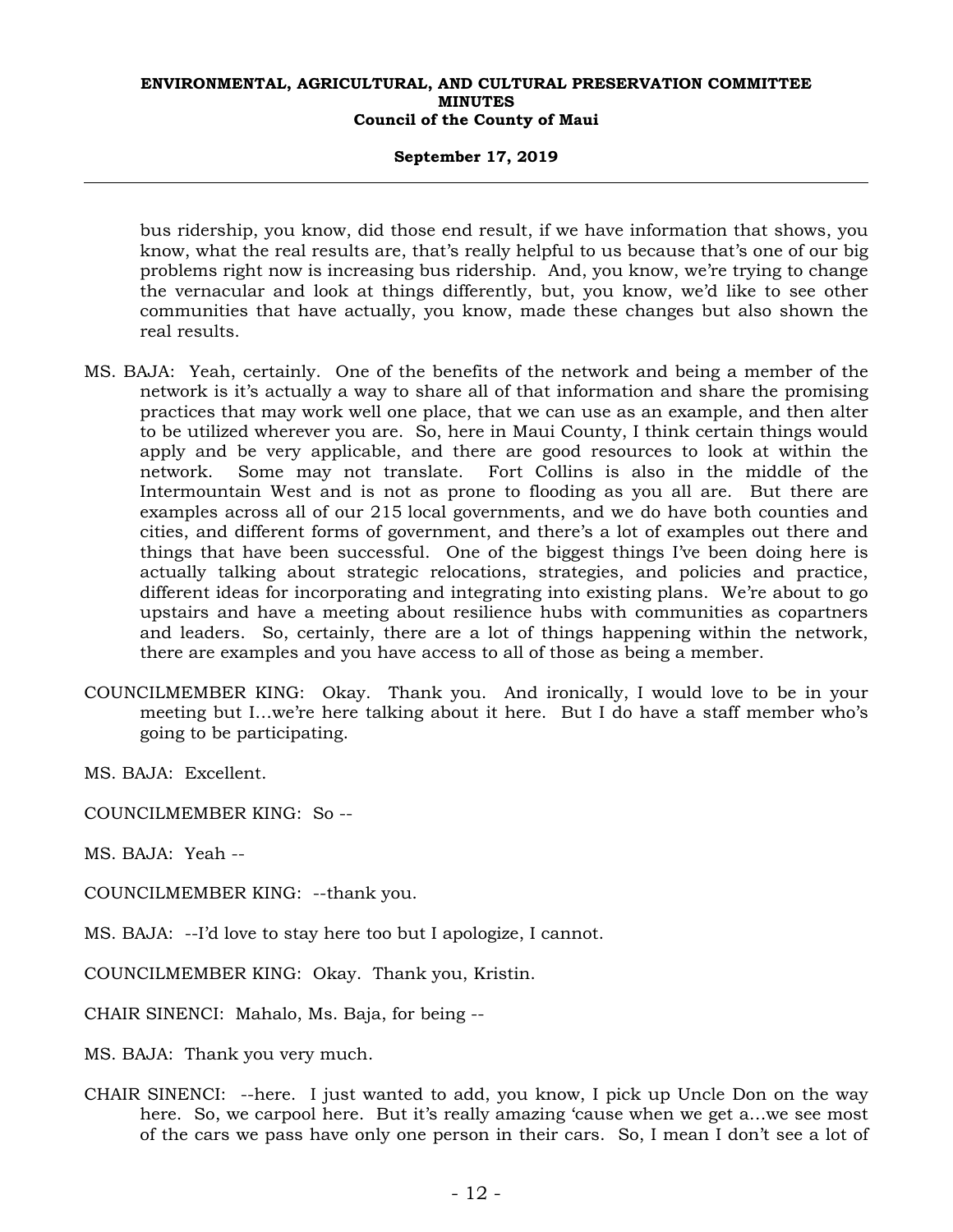## **September 17, 2019**

bus ridership, you know, did those end result, if we have information that shows, you know, what the real results are, that's really helpful to us because that's one of our big problems right now is increasing bus ridership. And, you know, we're trying to change the vernacular and look at things differently, but, you know, we'd like to see other communities that have actually, you know, made these changes but also shown the real results.

- MS. BAJA: Yeah, certainly. One of the benefits of the network and being a member of the network is it's actually a way to share all of that information and share the promising practices that may work well one place, that we can use as an example, and then alter to be utilized wherever you are. So, here in Maui County, I think certain things would apply and be very applicable, and there are good resources to look at within the network. Some may not translate. Fort Collins is also in the middle of the Intermountain West and is not as prone to flooding as you all are. But there are examples across all of our 215 local governments, and we do have both counties and cities, and different forms of government, and there's a lot of examples out there and things that have been successful. One of the biggest things I've been doing here is actually talking about strategic relocations, strategies, and policies and practice, different ideas for incorporating and integrating into existing plans. We're about to go upstairs and have a meeting about resilience hubs with communities as copartners and leaders. So, certainly, there are a lot of things happening within the network, there are examples and you have access to all of those as being a member.
- COUNCILMEMBER KING: Okay. Thank you. And ironically, I would love to be in your meeting but I…we're here talking about it here. But I do have a staff member who's going to be participating.

MS. BAJA: Excellent.

COUNCILMEMBER KING: So --

MS. BAJA: Yeah --

- COUNCILMEMBER KING: --thank you.
- MS. BAJA: --I'd love to stay here too but I apologize, I cannot.

COUNCILMEMBER KING: Okay. Thank you, Kristin.

CHAIR SINENCI: Mahalo, Ms. Baja, for being --

MS. BAJA: Thank you very much.

CHAIR SINENCI: --here. I just wanted to add, you know, I pick up Uncle Don on the way here. So, we carpool here. But it's really amazing 'cause when we get a…we see most of the cars we pass have only one person in their cars. So, I mean I don't see a lot of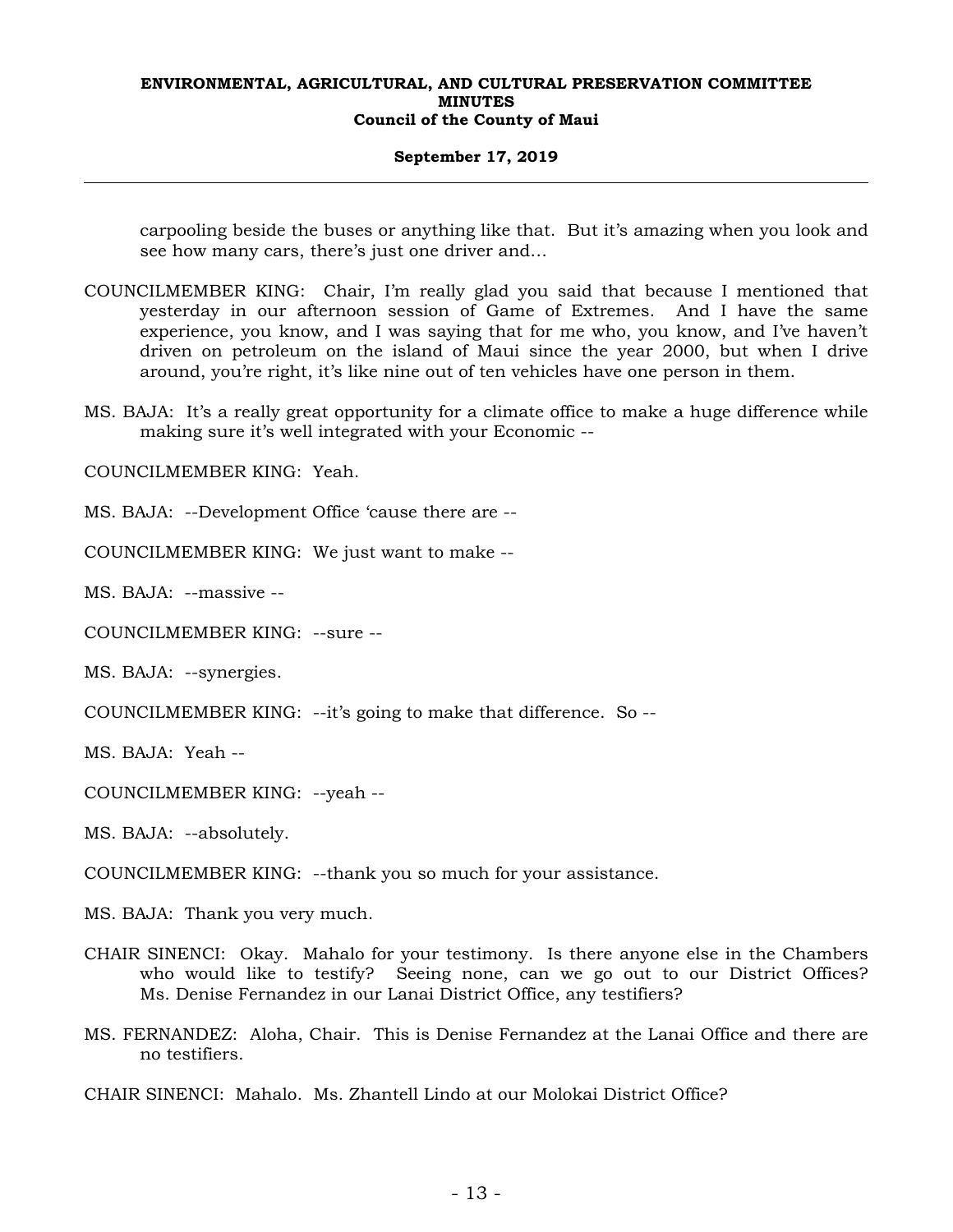## **September 17, 2019**

carpooling beside the buses or anything like that. But it's amazing when you look and see how many cars, there's just one driver and…

- COUNCILMEMBER KING: Chair, I'm really glad you said that because I mentioned that yesterday in our afternoon session of Game of Extremes. And I have the same experience, you know, and I was saying that for me who, you know, and I've haven't driven on petroleum on the island of Maui since the year 2000, but when I drive around, you're right, it's like nine out of ten vehicles have one person in them.
- MS. BAJA: It's a really great opportunity for a climate office to make a huge difference while making sure it's well integrated with your Economic --

COUNCILMEMBER KING: Yeah.

MS. BAJA: --Development Office 'cause there are --

COUNCILMEMBER KING: We just want to make --

MS. BAJA: --massive --

COUNCILMEMBER KING: --sure --

MS. BAJA: --synergies.

COUNCILMEMBER KING: --it's going to make that difference. So --

MS. BAJA: Yeah --

COUNCILMEMBER KING: --yeah --

MS. BAJA: --absolutely.

COUNCILMEMBER KING: --thank you so much for your assistance.

MS. BAJA: Thank you very much.

- CHAIR SINENCI: Okay. Mahalo for your testimony. Is there anyone else in the Chambers who would like to testify? Seeing none, can we go out to our District Offices? Ms. Denise Fernandez in our Lanai District Office, any testifiers?
- MS. FERNANDEZ: Aloha, Chair. This is Denise Fernandez at the Lanai Office and there are no testifiers.
- CHAIR SINENCI: Mahalo. Ms. Zhantell Lindo at our Molokai District Office?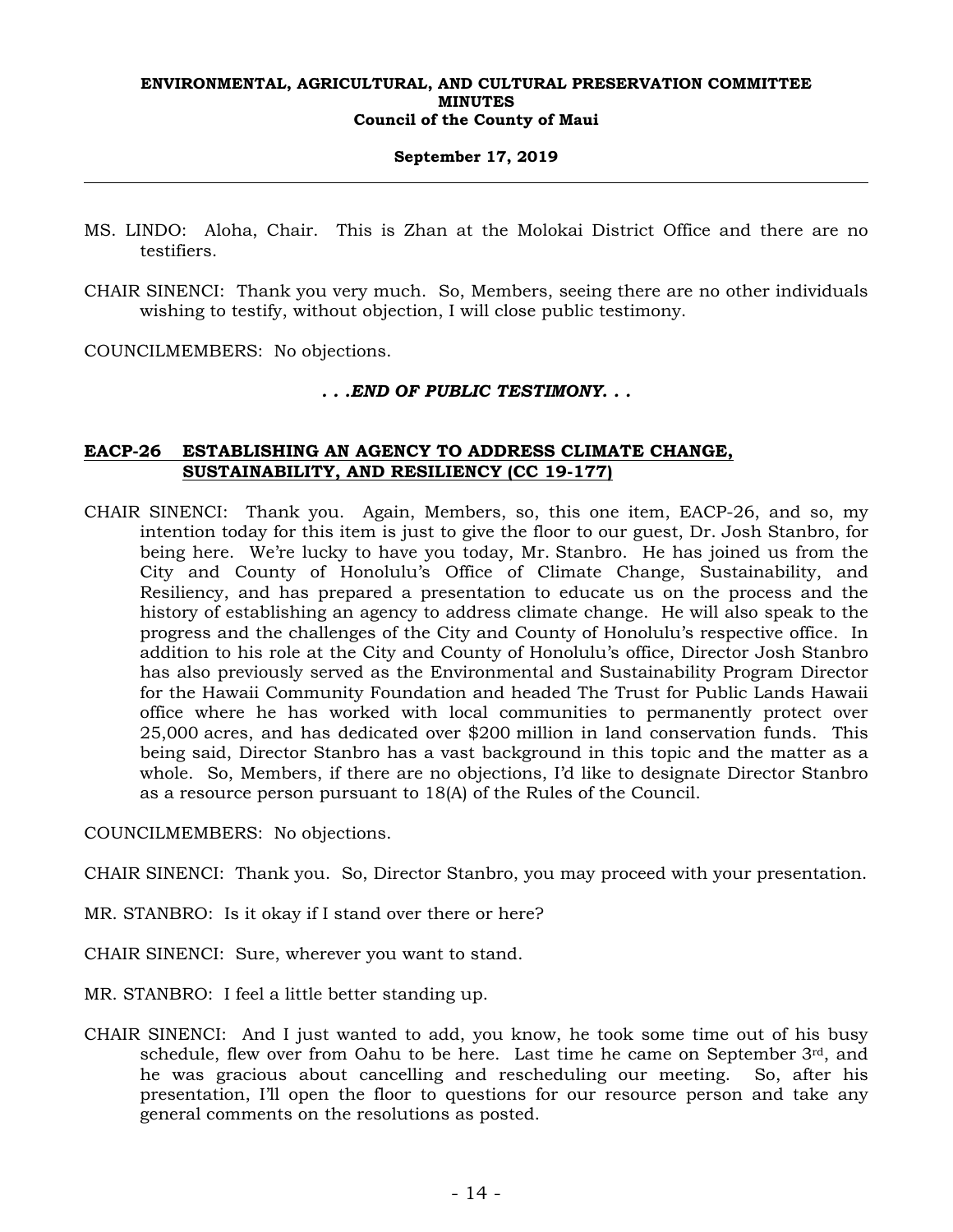## **September 17, 2019**

- MS. LINDO: Aloha, Chair. This is Zhan at the Molokai District Office and there are no testifiers.
- CHAIR SINENCI: Thank you very much. So, Members, seeing there are no other individuals wishing to testify, without objection, I will close public testimony.

COUNCILMEMBERS: No objections.

## *. . .END OF PUBLIC TESTIMONY. . .*

## **EACP-26 ESTABLISHING AN AGENCY TO ADDRESS CLIMATE CHANGE, SUSTAINABILITY, AND RESILIENCY (CC 19-177)**

CHAIR SINENCI: Thank you. Again, Members, so, this one item, EACP-26, and so, my intention today for this item is just to give the floor to our guest, Dr. Josh Stanbro, for being here. We're lucky to have you today, Mr. Stanbro. He has joined us from the City and County of Honolulu's Office of Climate Change, Sustainability, and Resiliency, and has prepared a presentation to educate us on the process and the history of establishing an agency to address climate change. He will also speak to the progress and the challenges of the City and County of Honolulu's respective office. In addition to his role at the City and County of Honolulu's office, Director Josh Stanbro has also previously served as the Environmental and Sustainability Program Director for the Hawaii Community Foundation and headed The Trust for Public Lands Hawaii office where he has worked with local communities to permanently protect over 25,000 acres, and has dedicated over \$200 million in land conservation funds. This being said, Director Stanbro has a vast background in this topic and the matter as a whole. So, Members, if there are no objections, I'd like to designate Director Stanbro as a resource person pursuant to 18(A) of the Rules of the Council.

COUNCILMEMBERS: No objections.

CHAIR SINENCI: Thank you. So, Director Stanbro, you may proceed with your presentation.

- MR. STANBRO: Is it okay if I stand over there or here?
- CHAIR SINENCI: Sure, wherever you want to stand.
- MR. STANBRO: I feel a little better standing up.
- CHAIR SINENCI: And I just wanted to add, you know, he took some time out of his busy schedule, flew over from Oahu to be here. Last time he came on September 3rd, and he was gracious about cancelling and rescheduling our meeting. So, after his presentation, I'll open the floor to questions for our resource person and take any general comments on the resolutions as posted.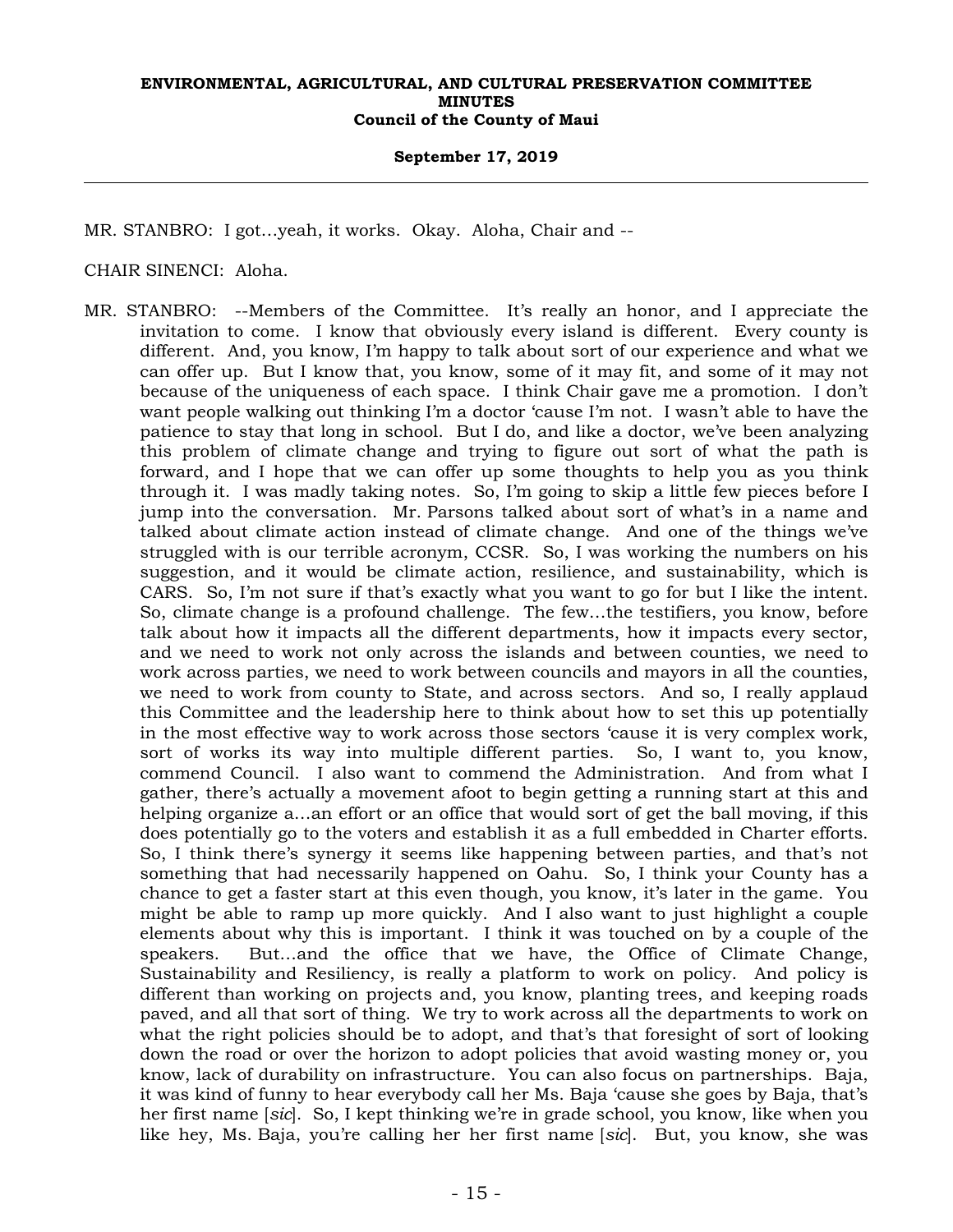## **September 17, 2019**

MR. STANBRO: I got…yeah, it works. Okay. Aloha, Chair and --

## CHAIR SINENCI: Aloha.

MR. STANBRO: --Members of the Committee. It's really an honor, and I appreciate the invitation to come. I know that obviously every island is different. Every county is different. And, you know, I'm happy to talk about sort of our experience and what we can offer up. But I know that, you know, some of it may fit, and some of it may not because of the uniqueness of each space. I think Chair gave me a promotion. I don't want people walking out thinking I'm a doctor 'cause I'm not. I wasn't able to have the patience to stay that long in school. But I do, and like a doctor, we've been analyzing this problem of climate change and trying to figure out sort of what the path is forward, and I hope that we can offer up some thoughts to help you as you think through it. I was madly taking notes. So, I'm going to skip a little few pieces before I jump into the conversation. Mr. Parsons talked about sort of what's in a name and talked about climate action instead of climate change. And one of the things we've struggled with is our terrible acronym, CCSR. So, I was working the numbers on his suggestion, and it would be climate action, resilience, and sustainability, which is CARS. So, I'm not sure if that's exactly what you want to go for but I like the intent. So, climate change is a profound challenge. The few…the testifiers, you know, before talk about how it impacts all the different departments, how it impacts every sector, and we need to work not only across the islands and between counties, we need to work across parties, we need to work between councils and mayors in all the counties, we need to work from county to State, and across sectors. And so, I really applaud this Committee and the leadership here to think about how to set this up potentially in the most effective way to work across those sectors 'cause it is very complex work, sort of works its way into multiple different parties. So, I want to, you know, commend Council. I also want to commend the Administration. And from what I gather, there's actually a movement afoot to begin getting a running start at this and helping organize a…an effort or an office that would sort of get the ball moving, if this does potentially go to the voters and establish it as a full embedded in Charter efforts. So, I think there's synergy it seems like happening between parties, and that's not something that had necessarily happened on Oahu. So, I think your County has a chance to get a faster start at this even though, you know, it's later in the game. You might be able to ramp up more quickly. And I also want to just highlight a couple elements about why this is important. I think it was touched on by a couple of the speakers. But…and the office that we have, the Office of Climate Change, Sustainability and Resiliency, is really a platform to work on policy. And policy is different than working on projects and, you know, planting trees, and keeping roads paved, and all that sort of thing. We try to work across all the departments to work on what the right policies should be to adopt, and that's that foresight of sort of looking down the road or over the horizon to adopt policies that avoid wasting money or, you know, lack of durability on infrastructure. You can also focus on partnerships. Baja, it was kind of funny to hear everybody call her Ms. Baja 'cause she goes by Baja, that's her first name [*sic*]. So, I kept thinking we're in grade school, you know, like when you like hey, Ms. Baja, you're calling her her first name [*sic*]. But, you know, she was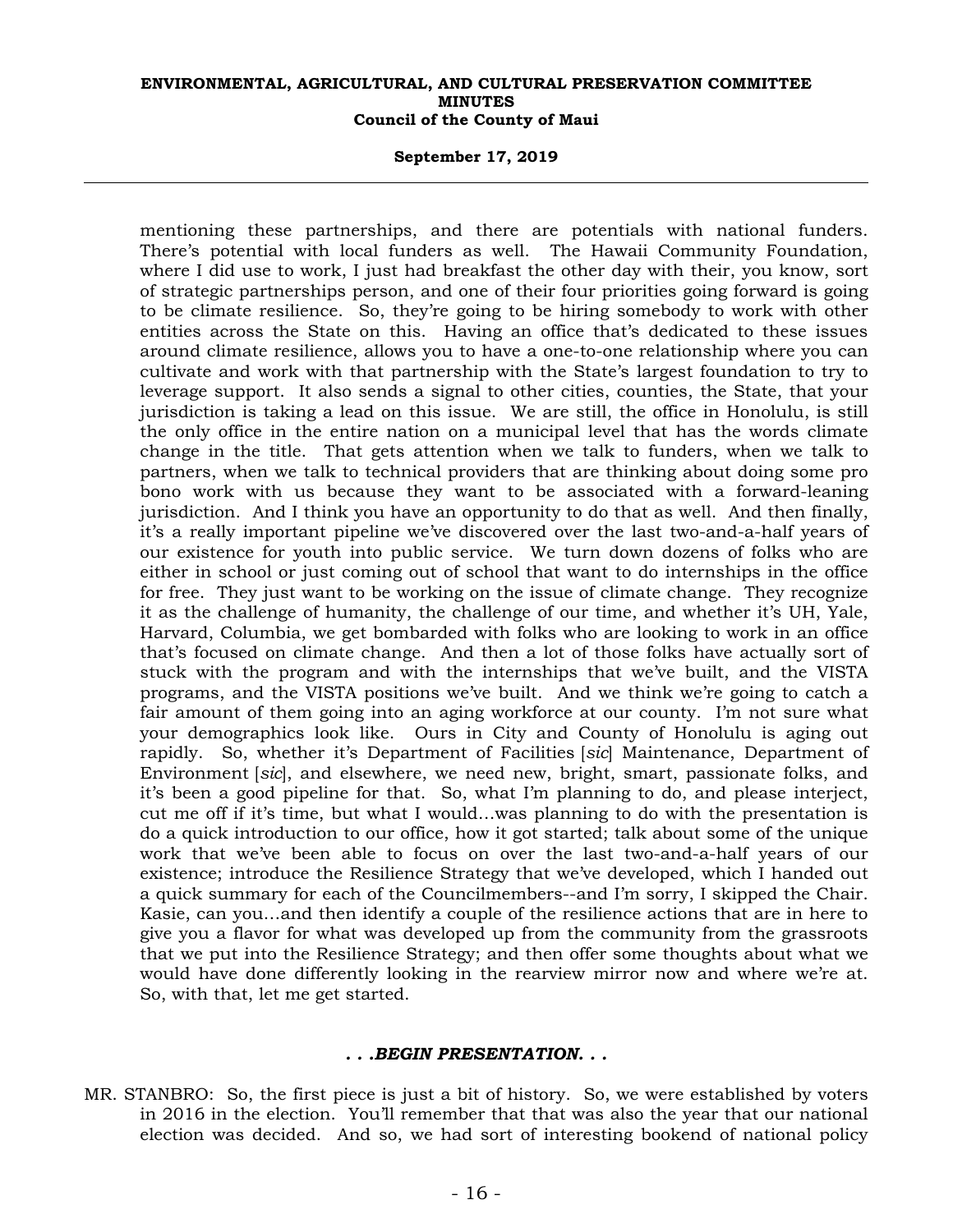## **September 17, 2019**

mentioning these partnerships, and there are potentials with national funders. There's potential with local funders as well. The Hawaii Community Foundation, where I did use to work, I just had breakfast the other day with their, you know, sort of strategic partnerships person, and one of their four priorities going forward is going to be climate resilience. So, they're going to be hiring somebody to work with other entities across the State on this. Having an office that's dedicated to these issues around climate resilience, allows you to have a one-to-one relationship where you can cultivate and work with that partnership with the State's largest foundation to try to leverage support. It also sends a signal to other cities, counties, the State, that your jurisdiction is taking a lead on this issue. We are still, the office in Honolulu, is still the only office in the entire nation on a municipal level that has the words climate change in the title. That gets attention when we talk to funders, when we talk to partners, when we talk to technical providers that are thinking about doing some pro bono work with us because they want to be associated with a forward-leaning jurisdiction. And I think you have an opportunity to do that as well. And then finally, it's a really important pipeline we've discovered over the last two-and-a-half years of our existence for youth into public service. We turn down dozens of folks who are either in school or just coming out of school that want to do internships in the office for free. They just want to be working on the issue of climate change. They recognize it as the challenge of humanity, the challenge of our time, and whether it's UH, Yale, Harvard, Columbia, we get bombarded with folks who are looking to work in an office that's focused on climate change. And then a lot of those folks have actually sort of stuck with the program and with the internships that we've built, and the VISTA programs, and the VISTA positions we've built. And we think we're going to catch a fair amount of them going into an aging workforce at our county. I'm not sure what your demographics look like. Ours in City and County of Honolulu is aging out rapidly. So, whether it's Department of Facilities [*sic*] Maintenance, Department of Environment [*sic*], and elsewhere, we need new, bright, smart, passionate folks, and it's been a good pipeline for that. So, what I'm planning to do, and please interject, cut me off if it's time, but what I would…was planning to do with the presentation is do a quick introduction to our office, how it got started; talk about some of the unique work that we've been able to focus on over the last two-and-a-half years of our existence; introduce the Resilience Strategy that we've developed, which I handed out a quick summary for each of the Councilmembers--and I'm sorry, I skipped the Chair. Kasie, can you…and then identify a couple of the resilience actions that are in here to give you a flavor for what was developed up from the community from the grassroots that we put into the Resilience Strategy; and then offer some thoughts about what we would have done differently looking in the rearview mirror now and where we're at. So, with that, let me get started.

#### *. . .BEGIN PRESENTATION. . .*

MR. STANBRO: So, the first piece is just a bit of history. So, we were established by voters in 2016 in the election. You'll remember that that was also the year that our national election was decided. And so, we had sort of interesting bookend of national policy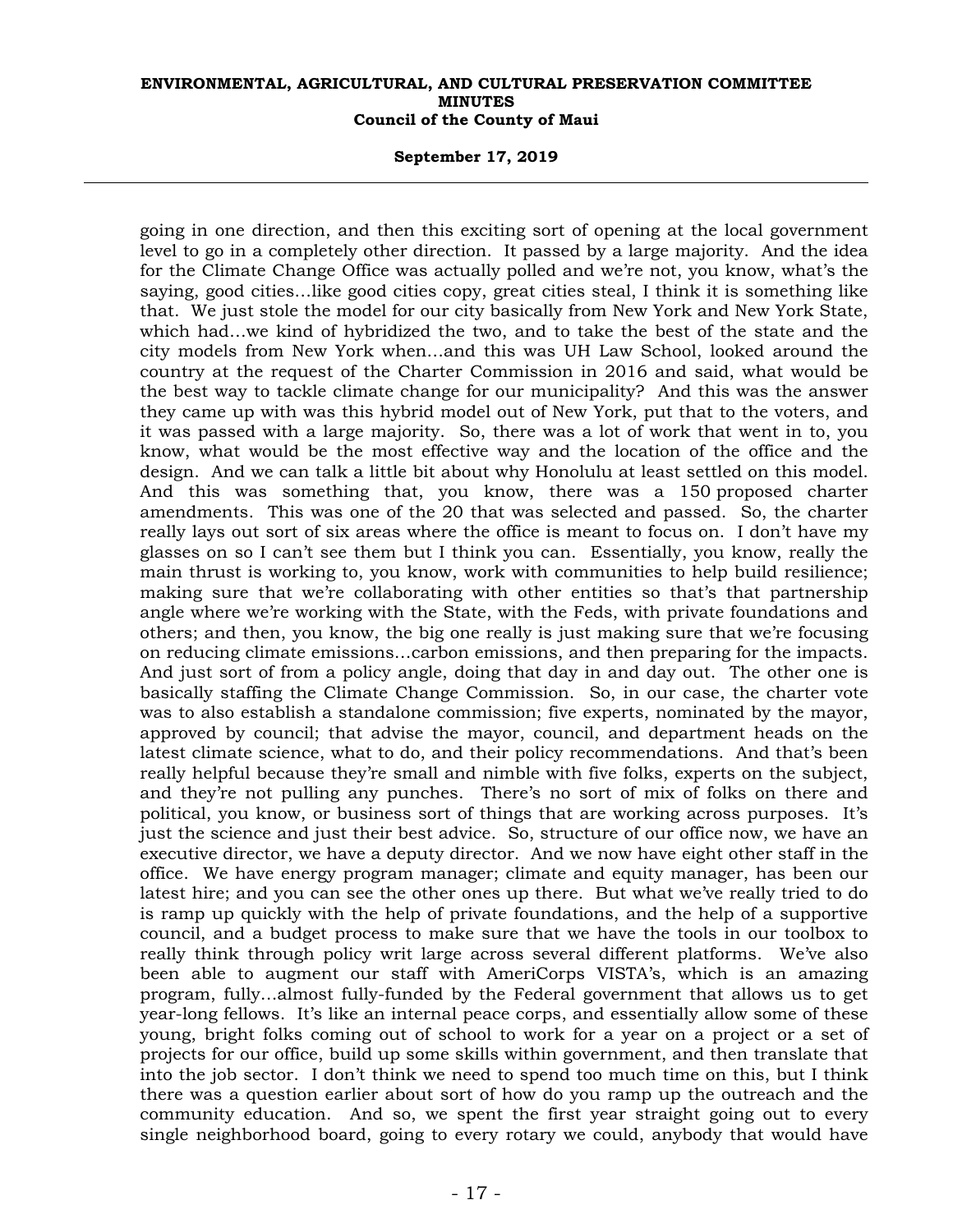## **September 17, 2019**

going in one direction, and then this exciting sort of opening at the local government level to go in a completely other direction. It passed by a large majority. And the idea for the Climate Change Office was actually polled and we're not, you know, what's the saying, good cities…like good cities copy, great cities steal, I think it is something like that. We just stole the model for our city basically from New York and New York State, which had…we kind of hybridized the two, and to take the best of the state and the city models from New York when…and this was UH Law School, looked around the country at the request of the Charter Commission in 2016 and said, what would be the best way to tackle climate change for our municipality? And this was the answer they came up with was this hybrid model out of New York, put that to the voters, and it was passed with a large majority. So, there was a lot of work that went in to, you know, what would be the most effective way and the location of the office and the design. And we can talk a little bit about why Honolulu at least settled on this model. And this was something that, you know, there was a 150 proposed charter amendments. This was one of the 20 that was selected and passed. So, the charter really lays out sort of six areas where the office is meant to focus on. I don't have my glasses on so I can't see them but I think you can. Essentially, you know, really the main thrust is working to, you know, work with communities to help build resilience; making sure that we're collaborating with other entities so that's that partnership angle where we're working with the State, with the Feds, with private foundations and others; and then, you know, the big one really is just making sure that we're focusing on reducing climate emissions…carbon emissions, and then preparing for the impacts. And just sort of from a policy angle, doing that day in and day out. The other one is basically staffing the Climate Change Commission. So, in our case, the charter vote was to also establish a standalone commission; five experts, nominated by the mayor, approved by council; that advise the mayor, council, and department heads on the latest climate science, what to do, and their policy recommendations. And that's been really helpful because they're small and nimble with five folks, experts on the subject, and they're not pulling any punches. There's no sort of mix of folks on there and political, you know, or business sort of things that are working across purposes. It's just the science and just their best advice. So, structure of our office now, we have an executive director, we have a deputy director. And we now have eight other staff in the office. We have energy program manager; climate and equity manager, has been our latest hire; and you can see the other ones up there. But what we've really tried to do is ramp up quickly with the help of private foundations, and the help of a supportive council, and a budget process to make sure that we have the tools in our toolbox to really think through policy writ large across several different platforms. We've also been able to augment our staff with AmeriCorps VISTA's, which is an amazing program, fully…almost fully-funded by the Federal government that allows us to get year-long fellows. It's like an internal peace corps, and essentially allow some of these young, bright folks coming out of school to work for a year on a project or a set of projects for our office, build up some skills within government, and then translate that into the job sector. I don't think we need to spend too much time on this, but I think there was a question earlier about sort of how do you ramp up the outreach and the community education. And so, we spent the first year straight going out to every single neighborhood board, going to every rotary we could, anybody that would have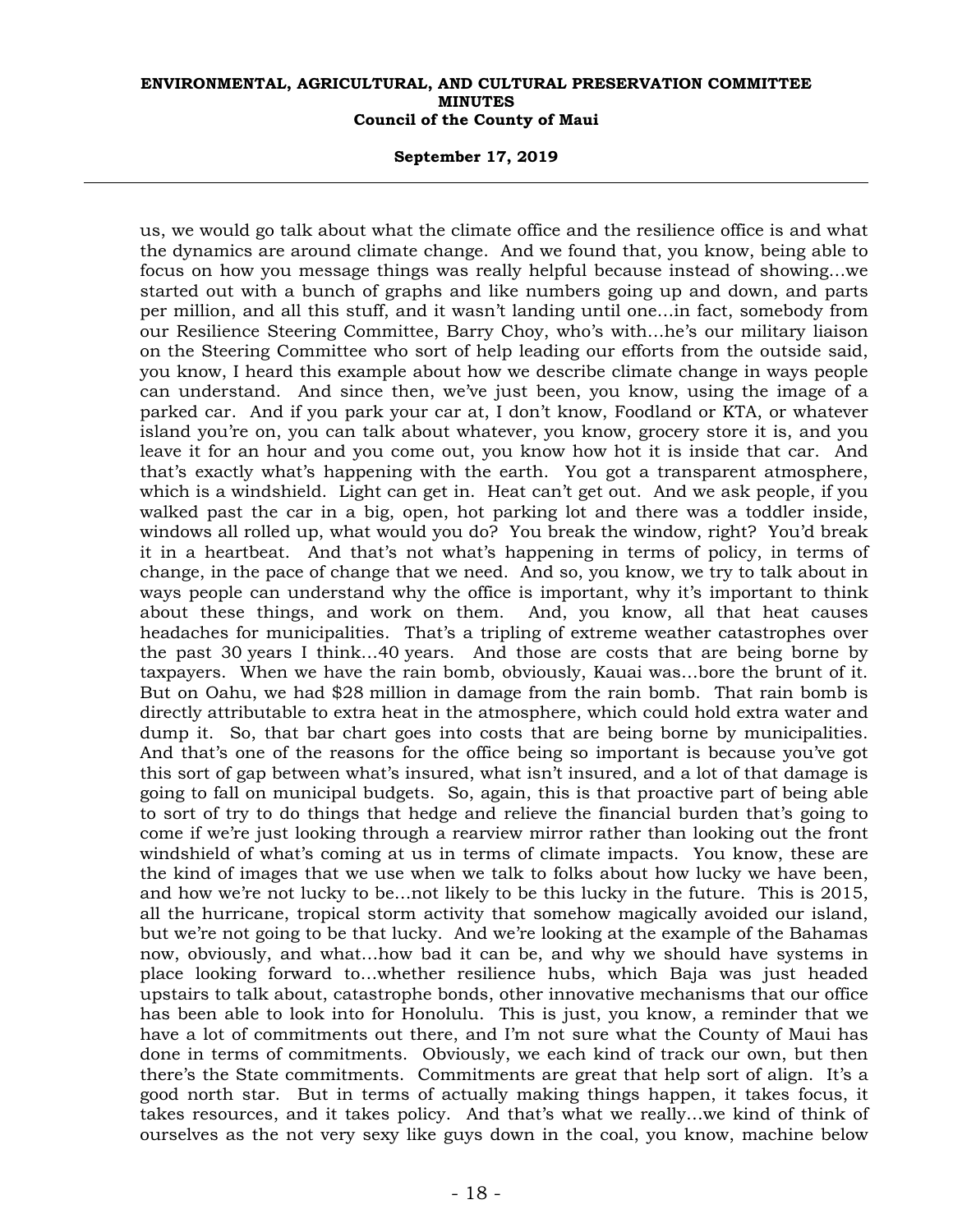#### **September 17, 2019**

us, we would go talk about what the climate office and the resilience office is and what the dynamics are around climate change. And we found that, you know, being able to focus on how you message things was really helpful because instead of showing…we started out with a bunch of graphs and like numbers going up and down, and parts per million, and all this stuff, and it wasn't landing until one…in fact, somebody from our Resilience Steering Committee, Barry Choy, who's with…he's our military liaison on the Steering Committee who sort of help leading our efforts from the outside said, you know, I heard this example about how we describe climate change in ways people can understand. And since then, we've just been, you know, using the image of a parked car. And if you park your car at, I don't know, Foodland or KTA, or whatever island you're on, you can talk about whatever, you know, grocery store it is, and you leave it for an hour and you come out, you know how hot it is inside that car. And that's exactly what's happening with the earth. You got a transparent atmosphere, which is a windshield. Light can get in. Heat can't get out. And we ask people, if you walked past the car in a big, open, hot parking lot and there was a toddler inside, windows all rolled up, what would you do? You break the window, right? You'd break it in a heartbeat. And that's not what's happening in terms of policy, in terms of change, in the pace of change that we need. And so, you know, we try to talk about in ways people can understand why the office is important, why it's important to think about these things, and work on them. And, you know, all that heat causes headaches for municipalities. That's a tripling of extreme weather catastrophes over the past 30 years I think…40 years. And those are costs that are being borne by taxpayers. When we have the rain bomb, obviously, Kauai was…bore the brunt of it. But on Oahu, we had \$28 million in damage from the rain bomb. That rain bomb is directly attributable to extra heat in the atmosphere, which could hold extra water and dump it. So, that bar chart goes into costs that are being borne by municipalities. And that's one of the reasons for the office being so important is because you've got this sort of gap between what's insured, what isn't insured, and a lot of that damage is going to fall on municipal budgets. So, again, this is that proactive part of being able to sort of try to do things that hedge and relieve the financial burden that's going to come if we're just looking through a rearview mirror rather than looking out the front windshield of what's coming at us in terms of climate impacts. You know, these are the kind of images that we use when we talk to folks about how lucky we have been, and how we're not lucky to be…not likely to be this lucky in the future. This is 2015, all the hurricane, tropical storm activity that somehow magically avoided our island, but we're not going to be that lucky. And we're looking at the example of the Bahamas now, obviously, and what…how bad it can be, and why we should have systems in place looking forward to…whether resilience hubs, which Baja was just headed upstairs to talk about, catastrophe bonds, other innovative mechanisms that our office has been able to look into for Honolulu. This is just, you know, a reminder that we have a lot of commitments out there, and I'm not sure what the County of Maui has done in terms of commitments. Obviously, we each kind of track our own, but then there's the State commitments. Commitments are great that help sort of align. It's a good north star. But in terms of actually making things happen, it takes focus, it takes resources, and it takes policy. And that's what we really…we kind of think of ourselves as the not very sexy like guys down in the coal, you know, machine below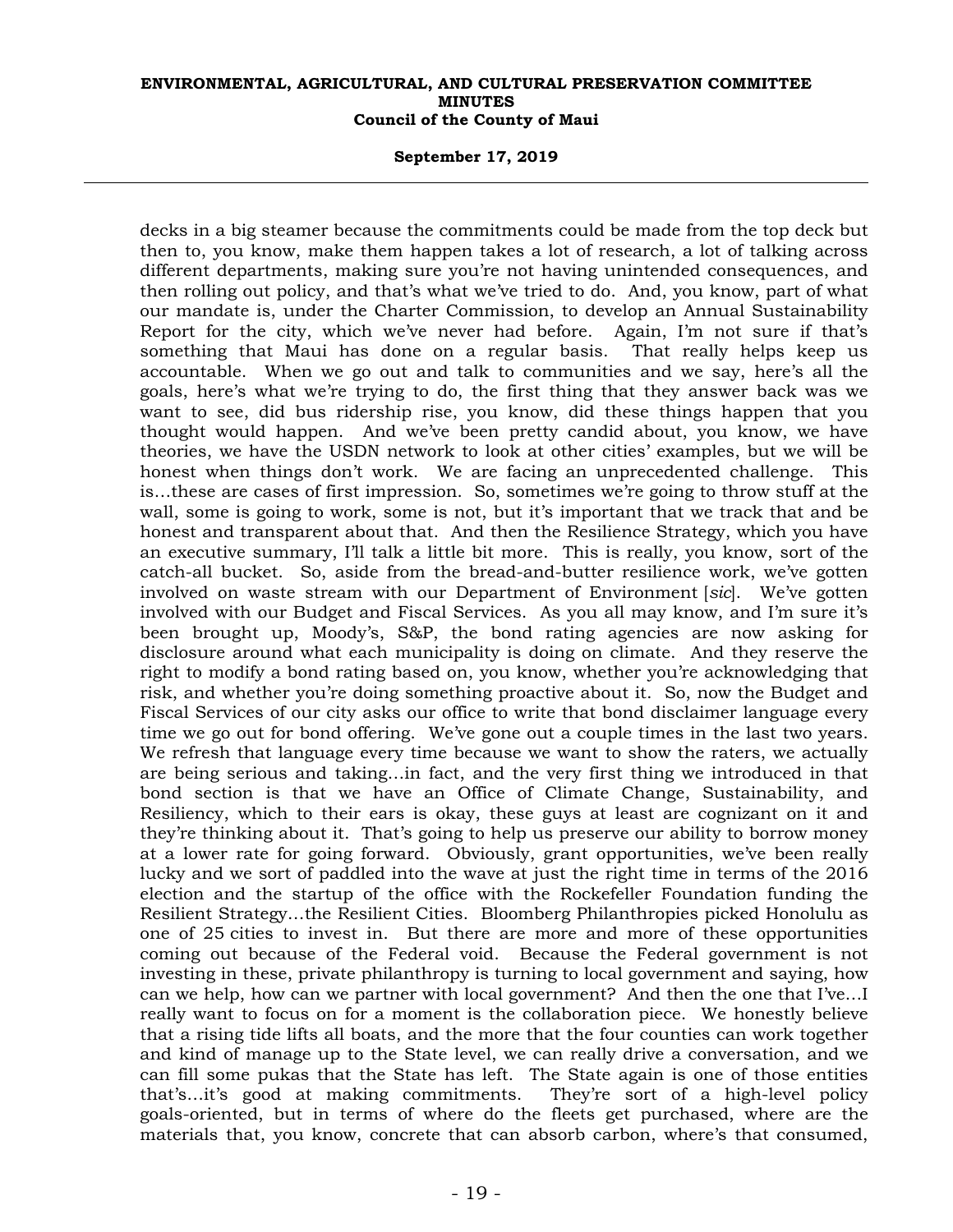## **September 17, 2019**

decks in a big steamer because the commitments could be made from the top deck but then to, you know, make them happen takes a lot of research, a lot of talking across different departments, making sure you're not having unintended consequences, and then rolling out policy, and that's what we've tried to do. And, you know, part of what our mandate is, under the Charter Commission, to develop an Annual Sustainability Report for the city, which we've never had before. Again, I'm not sure if that's something that Maui has done on a regular basis. That really helps keep us accountable. When we go out and talk to communities and we say, here's all the goals, here's what we're trying to do, the first thing that they answer back was we want to see, did bus ridership rise, you know, did these things happen that you thought would happen. And we've been pretty candid about, you know, we have theories, we have the USDN network to look at other cities' examples, but we will be honest when things don't work. We are facing an unprecedented challenge. This is…these are cases of first impression. So, sometimes we're going to throw stuff at the wall, some is going to work, some is not, but it's important that we track that and be honest and transparent about that. And then the Resilience Strategy, which you have an executive summary, I'll talk a little bit more. This is really, you know, sort of the catch-all bucket. So, aside from the bread-and-butter resilience work, we've gotten involved on waste stream with our Department of Environment [*sic*]. We've gotten involved with our Budget and Fiscal Services. As you all may know, and I'm sure it's been brought up, Moody's, S&P, the bond rating agencies are now asking for disclosure around what each municipality is doing on climate. And they reserve the right to modify a bond rating based on, you know, whether you're acknowledging that risk, and whether you're doing something proactive about it. So, now the Budget and Fiscal Services of our city asks our office to write that bond disclaimer language every time we go out for bond offering. We've gone out a couple times in the last two years. We refresh that language every time because we want to show the raters, we actually are being serious and taking…in fact, and the very first thing we introduced in that bond section is that we have an Office of Climate Change, Sustainability, and Resiliency, which to their ears is okay, these guys at least are cognizant on it and they're thinking about it. That's going to help us preserve our ability to borrow money at a lower rate for going forward. Obviously, grant opportunities, we've been really lucky and we sort of paddled into the wave at just the right time in terms of the 2016 election and the startup of the office with the Rockefeller Foundation funding the Resilient Strategy…the Resilient Cities. Bloomberg Philanthropies picked Honolulu as one of 25 cities to invest in. But there are more and more of these opportunities coming out because of the Federal void. Because the Federal government is not investing in these, private philanthropy is turning to local government and saying, how can we help, how can we partner with local government? And then the one that I've…I really want to focus on for a moment is the collaboration piece. We honestly believe that a rising tide lifts all boats, and the more that the four counties can work together and kind of manage up to the State level, we can really drive a conversation, and we can fill some pukas that the State has left. The State again is one of those entities that's…it's good at making commitments. They're sort of a high-level policy goals-oriented, but in terms of where do the fleets get purchased, where are the materials that, you know, concrete that can absorb carbon, where's that consumed,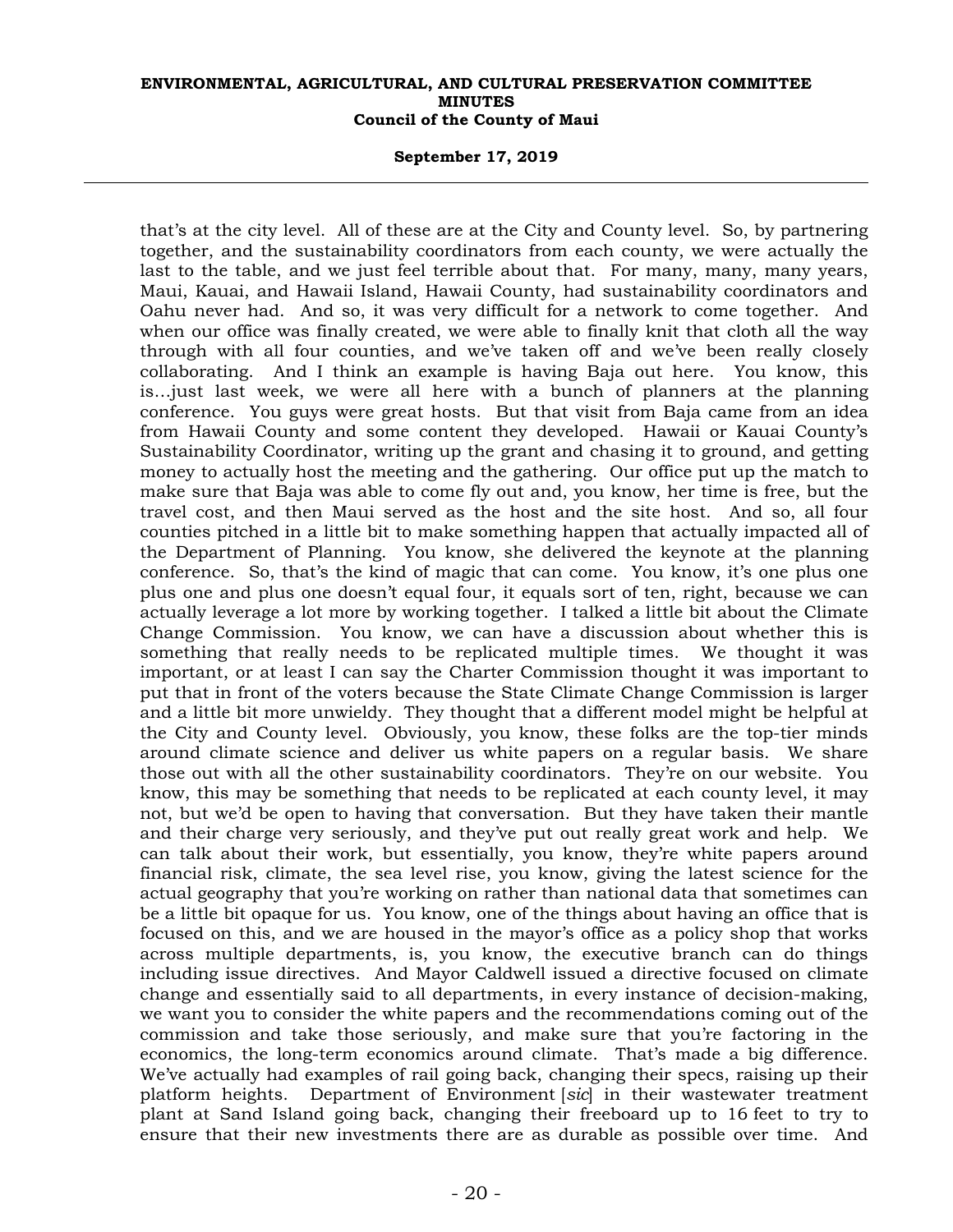## **September 17, 2019**

that's at the city level. All of these are at the City and County level. So, by partnering together, and the sustainability coordinators from each county, we were actually the last to the table, and we just feel terrible about that. For many, many, many years, Maui, Kauai, and Hawaii Island, Hawaii County, had sustainability coordinators and Oahu never had. And so, it was very difficult for a network to come together. And when our office was finally created, we were able to finally knit that cloth all the way through with all four counties, and we've taken off and we've been really closely collaborating. And I think an example is having Baja out here. You know, this is…just last week, we were all here with a bunch of planners at the planning conference. You guys were great hosts. But that visit from Baja came from an idea from Hawaii County and some content they developed. Hawaii or Kauai County's Sustainability Coordinator, writing up the grant and chasing it to ground, and getting money to actually host the meeting and the gathering. Our office put up the match to make sure that Baja was able to come fly out and, you know, her time is free, but the travel cost, and then Maui served as the host and the site host. And so, all four counties pitched in a little bit to make something happen that actually impacted all of the Department of Planning. You know, she delivered the keynote at the planning conference. So, that's the kind of magic that can come. You know, it's one plus one plus one and plus one doesn't equal four, it equals sort of ten, right, because we can actually leverage a lot more by working together. I talked a little bit about the Climate Change Commission. You know, we can have a discussion about whether this is something that really needs to be replicated multiple times. We thought it was important, or at least I can say the Charter Commission thought it was important to put that in front of the voters because the State Climate Change Commission is larger and a little bit more unwieldy. They thought that a different model might be helpful at the City and County level. Obviously, you know, these folks are the top-tier minds around climate science and deliver us white papers on a regular basis. We share those out with all the other sustainability coordinators. They're on our website. You know, this may be something that needs to be replicated at each county level, it may not, but we'd be open to having that conversation. But they have taken their mantle and their charge very seriously, and they've put out really great work and help. We can talk about their work, but essentially, you know, they're white papers around financial risk, climate, the sea level rise, you know, giving the latest science for the actual geography that you're working on rather than national data that sometimes can be a little bit opaque for us. You know, one of the things about having an office that is focused on this, and we are housed in the mayor's office as a policy shop that works across multiple departments, is, you know, the executive branch can do things including issue directives. And Mayor Caldwell issued a directive focused on climate change and essentially said to all departments, in every instance of decision-making, we want you to consider the white papers and the recommendations coming out of the commission and take those seriously, and make sure that you're factoring in the economics, the long-term economics around climate. That's made a big difference. We've actually had examples of rail going back, changing their specs, raising up their platform heights. Department of Environment [*sic*] in their wastewater treatment plant at Sand Island going back, changing their freeboard up to 16 feet to try to ensure that their new investments there are as durable as possible over time. And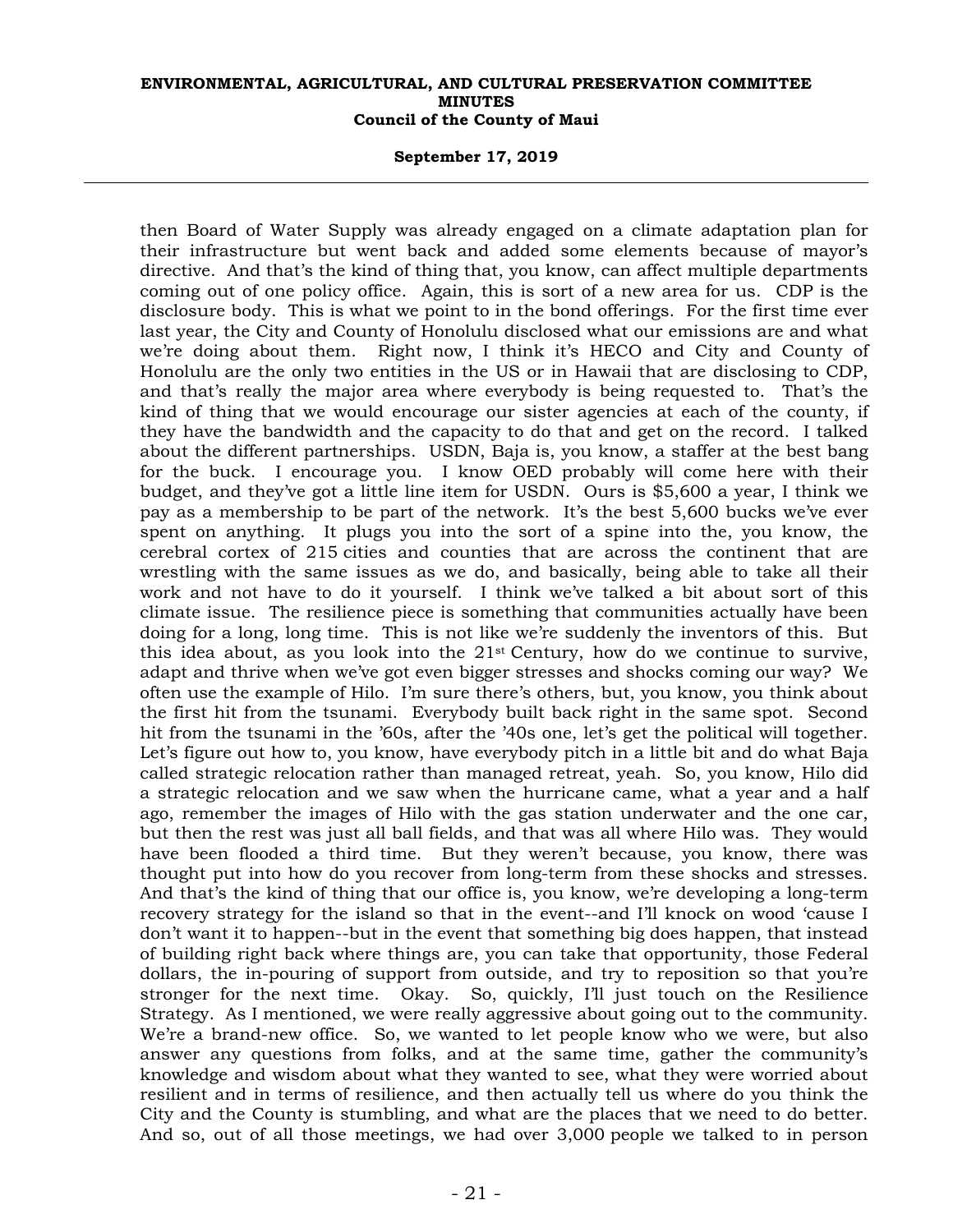#### **September 17, 2019**

then Board of Water Supply was already engaged on a climate adaptation plan for their infrastructure but went back and added some elements because of mayor's directive. And that's the kind of thing that, you know, can affect multiple departments coming out of one policy office. Again, this is sort of a new area for us. CDP is the disclosure body. This is what we point to in the bond offerings. For the first time ever last year, the City and County of Honolulu disclosed what our emissions are and what we're doing about them. Right now, I think it's HECO and City and County of Honolulu are the only two entities in the US or in Hawaii that are disclosing to CDP, and that's really the major area where everybody is being requested to. That's the kind of thing that we would encourage our sister agencies at each of the county, if they have the bandwidth and the capacity to do that and get on the record. I talked about the different partnerships. USDN, Baja is, you know, a staffer at the best bang for the buck. I encourage you. I know OED probably will come here with their budget, and they've got a little line item for USDN. Ours is \$5,600 a year, I think we pay as a membership to be part of the network. It's the best 5,600 bucks we've ever spent on anything. It plugs you into the sort of a spine into the, you know, the cerebral cortex of 215 cities and counties that are across the continent that are wrestling with the same issues as we do, and basically, being able to take all their work and not have to do it yourself. I think we've talked a bit about sort of this climate issue. The resilience piece is something that communities actually have been doing for a long, long time. This is not like we're suddenly the inventors of this. But this idea about, as you look into the  $21<sup>st</sup>$  Century, how do we continue to survive, adapt and thrive when we've got even bigger stresses and shocks coming our way? We often use the example of Hilo. I'm sure there's others, but, you know, you think about the first hit from the tsunami. Everybody built back right in the same spot. Second hit from the tsunami in the '60s, after the '40s one, let's get the political will together. Let's figure out how to, you know, have everybody pitch in a little bit and do what Baja called strategic relocation rather than managed retreat, yeah. So, you know, Hilo did a strategic relocation and we saw when the hurricane came, what a year and a half ago, remember the images of Hilo with the gas station underwater and the one car, but then the rest was just all ball fields, and that was all where Hilo was. They would have been flooded a third time. But they weren't because, you know, there was thought put into how do you recover from long-term from these shocks and stresses. And that's the kind of thing that our office is, you know, we're developing a long-term recovery strategy for the island so that in the event--and I'll knock on wood 'cause I don't want it to happen--but in the event that something big does happen, that instead of building right back where things are, you can take that opportunity, those Federal dollars, the in-pouring of support from outside, and try to reposition so that you're stronger for the next time. Okay. So, quickly, I'll just touch on the Resilience Strategy. As I mentioned, we were really aggressive about going out to the community. We're a brand-new office. So, we wanted to let people know who we were, but also answer any questions from folks, and at the same time, gather the community's knowledge and wisdom about what they wanted to see, what they were worried about resilient and in terms of resilience, and then actually tell us where do you think the City and the County is stumbling, and what are the places that we need to do better. And so, out of all those meetings, we had over 3,000 people we talked to in person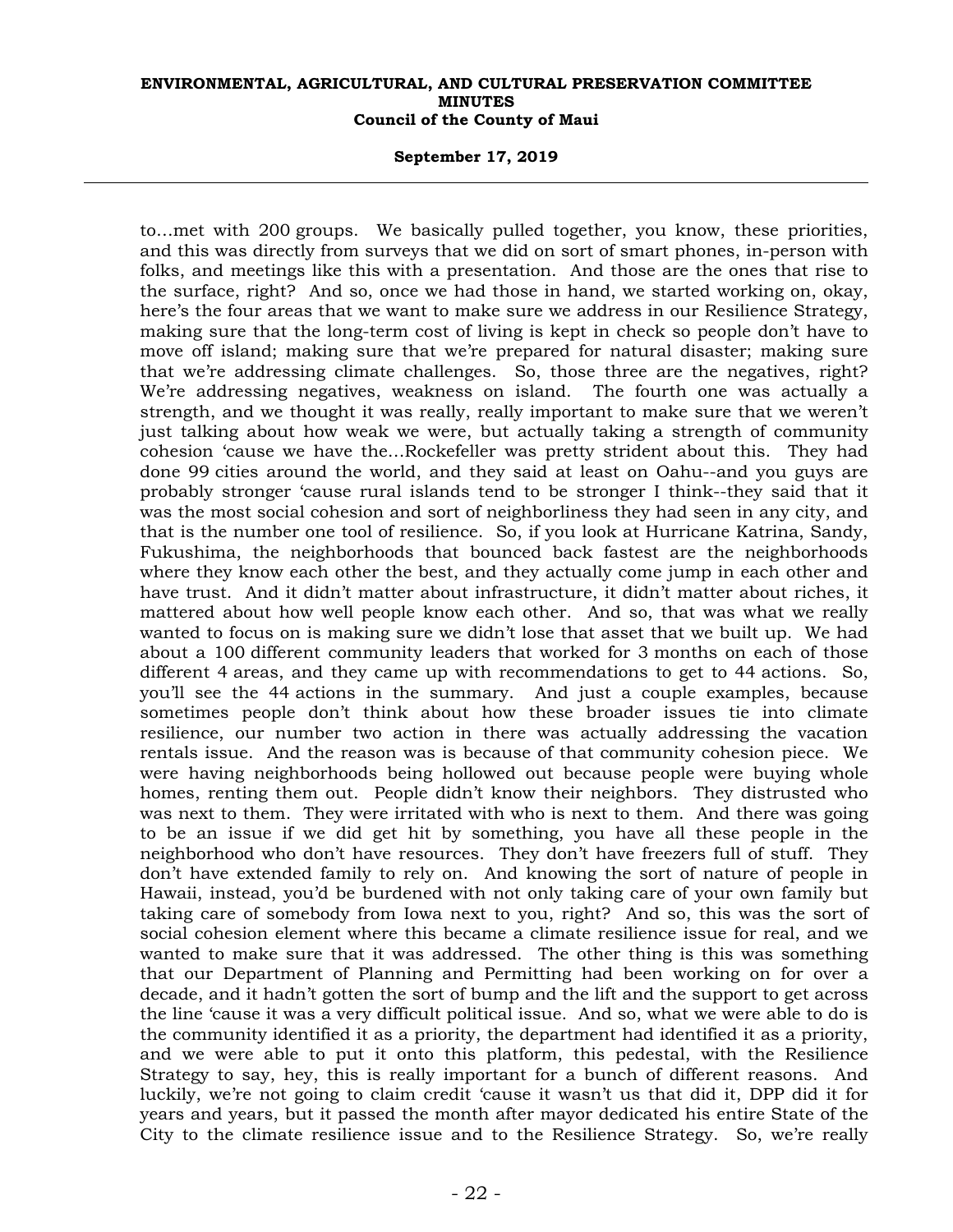## **September 17, 2019**

to…met with 200 groups. We basically pulled together, you know, these priorities, and this was directly from surveys that we did on sort of smart phones, in-person with folks, and meetings like this with a presentation. And those are the ones that rise to the surface, right? And so, once we had those in hand, we started working on, okay, here's the four areas that we want to make sure we address in our Resilience Strategy, making sure that the long-term cost of living is kept in check so people don't have to move off island; making sure that we're prepared for natural disaster; making sure that we're addressing climate challenges. So, those three are the negatives, right? We're addressing negatives, weakness on island. The fourth one was actually a strength, and we thought it was really, really important to make sure that we weren't just talking about how weak we were, but actually taking a strength of community cohesion 'cause we have the…Rockefeller was pretty strident about this. They had done 99 cities around the world, and they said at least on Oahu--and you guys are probably stronger 'cause rural islands tend to be stronger I think--they said that it was the most social cohesion and sort of neighborliness they had seen in any city, and that is the number one tool of resilience. So, if you look at Hurricane Katrina, Sandy, Fukushima, the neighborhoods that bounced back fastest are the neighborhoods where they know each other the best, and they actually come jump in each other and have trust. And it didn't matter about infrastructure, it didn't matter about riches, it mattered about how well people know each other. And so, that was what we really wanted to focus on is making sure we didn't lose that asset that we built up. We had about a 100 different community leaders that worked for 3 months on each of those different 4 areas, and they came up with recommendations to get to 44 actions. So, you'll see the 44 actions in the summary. And just a couple examples, because sometimes people don't think about how these broader issues tie into climate resilience, our number two action in there was actually addressing the vacation rentals issue. And the reason was is because of that community cohesion piece. We were having neighborhoods being hollowed out because people were buying whole homes, renting them out. People didn't know their neighbors. They distrusted who was next to them. They were irritated with who is next to them. And there was going to be an issue if we did get hit by something, you have all these people in the neighborhood who don't have resources. They don't have freezers full of stuff. They don't have extended family to rely on. And knowing the sort of nature of people in Hawaii, instead, you'd be burdened with not only taking care of your own family but taking care of somebody from Iowa next to you, right? And so, this was the sort of social cohesion element where this became a climate resilience issue for real, and we wanted to make sure that it was addressed. The other thing is this was something that our Department of Planning and Permitting had been working on for over a decade, and it hadn't gotten the sort of bump and the lift and the support to get across the line 'cause it was a very difficult political issue. And so, what we were able to do is the community identified it as a priority, the department had identified it as a priority, and we were able to put it onto this platform, this pedestal, with the Resilience Strategy to say, hey, this is really important for a bunch of different reasons. And luckily, we're not going to claim credit 'cause it wasn't us that did it, DPP did it for years and years, but it passed the month after mayor dedicated his entire State of the City to the climate resilience issue and to the Resilience Strategy. So, we're really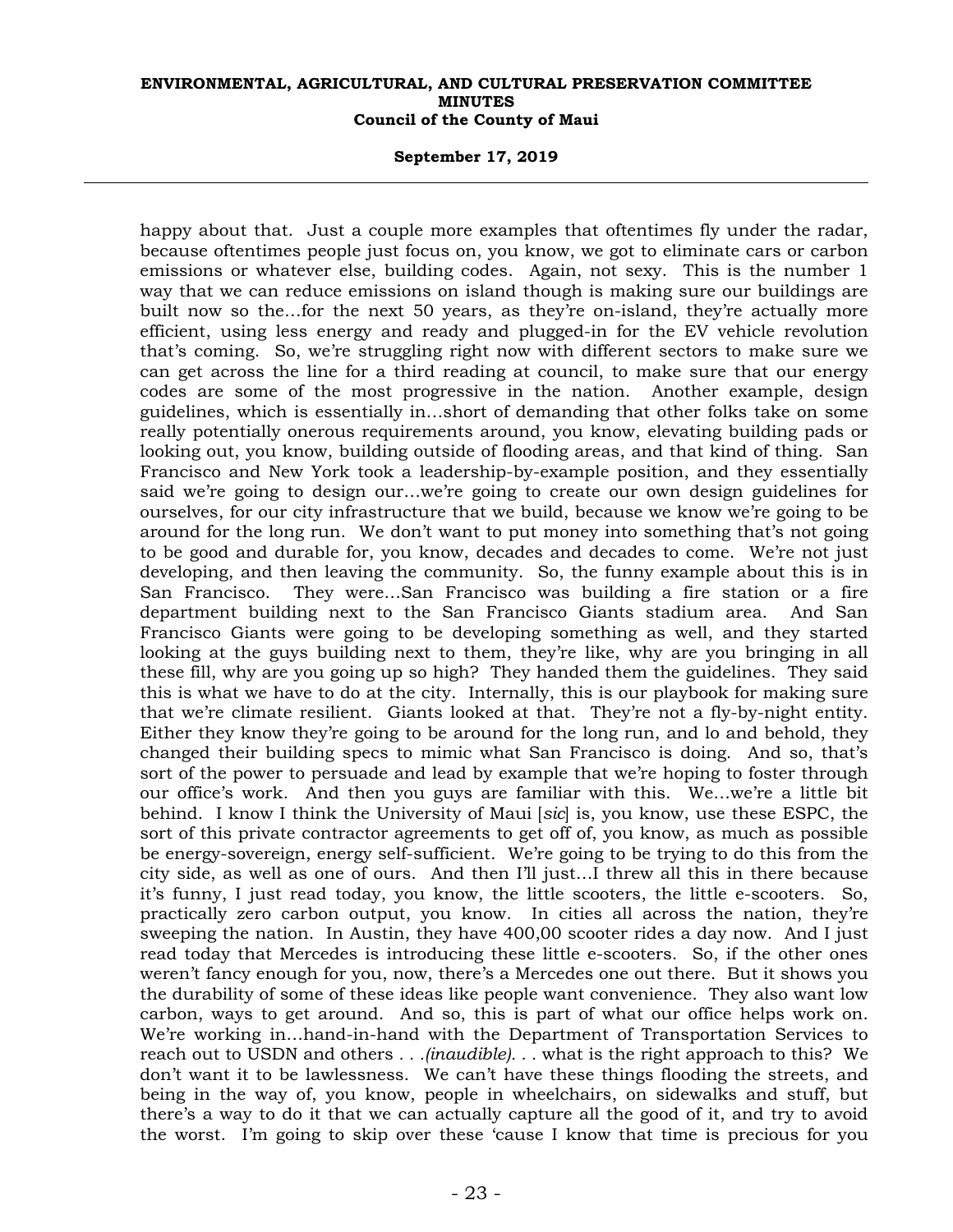#### **September 17, 2019**

happy about that. Just a couple more examples that oftentimes fly under the radar, because oftentimes people just focus on, you know, we got to eliminate cars or carbon emissions or whatever else, building codes. Again, not sexy. This is the number 1 way that we can reduce emissions on island though is making sure our buildings are built now so the…for the next 50 years, as they're on-island, they're actually more efficient, using less energy and ready and plugged-in for the EV vehicle revolution that's coming. So, we're struggling right now with different sectors to make sure we can get across the line for a third reading at council, to make sure that our energy codes are some of the most progressive in the nation. Another example, design guidelines, which is essentially in…short of demanding that other folks take on some really potentially onerous requirements around, you know, elevating building pads or looking out, you know, building outside of flooding areas, and that kind of thing. San Francisco and New York took a leadership-by-example position, and they essentially said we're going to design our…we're going to create our own design guidelines for ourselves, for our city infrastructure that we build, because we know we're going to be around for the long run. We don't want to put money into something that's not going to be good and durable for, you know, decades and decades to come. We're not just developing, and then leaving the community. So, the funny example about this is in San Francisco. They were…San Francisco was building a fire station or a fire department building next to the San Francisco Giants stadium area. And San Francisco Giants were going to be developing something as well, and they started looking at the guys building next to them, they're like, why are you bringing in all these fill, why are you going up so high? They handed them the guidelines. They said this is what we have to do at the city. Internally, this is our playbook for making sure that we're climate resilient. Giants looked at that. They're not a fly-by-night entity. Either they know they're going to be around for the long run, and lo and behold, they changed their building specs to mimic what San Francisco is doing. And so, that's sort of the power to persuade and lead by example that we're hoping to foster through our office's work. And then you guys are familiar with this. We…we're a little bit behind. I know I think the University of Maui [*sic*] is, you know, use these ESPC, the sort of this private contractor agreements to get off of, you know, as much as possible be energy-sovereign, energy self-sufficient. We're going to be trying to do this from the city side, as well as one of ours. And then I'll just…I threw all this in there because it's funny, I just read today, you know, the little scooters, the little e-scooters. So, practically zero carbon output, you know. In cities all across the nation, they're sweeping the nation. In Austin, they have 400,00 scooter rides a day now. And I just read today that Mercedes is introducing these little e-scooters. So, if the other ones weren't fancy enough for you, now, there's a Mercedes one out there. But it shows you the durability of some of these ideas like people want convenience. They also want low carbon, ways to get around. And so, this is part of what our office helps work on. We're working in…hand-in-hand with the Department of Transportation Services to reach out to USDN and others *. . .(inaudible). . .* what is the right approach to this? We don't want it to be lawlessness. We can't have these things flooding the streets, and being in the way of, you know, people in wheelchairs, on sidewalks and stuff, but there's a way to do it that we can actually capture all the good of it, and try to avoid the worst. I'm going to skip over these 'cause I know that time is precious for you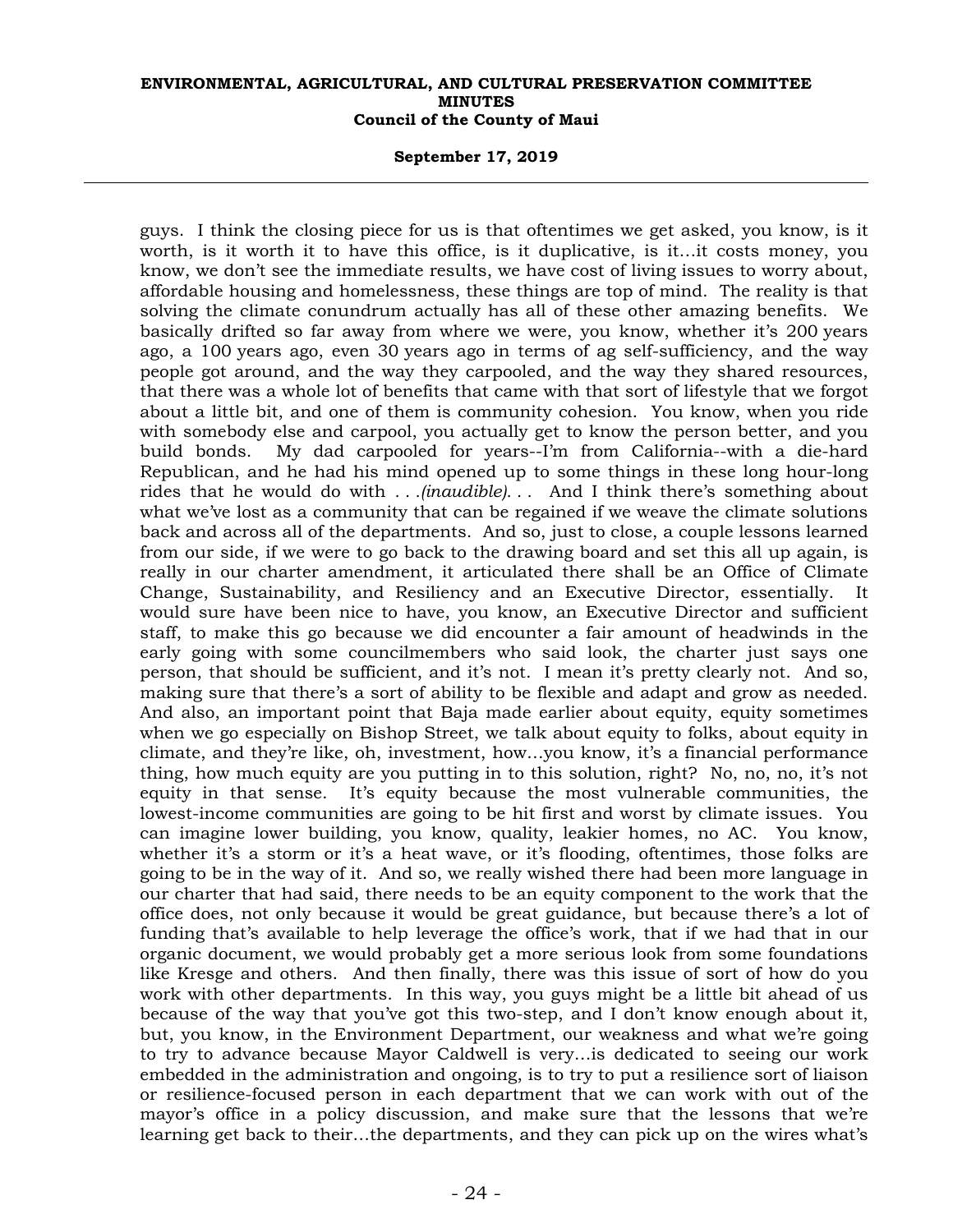#### **September 17, 2019**

guys. I think the closing piece for us is that oftentimes we get asked, you know, is it worth, is it worth it to have this office, is it duplicative, is it…it costs money, you know, we don't see the immediate results, we have cost of living issues to worry about, affordable housing and homelessness, these things are top of mind. The reality is that solving the climate conundrum actually has all of these other amazing benefits. We basically drifted so far away from where we were, you know, whether it's 200 years ago, a 100 years ago, even 30 years ago in terms of ag self-sufficiency, and the way people got around, and the way they carpooled, and the way they shared resources, that there was a whole lot of benefits that came with that sort of lifestyle that we forgot about a little bit, and one of them is community cohesion. You know, when you ride with somebody else and carpool, you actually get to know the person better, and you build bonds. My dad carpooled for years--I'm from California--with a die-hard Republican, and he had his mind opened up to some things in these long hour-long rides that he would do with *. . .(inaudible). . .* And I think there's something about what we've lost as a community that can be regained if we weave the climate solutions back and across all of the departments. And so, just to close, a couple lessons learned from our side, if we were to go back to the drawing board and set this all up again, is really in our charter amendment, it articulated there shall be an Office of Climate Change, Sustainability, and Resiliency and an Executive Director, essentially. It would sure have been nice to have, you know, an Executive Director and sufficient staff, to make this go because we did encounter a fair amount of headwinds in the early going with some councilmembers who said look, the charter just says one person, that should be sufficient, and it's not. I mean it's pretty clearly not. And so, making sure that there's a sort of ability to be flexible and adapt and grow as needed. And also, an important point that Baja made earlier about equity, equity sometimes when we go especially on Bishop Street, we talk about equity to folks, about equity in climate, and they're like, oh, investment, how…you know, it's a financial performance thing, how much equity are you putting in to this solution, right? No, no, no, it's not equity in that sense. It's equity because the most vulnerable communities, the lowest-income communities are going to be hit first and worst by climate issues. You can imagine lower building, you know, quality, leakier homes, no AC. You know, whether it's a storm or it's a heat wave, or it's flooding, oftentimes, those folks are going to be in the way of it. And so, we really wished there had been more language in our charter that had said, there needs to be an equity component to the work that the office does, not only because it would be great guidance, but because there's a lot of funding that's available to help leverage the office's work, that if we had that in our organic document, we would probably get a more serious look from some foundations like Kresge and others. And then finally, there was this issue of sort of how do you work with other departments. In this way, you guys might be a little bit ahead of us because of the way that you've got this two-step, and I don't know enough about it, but, you know, in the Environment Department, our weakness and what we're going to try to advance because Mayor Caldwell is very…is dedicated to seeing our work embedded in the administration and ongoing, is to try to put a resilience sort of liaison or resilience-focused person in each department that we can work with out of the mayor's office in a policy discussion, and make sure that the lessons that we're learning get back to their…the departments, and they can pick up on the wires what's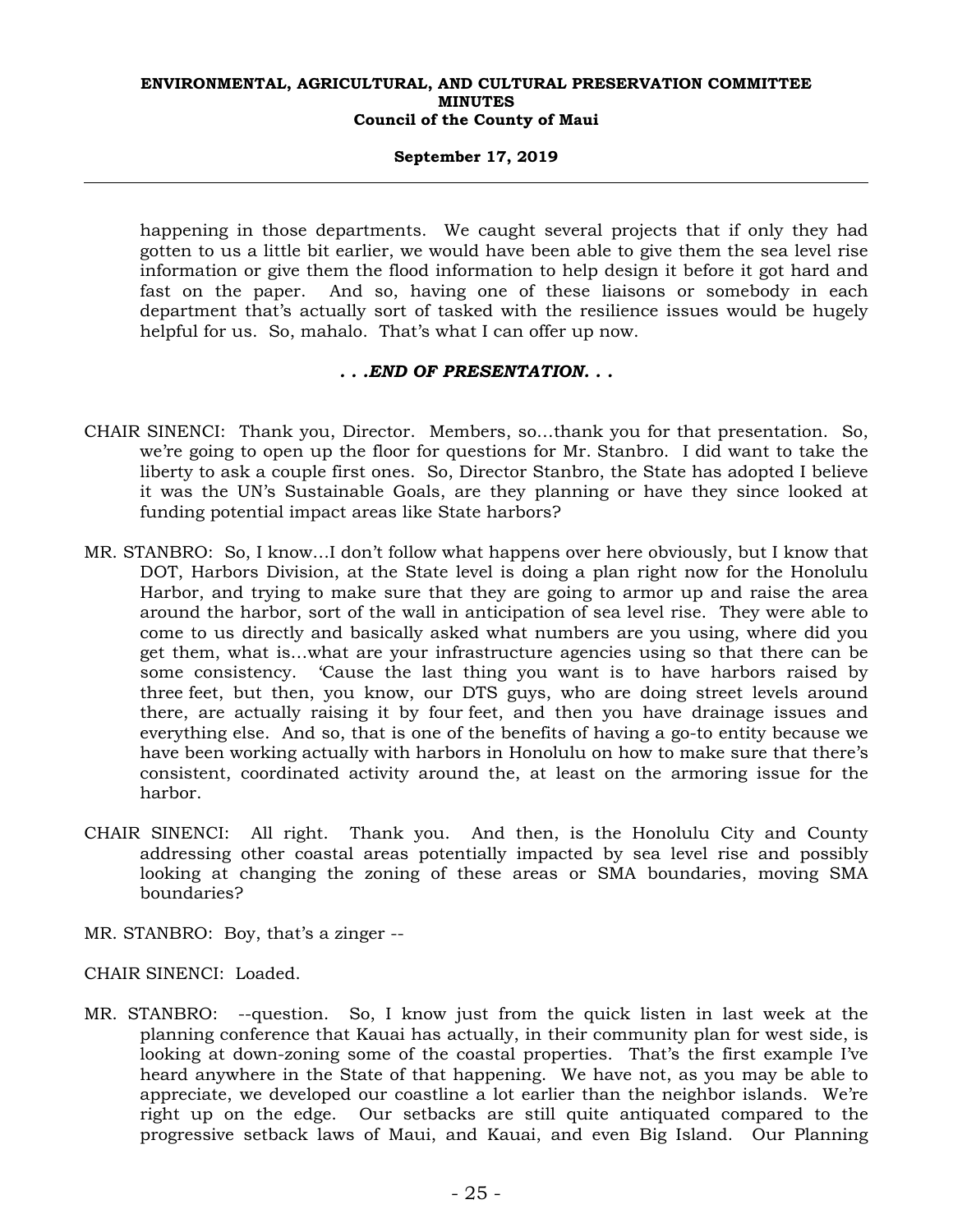## **September 17, 2019**

happening in those departments. We caught several projects that if only they had gotten to us a little bit earlier, we would have been able to give them the sea level rise information or give them the flood information to help design it before it got hard and fast on the paper. And so, having one of these liaisons or somebody in each department that's actually sort of tasked with the resilience issues would be hugely helpful for us. So, mahalo. That's what I can offer up now.

## *. . .END OF PRESENTATION. . .*

- CHAIR SINENCI: Thank you, Director. Members, so…thank you for that presentation. So, we're going to open up the floor for questions for Mr. Stanbro. I did want to take the liberty to ask a couple first ones. So, Director Stanbro, the State has adopted I believe it was the UN's Sustainable Goals, are they planning or have they since looked at funding potential impact areas like State harbors?
- MR. STANBRO: So, I know…I don't follow what happens over here obviously, but I know that DOT, Harbors Division, at the State level is doing a plan right now for the Honolulu Harbor, and trying to make sure that they are going to armor up and raise the area around the harbor, sort of the wall in anticipation of sea level rise. They were able to come to us directly and basically asked what numbers are you using, where did you get them, what is…what are your infrastructure agencies using so that there can be some consistency. 'Cause the last thing you want is to have harbors raised by three feet, but then, you know, our DTS guys, who are doing street levels around there, are actually raising it by four feet, and then you have drainage issues and everything else. And so, that is one of the benefits of having a go-to entity because we have been working actually with harbors in Honolulu on how to make sure that there's consistent, coordinated activity around the, at least on the armoring issue for the harbor.
- CHAIR SINENCI: All right. Thank you. And then, is the Honolulu City and County addressing other coastal areas potentially impacted by sea level rise and possibly looking at changing the zoning of these areas or SMA boundaries, moving SMA boundaries?
- MR. STANBRO: Boy, that's a zinger --
- CHAIR SINENCI: Loaded.
- MR. STANBRO: --question. So, I know just from the quick listen in last week at the planning conference that Kauai has actually, in their community plan for west side, is looking at down-zoning some of the coastal properties. That's the first example I've heard anywhere in the State of that happening. We have not, as you may be able to appreciate, we developed our coastline a lot earlier than the neighbor islands. We're right up on the edge. Our setbacks are still quite antiquated compared to the progressive setback laws of Maui, and Kauai, and even Big Island. Our Planning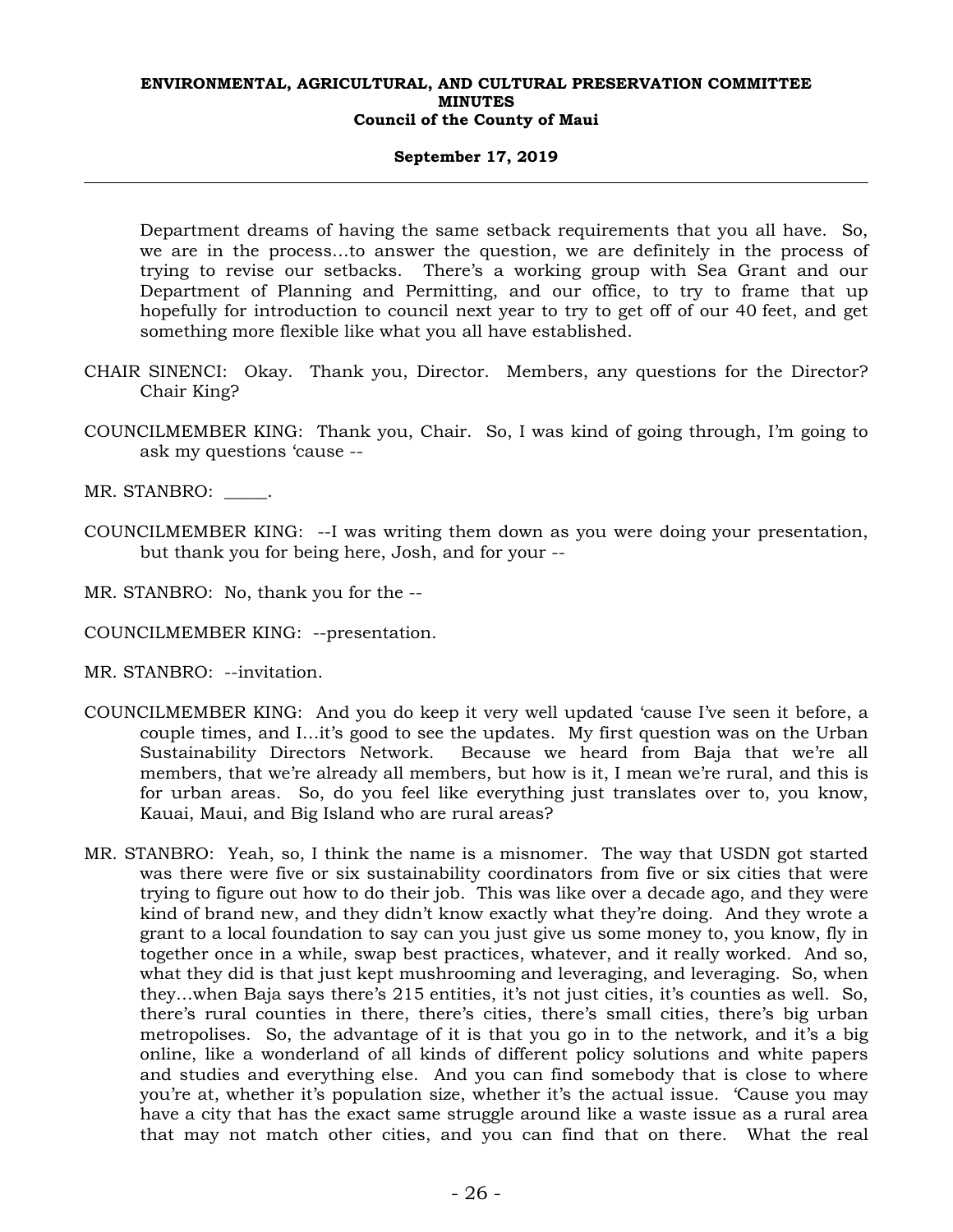## **September 17, 2019**

Department dreams of having the same setback requirements that you all have. So, we are in the process…to answer the question, we are definitely in the process of trying to revise our setbacks. There's a working group with Sea Grant and our Department of Planning and Permitting, and our office, to try to frame that up hopefully for introduction to council next year to try to get off of our 40 feet, and get something more flexible like what you all have established.

- CHAIR SINENCI: Okay. Thank you, Director. Members, any questions for the Director? Chair King?
- COUNCILMEMBER KING: Thank you, Chair. So, I was kind of going through, I'm going to ask my questions 'cause --

MR. STANBRO:  $\qquad \qquad$ 

COUNCILMEMBER KING: --I was writing them down as you were doing your presentation, but thank you for being here, Josh, and for your --

MR. STANBRO: No, thank you for the --

- COUNCILMEMBER KING: --presentation.
- MR. STANBRO: --invitation.
- COUNCILMEMBER KING: And you do keep it very well updated 'cause I've seen it before, a couple times, and I…it's good to see the updates. My first question was on the Urban Sustainability Directors Network. Because we heard from Baja that we're all members, that we're already all members, but how is it, I mean we're rural, and this is for urban areas. So, do you feel like everything just translates over to, you know, Kauai, Maui, and Big Island who are rural areas?
- MR. STANBRO: Yeah, so, I think the name is a misnomer. The way that USDN got started was there were five or six sustainability coordinators from five or six cities that were trying to figure out how to do their job. This was like over a decade ago, and they were kind of brand new, and they didn't know exactly what they're doing. And they wrote a grant to a local foundation to say can you just give us some money to, you know, fly in together once in a while, swap best practices, whatever, and it really worked. And so, what they did is that just kept mushrooming and leveraging, and leveraging. So, when they…when Baja says there's 215 entities, it's not just cities, it's counties as well. So, there's rural counties in there, there's cities, there's small cities, there's big urban metropolises. So, the advantage of it is that you go in to the network, and it's a big online, like a wonderland of all kinds of different policy solutions and white papers and studies and everything else. And you can find somebody that is close to where you're at, whether it's population size, whether it's the actual issue. 'Cause you may have a city that has the exact same struggle around like a waste issue as a rural area that may not match other cities, and you can find that on there. What the real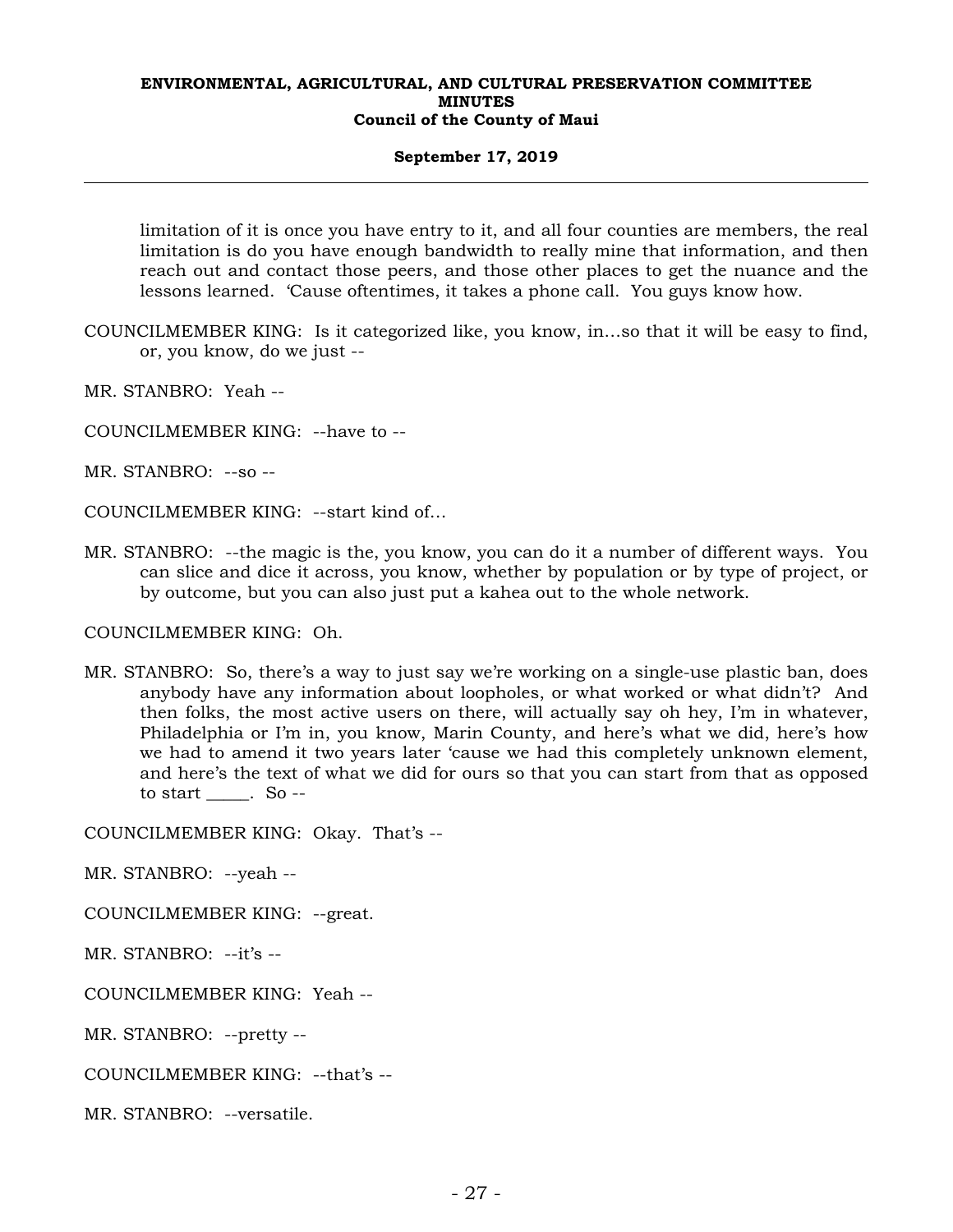## **September 17, 2019**

limitation of it is once you have entry to it, and all four counties are members, the real limitation is do you have enough bandwidth to really mine that information, and then reach out and contact those peers, and those other places to get the nuance and the lessons learned. 'Cause oftentimes, it takes a phone call. You guys know how.

- COUNCILMEMBER KING: Is it categorized like, you know, in…so that it will be easy to find, or, you know, do we just --
- MR. STANBRO: Yeah --
- COUNCILMEMBER KING: --have to --
- MR. STANBRO: --so --
- COUNCILMEMBER KING: --start kind of…
- MR. STANBRO: --the magic is the, you know, you can do it a number of different ways. You can slice and dice it across, you know, whether by population or by type of project, or by outcome, but you can also just put a kahea out to the whole network.

## COUNCILMEMBER KING: Oh.

MR. STANBRO: So, there's a way to just say we're working on a single-use plastic ban, does anybody have any information about loopholes, or what worked or what didn't? And then folks, the most active users on there, will actually say oh hey, I'm in whatever, Philadelphia or I'm in, you know, Marin County, and here's what we did, here's how we had to amend it two years later 'cause we had this completely unknown element, and here's the text of what we did for ours so that you can start from that as opposed to start \_\_\_\_\_. So --

COUNCILMEMBER KING: Okay. That's --

MR. STANBRO: --yeah --

COUNCILMEMBER KING: --great.

MR. STANBRO: --it's --

COUNCILMEMBER KING: Yeah --

MR. STANBRO: --pretty --

COUNCILMEMBER KING: --that's --

MR. STANBRO: --versatile.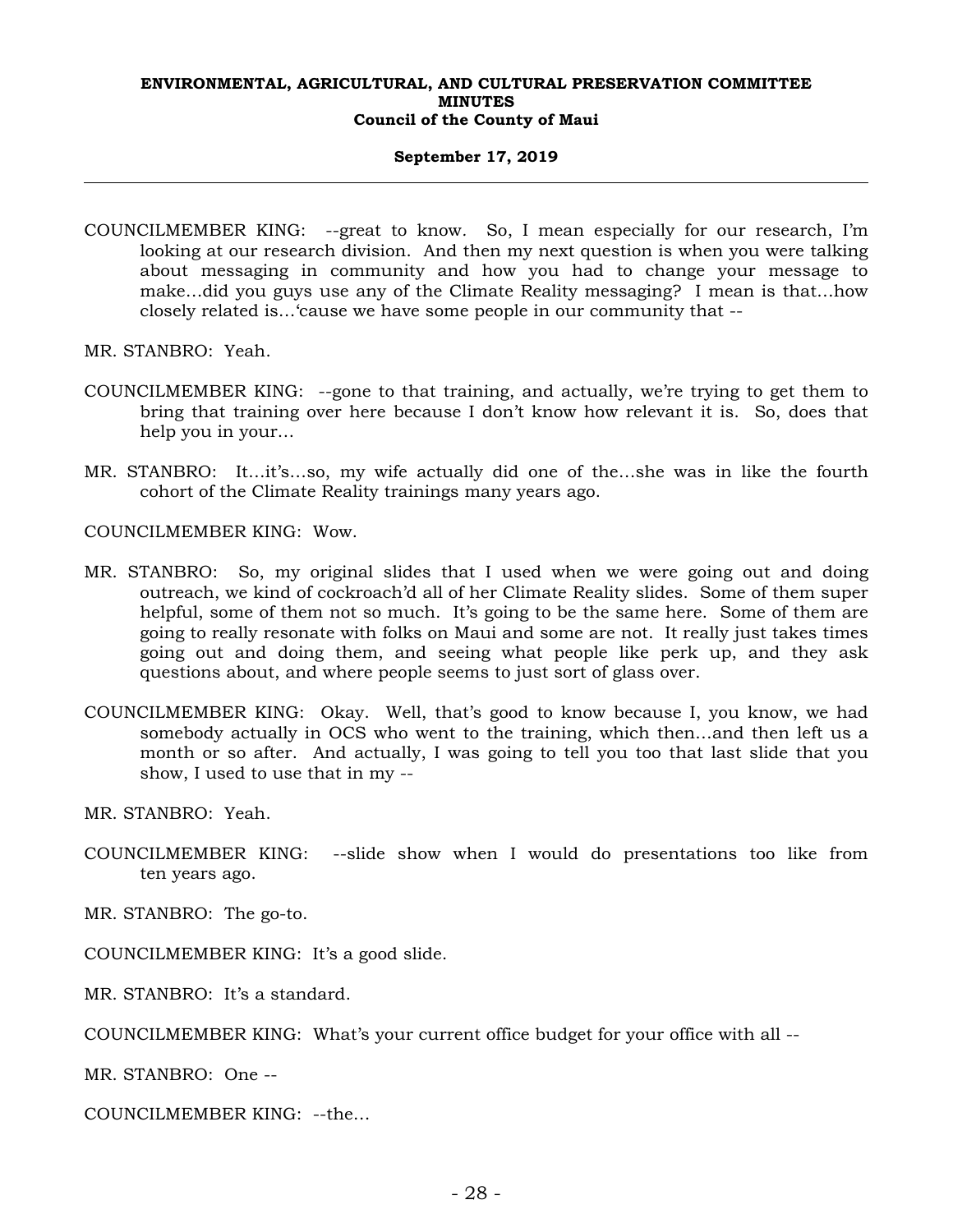## **September 17, 2019**

- COUNCILMEMBER KING: --great to know*.* So, I mean especially for our research, I'm looking at our research division. And then my next question is when you were talking about messaging in community and how you had to change your message to make…did you guys use any of the Climate Reality messaging? I mean is that…how closely related is…'cause we have some people in our community that --
- MR. STANBRO: Yeah.
- COUNCILMEMBER KING: --gone to that training, and actually, we're trying to get them to bring that training over here because I don't know how relevant it is. So, does that help you in your…
- MR. STANBRO: It…it's…so, my wife actually did one of the…she was in like the fourth cohort of the Climate Reality trainings many years ago.

COUNCILMEMBER KING: Wow.

- MR. STANBRO: So, my original slides that I used when we were going out and doing outreach, we kind of cockroach'd all of her Climate Reality slides. Some of them super helpful, some of them not so much. It's going to be the same here. Some of them are going to really resonate with folks on Maui and some are not. It really just takes times going out and doing them, and seeing what people like perk up, and they ask questions about, and where people seems to just sort of glass over.
- COUNCILMEMBER KING: Okay. Well, that's good to know because I, you know, we had somebody actually in OCS who went to the training, which then…and then left us a month or so after. And actually, I was going to tell you too that last slide that you show, I used to use that in my --

MR. STANBRO: Yeah.

COUNCILMEMBER KING: --slide show when I would do presentations too like from ten years ago.

MR. STANBRO: The go-to.

COUNCILMEMBER KING: It's a good slide.

MR. STANBRO: It's a standard.

COUNCILMEMBER KING: What's your current office budget for your office with all --

MR. STANBRO: One --

COUNCILMEMBER KING: --the…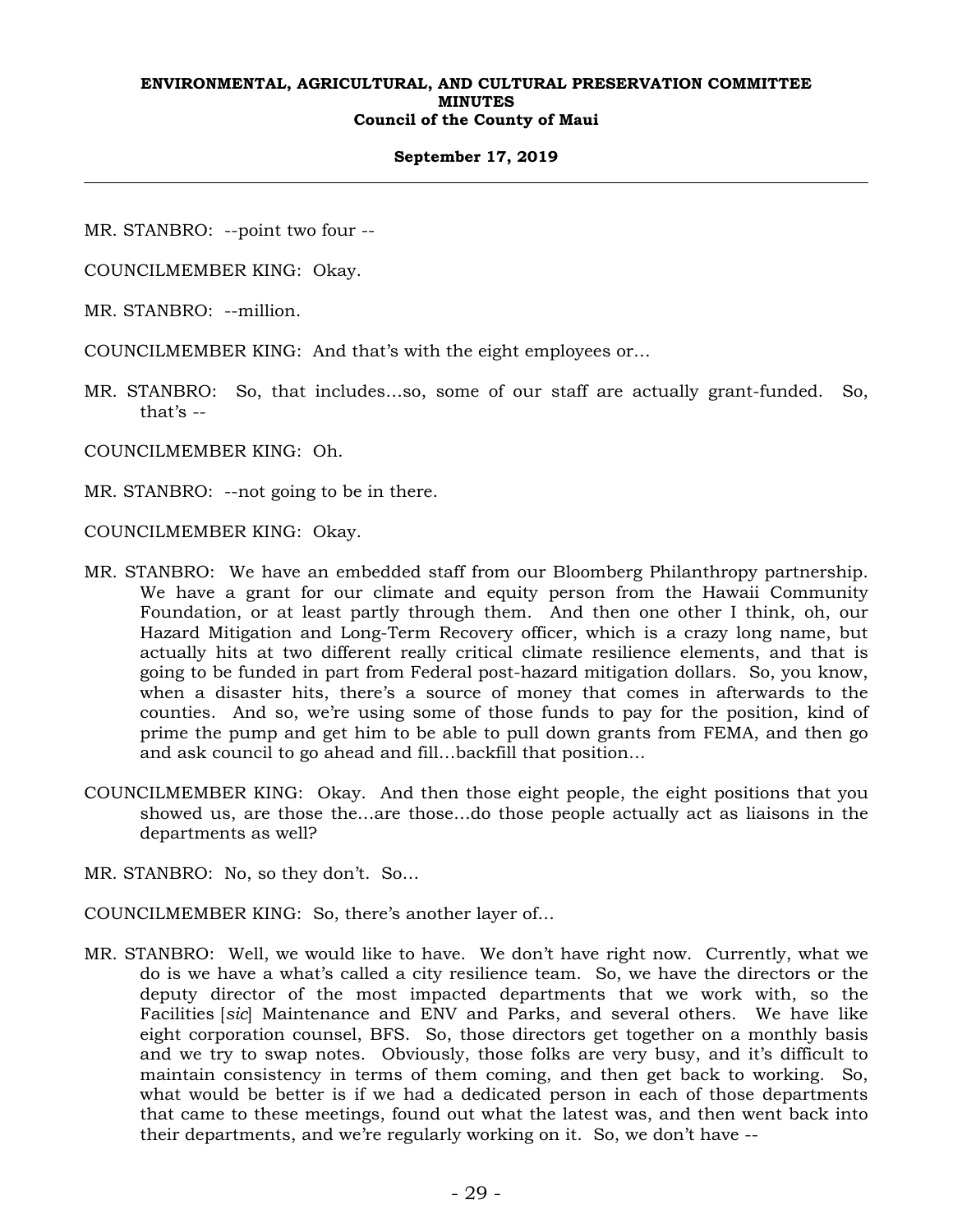## **September 17, 2019**

MR. STANBRO: --point two four --

COUNCILMEMBER KING: Okay.

MR. STANBRO: --million.

COUNCILMEMBER KING: And that's with the eight employees or…

MR. STANBRO: So, that includes…so, some of our staff are actually grant-funded. So, that's --

COUNCILMEMBER KING: Oh.

MR. STANBRO: --not going to be in there.

COUNCILMEMBER KING: Okay.

- MR. STANBRO: We have an embedded staff from our Bloomberg Philanthropy partnership. We have a grant for our climate and equity person from the Hawaii Community Foundation, or at least partly through them. And then one other I think, oh, our Hazard Mitigation and Long-Term Recovery officer, which is a crazy long name, but actually hits at two different really critical climate resilience elements, and that is going to be funded in part from Federal post-hazard mitigation dollars. So, you know, when a disaster hits, there's a source of money that comes in afterwards to the counties. And so, we're using some of those funds to pay for the position, kind of prime the pump and get him to be able to pull down grants from FEMA, and then go and ask council to go ahead and fill…backfill that position…
- COUNCILMEMBER KING: Okay. And then those eight people, the eight positions that you showed us, are those the…are those…do those people actually act as liaisons in the departments as well?
- MR. STANBRO: No, so they don't. So…

COUNCILMEMBER KING: So, there's another layer of…

MR. STANBRO: Well, we would like to have. We don't have right now. Currently, what we do is we have a what's called a city resilience team. So, we have the directors or the deputy director of the most impacted departments that we work with, so the Facilities [*sic*] Maintenance and ENV and Parks, and several others. We have like eight corporation counsel, BFS. So, those directors get together on a monthly basis and we try to swap notes. Obviously, those folks are very busy, and it's difficult to maintain consistency in terms of them coming, and then get back to working. So, what would be better is if we had a dedicated person in each of those departments that came to these meetings, found out what the latest was, and then went back into their departments, and we're regularly working on it. So, we don't have --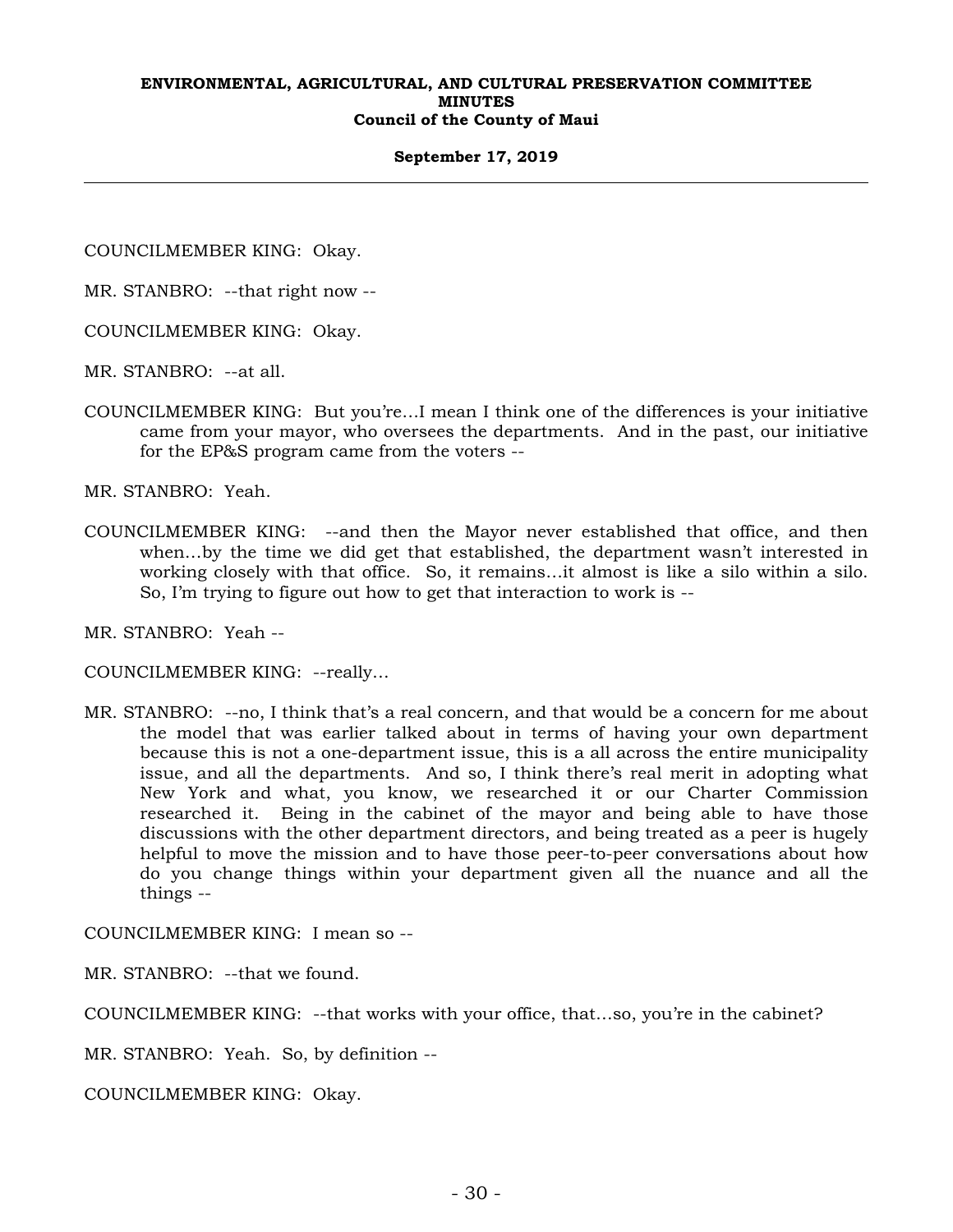## **September 17, 2019**

COUNCILMEMBER KING: Okay.

MR. STANBRO: --that right now --

COUNCILMEMBER KING: Okay.

MR. STANBRO: --at all.

COUNCILMEMBER KING: But you're…I mean I think one of the differences is your initiative came from your mayor, who oversees the departments. And in the past, our initiative for the EP&S program came from the voters --

MR. STANBRO: Yeah.

COUNCILMEMBER KING: --and then the Mayor never established that office, and then when…by the time we did get that established, the department wasn't interested in working closely with that office. So, it remains…it almost is like a silo within a silo. So, I'm trying to figure out how to get that interaction to work is --

MR. STANBRO: Yeah --

COUNCILMEMBER KING: --really…

MR. STANBRO: --no, I think that's a real concern, and that would be a concern for me about the model that was earlier talked about in terms of having your own department because this is not a one-department issue, this is a all across the entire municipality issue, and all the departments. And so, I think there's real merit in adopting what New York and what, you know, we researched it or our Charter Commission researched it. Being in the cabinet of the mayor and being able to have those discussions with the other department directors, and being treated as a peer is hugely helpful to move the mission and to have those peer-to-peer conversations about how do you change things within your department given all the nuance and all the things --

COUNCILMEMBER KING: I mean so --

MR. STANBRO: --that we found.

COUNCILMEMBER KING: --that works with your office, that…so, you're in the cabinet?

MR. STANBRO: Yeah. So, by definition --

COUNCILMEMBER KING: Okay.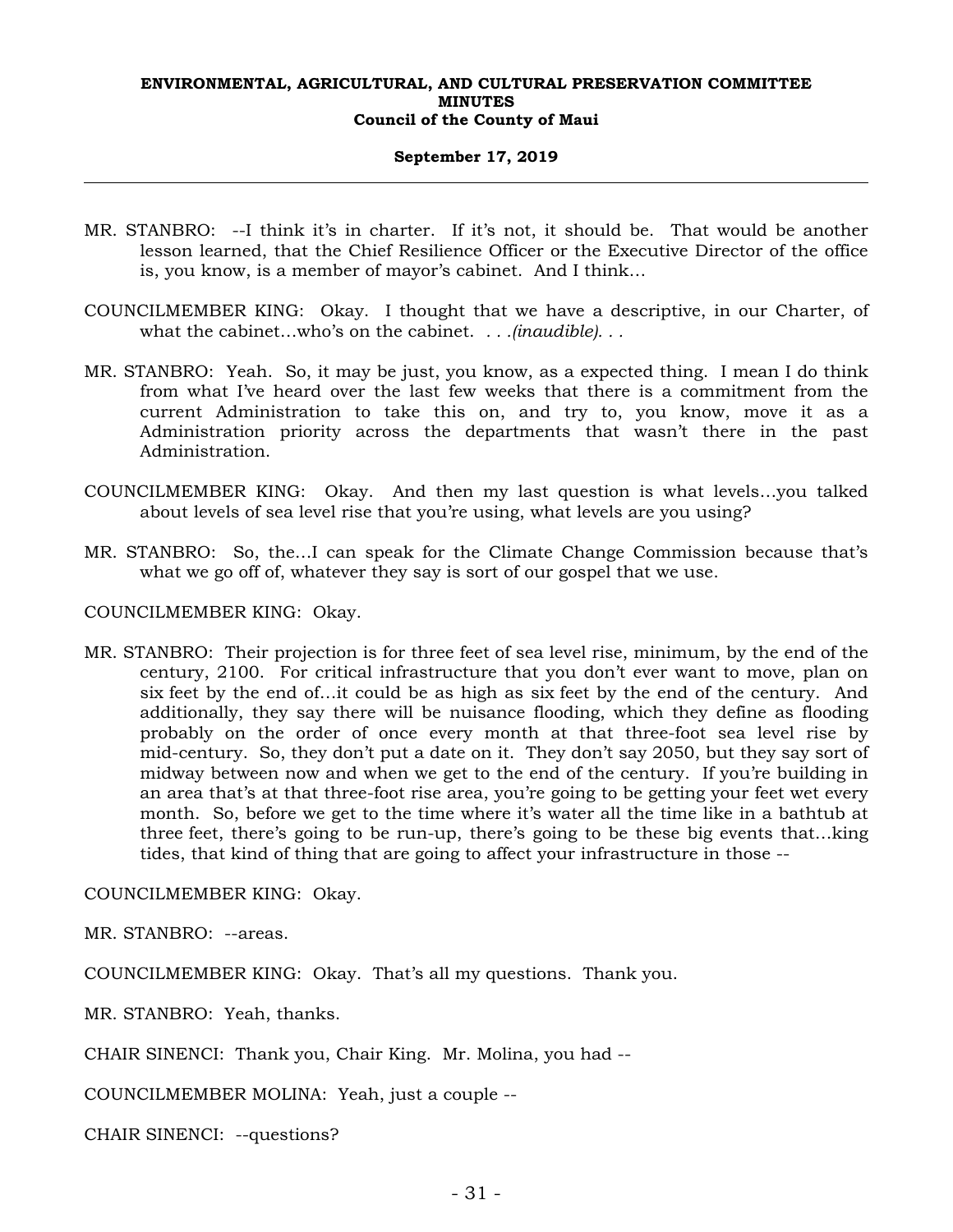## **September 17, 2019**

- MR. STANBRO: --I think it's in charter. If it's not, it should be. That would be another lesson learned, that the Chief Resilience Officer or the Executive Director of the office is, you know, is a member of mayor's cabinet. And I think…
- COUNCILMEMBER KING: Okay. I thought that we have a descriptive, in our Charter, of what the cabinet…who's on the cabinet. *. . .(inaudible). . .*
- MR. STANBRO: Yeah. So, it may be just, you know, as a expected thing. I mean I do think from what I've heard over the last few weeks that there is a commitment from the current Administration to take this on, and try to, you know, move it as a Administration priority across the departments that wasn't there in the past Administration.
- COUNCILMEMBER KING: Okay. And then my last question is what levels…you talked about levels of sea level rise that you're using, what levels are you using?
- MR. STANBRO: So, the…I can speak for the Climate Change Commission because that's what we go off of, whatever they say is sort of our gospel that we use.

COUNCILMEMBER KING: Okay.

MR. STANBRO: Their projection is for three feet of sea level rise, minimum, by the end of the century, 2100. For critical infrastructure that you don't ever want to move, plan on six feet by the end of…it could be as high as six feet by the end of the century. And additionally, they say there will be nuisance flooding, which they define as flooding probably on the order of once every month at that three-foot sea level rise by mid-century. So, they don't put a date on it. They don't say 2050, but they say sort of midway between now and when we get to the end of the century. If you're building in an area that's at that three-foot rise area, you're going to be getting your feet wet every month. So, before we get to the time where it's water all the time like in a bathtub at three feet, there's going to be run-up, there's going to be these big events that…king tides, that kind of thing that are going to affect your infrastructure in those --

COUNCILMEMBER KING: Okay.

MR. STANBRO: --areas.

COUNCILMEMBER KING: Okay. That's all my questions. Thank you.

MR. STANBRO: Yeah, thanks.

CHAIR SINENCI: Thank you, Chair King. Mr. Molina, you had --

COUNCILMEMBER MOLINA: Yeah, just a couple --

CHAIR SINENCI: --questions?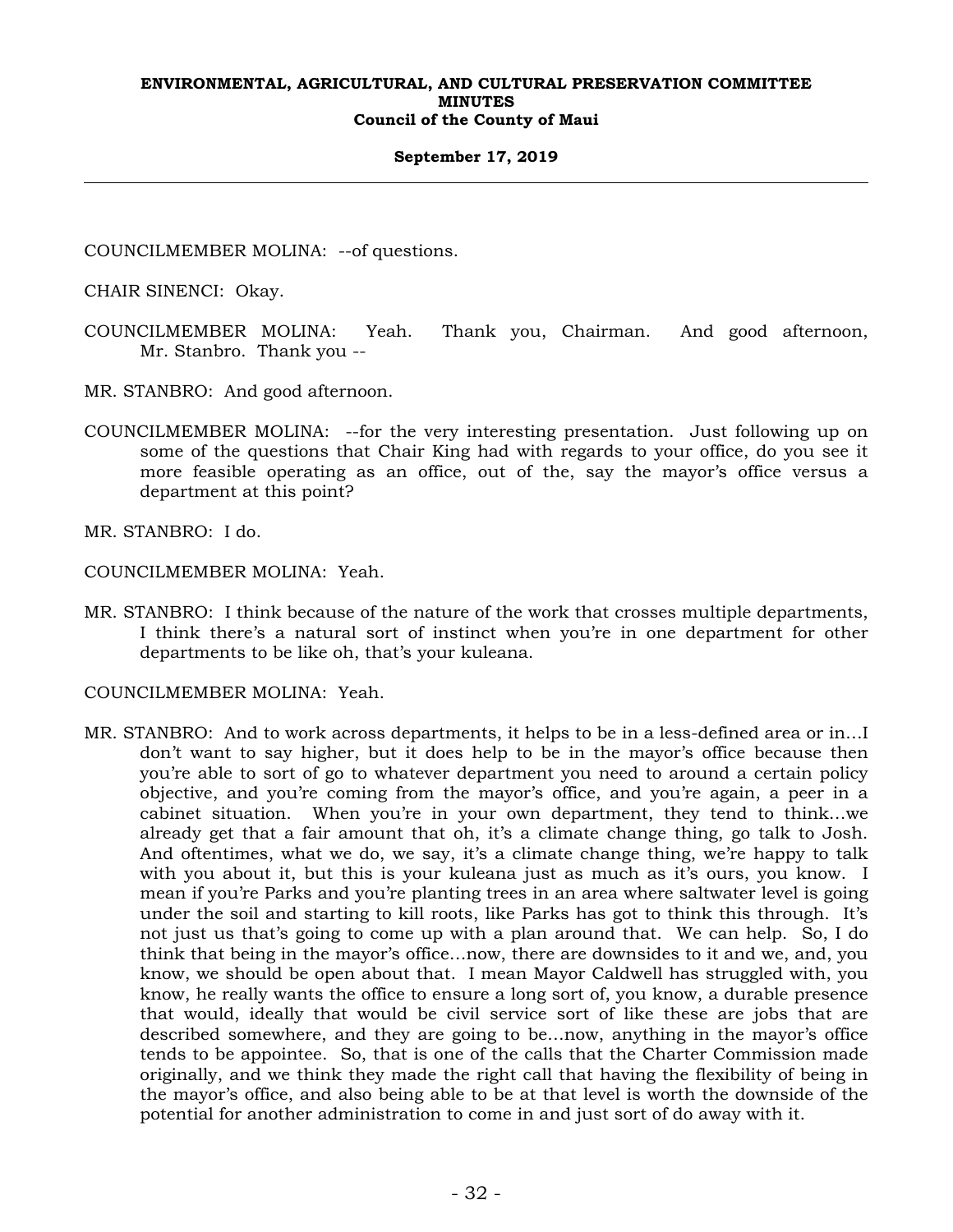## **September 17, 2019**

COUNCILMEMBER MOLINA: --of questions.

CHAIR SINENCI: Okay.

- COUNCILMEMBER MOLINA: Yeah. Thank you, Chairman. And good afternoon, Mr. Stanbro. Thank you --
- MR. STANBRO: And good afternoon.
- COUNCILMEMBER MOLINA: --for the very interesting presentation. Just following up on some of the questions that Chair King had with regards to your office, do you see it more feasible operating as an office, out of the, say the mayor's office versus a department at this point?

MR. STANBRO: I do.

COUNCILMEMBER MOLINA: Yeah.

MR. STANBRO: I think because of the nature of the work that crosses multiple departments, I think there's a natural sort of instinct when you're in one department for other departments to be like oh, that's your kuleana.

COUNCILMEMBER MOLINA: Yeah.

MR. STANBRO: And to work across departments, it helps to be in a less-defined area or in…I don't want to say higher, but it does help to be in the mayor's office because then you're able to sort of go to whatever department you need to around a certain policy objective, and you're coming from the mayor's office, and you're again, a peer in a cabinet situation. When you're in your own department, they tend to think…we already get that a fair amount that oh, it's a climate change thing, go talk to Josh. And oftentimes, what we do, we say, it's a climate change thing, we're happy to talk with you about it, but this is your kuleana just as much as it's ours, you know. I mean if you're Parks and you're planting trees in an area where saltwater level is going under the soil and starting to kill roots, like Parks has got to think this through. It's not just us that's going to come up with a plan around that. We can help. So, I do think that being in the mayor's office…now, there are downsides to it and we, and, you know, we should be open about that. I mean Mayor Caldwell has struggled with, you know, he really wants the office to ensure a long sort of, you know, a durable presence that would, ideally that would be civil service sort of like these are jobs that are described somewhere, and they are going to be…now, anything in the mayor's office tends to be appointee. So, that is one of the calls that the Charter Commission made originally, and we think they made the right call that having the flexibility of being in the mayor's office, and also being able to be at that level is worth the downside of the potential for another administration to come in and just sort of do away with it.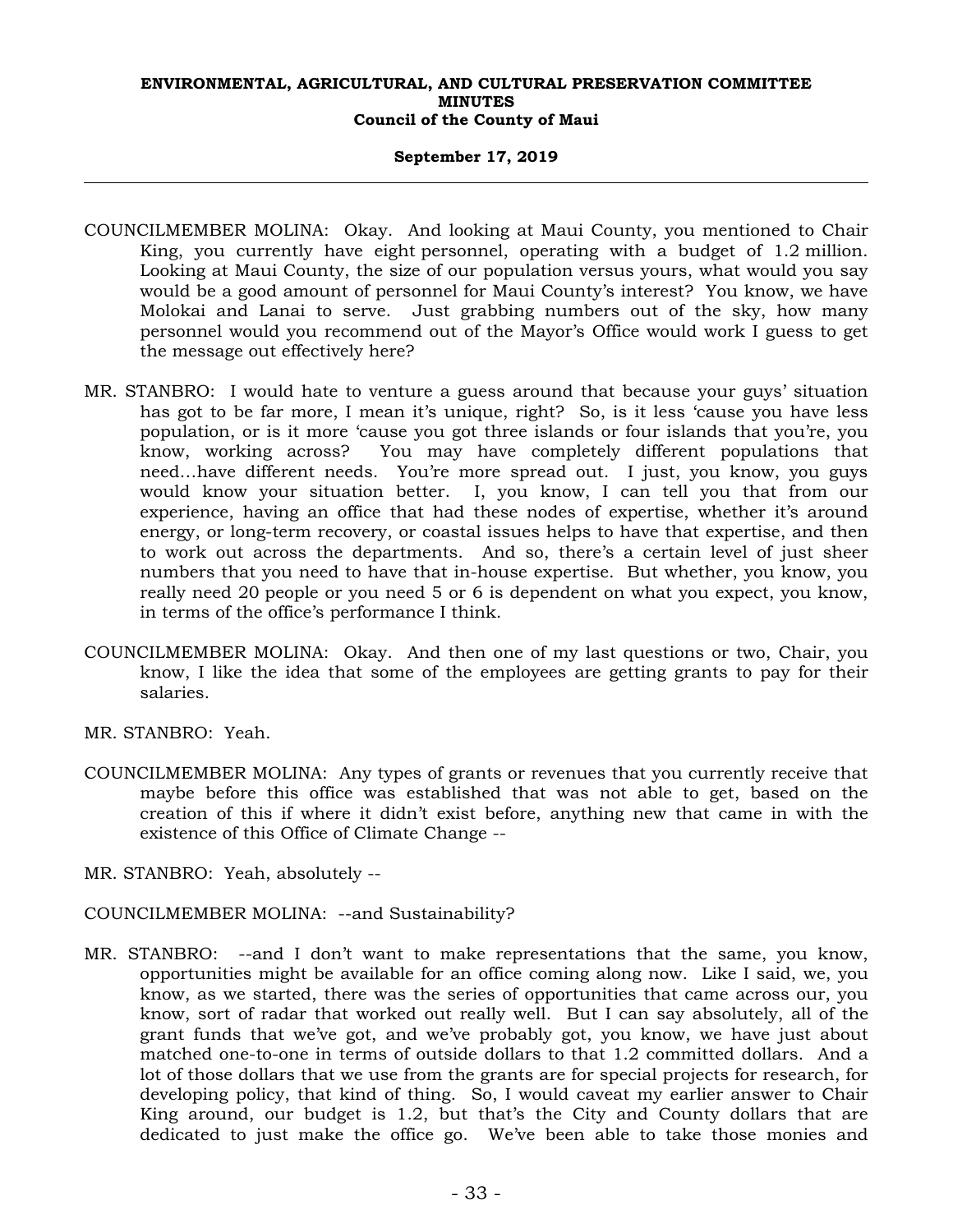## **September 17, 2019**

- COUNCILMEMBER MOLINA: Okay. And looking at Maui County, you mentioned to Chair King, you currently have eight personnel, operating with a budget of 1.2 million. Looking at Maui County, the size of our population versus yours, what would you say would be a good amount of personnel for Maui County's interest? You know, we have Molokai and Lanai to serve. Just grabbing numbers out of the sky, how many personnel would you recommend out of the Mayor's Office would work I guess to get the message out effectively here?
- MR. STANBRO: I would hate to venture a guess around that because your guys' situation has got to be far more, I mean it's unique, right? So, is it less 'cause you have less population, or is it more 'cause you got three islands or four islands that you're, you know, working across? You may have completely different populations that need…have different needs. You're more spread out. I just, you know, you guys would know your situation better. I, you know, I can tell you that from our experience, having an office that had these nodes of expertise, whether it's around energy, or long-term recovery, or coastal issues helps to have that expertise, and then to work out across the departments. And so, there's a certain level of just sheer numbers that you need to have that in-house expertise. But whether, you know, you really need 20 people or you need 5 or 6 is dependent on what you expect, you know, in terms of the office's performance I think.
- COUNCILMEMBER MOLINA: Okay. And then one of my last questions or two, Chair, you know, I like the idea that some of the employees are getting grants to pay for their salaries.
- MR. STANBRO: Yeah.
- COUNCILMEMBER MOLINA: Any types of grants or revenues that you currently receive that maybe before this office was established that was not able to get, based on the creation of this if where it didn't exist before, anything new that came in with the existence of this Office of Climate Change --
- MR. STANBRO: Yeah, absolutely --
- COUNCILMEMBER MOLINA: --and Sustainability?
- MR. STANBRO: --and I don't want to make representations that the same, you know, opportunities might be available for an office coming along now. Like I said, we, you know, as we started, there was the series of opportunities that came across our, you know, sort of radar that worked out really well. But I can say absolutely, all of the grant funds that we've got, and we've probably got, you know, we have just about matched one-to-one in terms of outside dollars to that 1.2 committed dollars. And a lot of those dollars that we use from the grants are for special projects for research, for developing policy, that kind of thing. So, I would caveat my earlier answer to Chair King around, our budget is 1.2, but that's the City and County dollars that are dedicated to just make the office go. We've been able to take those monies and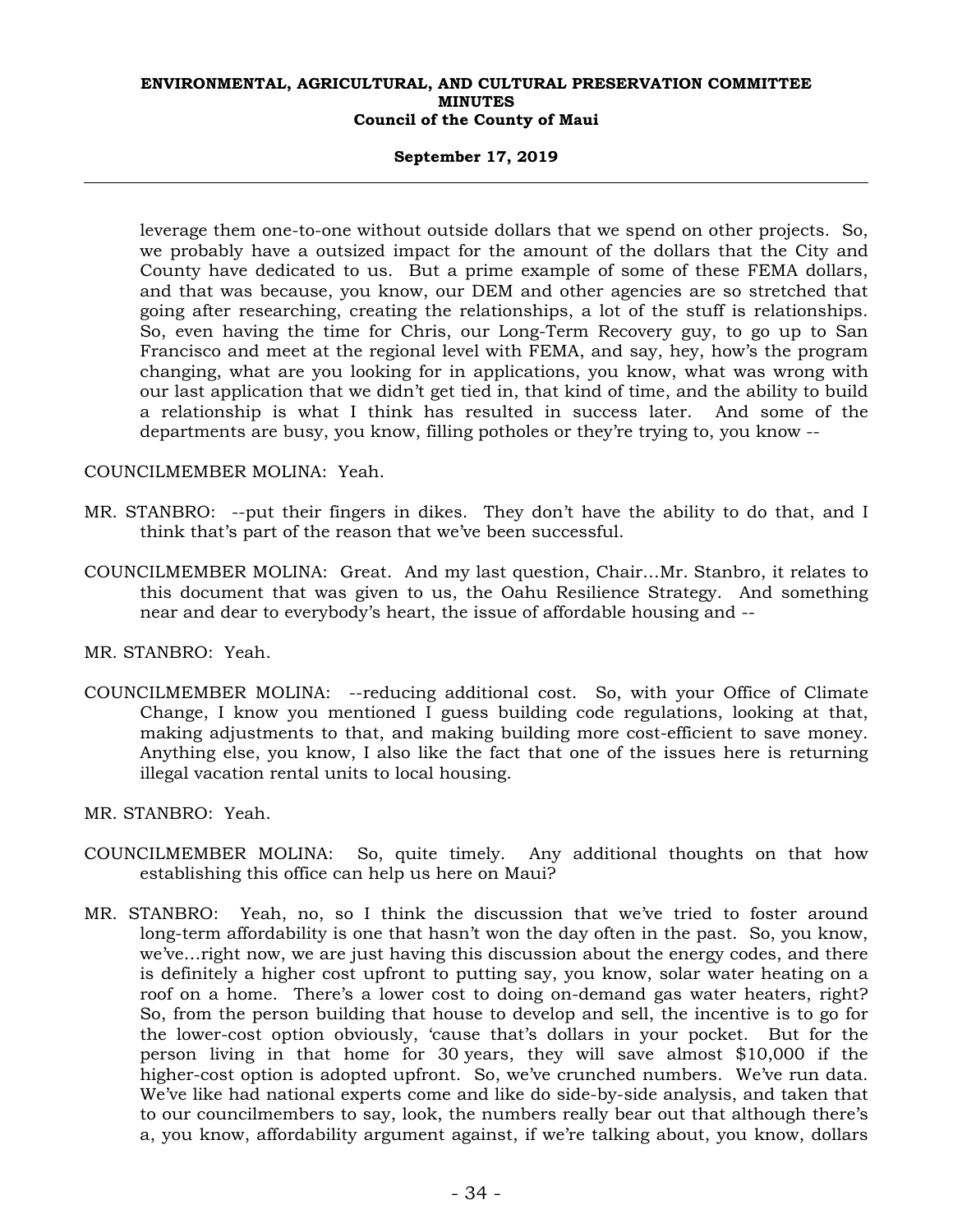## **September 17, 2019**

leverage them one-to-one without outside dollars that we spend on other projects. So, we probably have a outsized impact for the amount of the dollars that the City and County have dedicated to us. But a prime example of some of these FEMA dollars, and that was because, you know, our DEM and other agencies are so stretched that going after researching, creating the relationships, a lot of the stuff is relationships. So, even having the time for Chris, our Long-Term Recovery guy, to go up to San Francisco and meet at the regional level with FEMA, and say, hey, how's the program changing, what are you looking for in applications, you know, what was wrong with our last application that we didn't get tied in, that kind of time, and the ability to build a relationship is what I think has resulted in success later. And some of the departments are busy, you know, filling potholes or they're trying to, you know --

## COUNCILMEMBER MOLINA: Yeah.

- MR. STANBRO: --put their fingers in dikes. They don't have the ability to do that, and I think that's part of the reason that we've been successful.
- COUNCILMEMBER MOLINA: Great. And my last question, Chair…Mr. Stanbro, it relates to this document that was given to us, the Oahu Resilience Strategy. And something near and dear to everybody's heart, the issue of affordable housing and --

MR. STANBRO: Yeah.

- COUNCILMEMBER MOLINA: --reducing additional cost. So, with your Office of Climate Change, I know you mentioned I guess building code regulations, looking at that, making adjustments to that, and making building more cost-efficient to save money. Anything else, you know, I also like the fact that one of the issues here is returning illegal vacation rental units to local housing.
- MR. STANBRO: Yeah.
- COUNCILMEMBER MOLINA: So, quite timely. Any additional thoughts on that how establishing this office can help us here on Maui?
- MR. STANBRO: Yeah, no, so I think the discussion that we've tried to foster around long-term affordability is one that hasn't won the day often in the past. So, you know, we've…right now, we are just having this discussion about the energy codes, and there is definitely a higher cost upfront to putting say, you know, solar water heating on a roof on a home. There's a lower cost to doing on-demand gas water heaters, right? So, from the person building that house to develop and sell, the incentive is to go for the lower-cost option obviously, 'cause that's dollars in your pocket. But for the person living in that home for 30 years, they will save almost \$10,000 if the higher-cost option is adopted upfront. So, we've crunched numbers. We've run data. We've like had national experts come and like do side-by-side analysis, and taken that to our councilmembers to say, look, the numbers really bear out that although there's a, you know, affordability argument against, if we're talking about, you know, dollars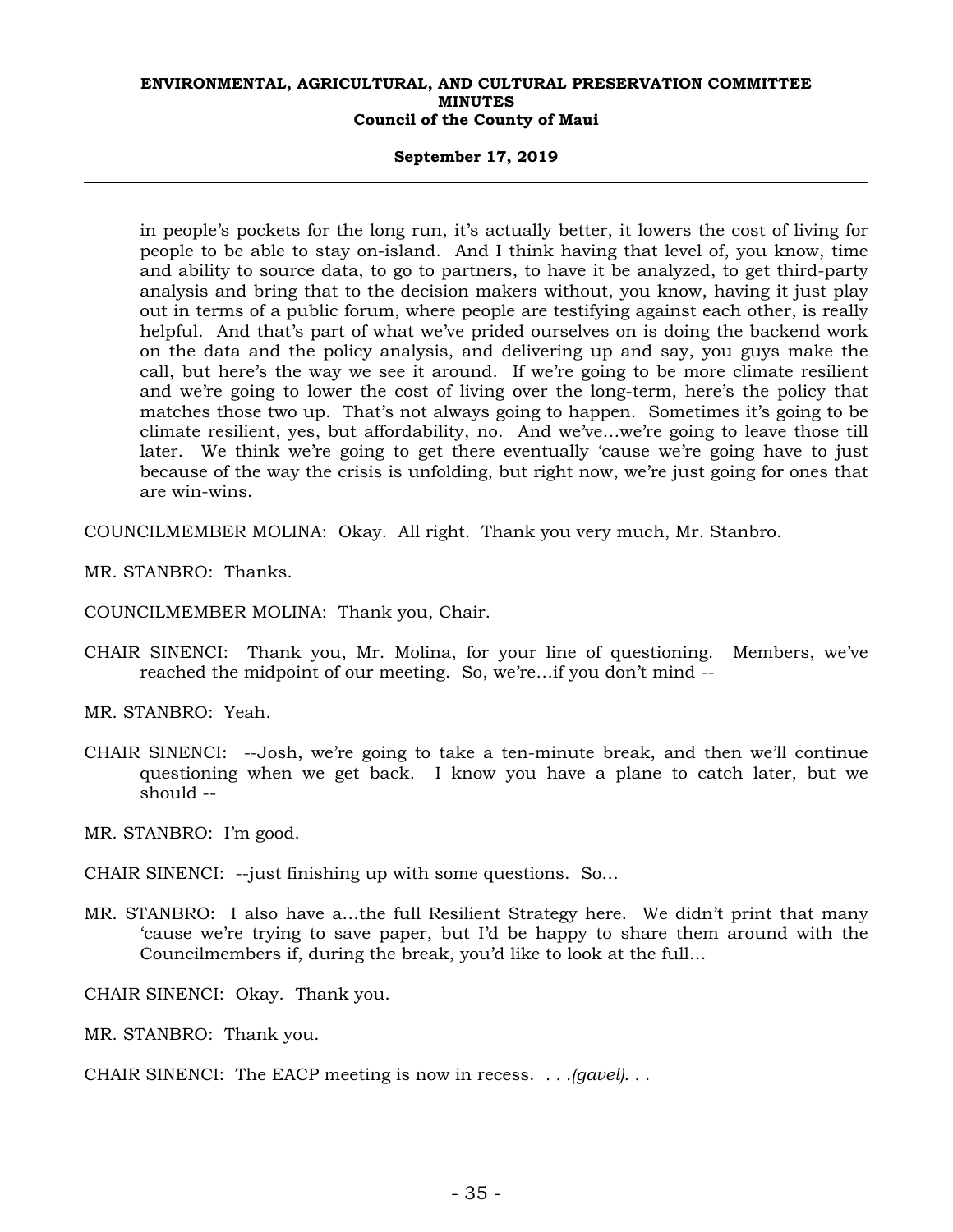## **September 17, 2019**

in people's pockets for the long run, it's actually better, it lowers the cost of living for people to be able to stay on-island. And I think having that level of, you know, time and ability to source data, to go to partners, to have it be analyzed, to get third-party analysis and bring that to the decision makers without, you know, having it just play out in terms of a public forum, where people are testifying against each other, is really helpful. And that's part of what we've prided ourselves on is doing the backend work on the data and the policy analysis, and delivering up and say, you guys make the call, but here's the way we see it around. If we're going to be more climate resilient and we're going to lower the cost of living over the long-term, here's the policy that matches those two up. That's not always going to happen. Sometimes it's going to be climate resilient, yes, but affordability, no. And we've…we're going to leave those till later. We think we're going to get there eventually 'cause we're going have to just because of the way the crisis is unfolding, but right now, we're just going for ones that are win-wins.

COUNCILMEMBER MOLINA: Okay. All right. Thank you very much, Mr. Stanbro.

MR. STANBRO: Thanks.

COUNCILMEMBER MOLINA: Thank you, Chair.

CHAIR SINENCI: Thank you, Mr. Molina, for your line of questioning. Members, we've reached the midpoint of our meeting. So, we're…if you don't mind --

MR. STANBRO: Yeah.

CHAIR SINENCI: --Josh, we're going to take a ten-minute break, and then we'll continue questioning when we get back. I know you have a plane to catch later, but we should --

MR. STANBRO: I'm good.

CHAIR SINENCI: --just finishing up with some questions. So…

MR. STANBRO: I also have a…the full Resilient Strategy here. We didn't print that many 'cause we're trying to save paper, but I'd be happy to share them around with the Councilmembers if, during the break, you'd like to look at the full…

CHAIR SINENCI: Okay. Thank you.

MR. STANBRO: Thank you.

CHAIR SINENCI: The EACP meeting is now in recess. *. . .(gavel). . .*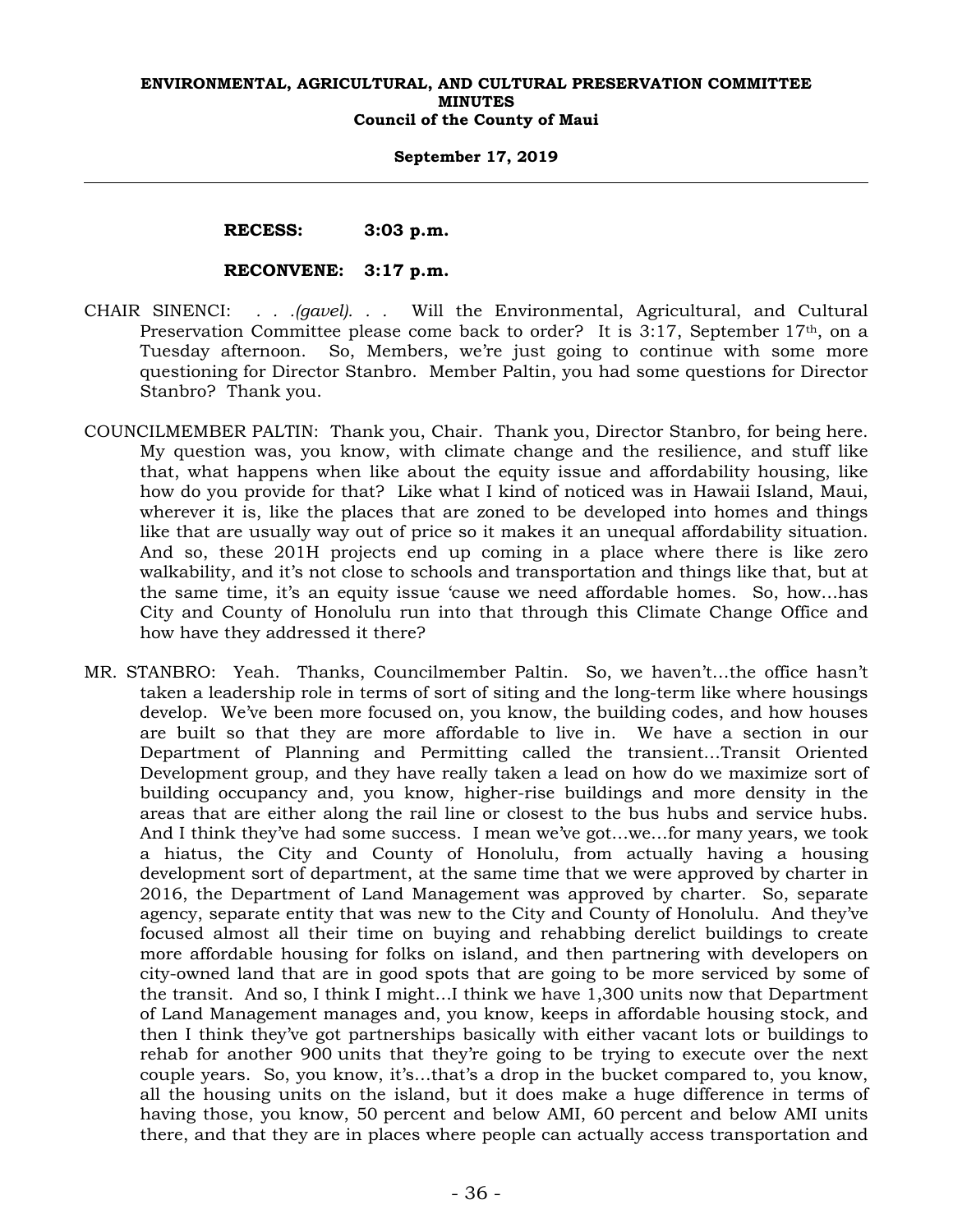## **September 17, 2019**

 **RECESS: 3:03 p.m.** 

## **RECONVENE: 3:17 p.m.**

- CHAIR SINENCI: *. . .(gavel). . .* Will the Environmental, Agricultural, and Cultural Preservation Committee please come back to order? It is 3:17, September 17th, on a Tuesday afternoon. So, Members, we're just going to continue with some more questioning for Director Stanbro. Member Paltin, you had some questions for Director Stanbro? Thank you.
- COUNCILMEMBER PALTIN: Thank you, Chair. Thank you, Director Stanbro, for being here. My question was, you know, with climate change and the resilience, and stuff like that, what happens when like about the equity issue and affordability housing, like how do you provide for that? Like what I kind of noticed was in Hawaii Island, Maui, wherever it is, like the places that are zoned to be developed into homes and things like that are usually way out of price so it makes it an unequal affordability situation. And so, these 201H projects end up coming in a place where there is like zero walkability, and it's not close to schools and transportation and things like that, but at the same time, it's an equity issue 'cause we need affordable homes. So, how…has City and County of Honolulu run into that through this Climate Change Office and how have they addressed it there?
- MR. STANBRO: Yeah. Thanks, Councilmember Paltin. So, we haven't…the office hasn't taken a leadership role in terms of sort of siting and the long-term like where housings develop. We've been more focused on, you know, the building codes, and how houses are built so that they are more affordable to live in. We have a section in our Department of Planning and Permitting called the transient…Transit Oriented Development group, and they have really taken a lead on how do we maximize sort of building occupancy and, you know, higher-rise buildings and more density in the areas that are either along the rail line or closest to the bus hubs and service hubs. And I think they've had some success. I mean we've got…we…for many years, we took a hiatus, the City and County of Honolulu, from actually having a housing development sort of department, at the same time that we were approved by charter in 2016, the Department of Land Management was approved by charter. So, separate agency, separate entity that was new to the City and County of Honolulu. And they've focused almost all their time on buying and rehabbing derelict buildings to create more affordable housing for folks on island, and then partnering with developers on city-owned land that are in good spots that are going to be more serviced by some of the transit. And so, I think I might…I think we have 1,300 units now that Department of Land Management manages and, you know, keeps in affordable housing stock, and then I think they've got partnerships basically with either vacant lots or buildings to rehab for another 900 units that they're going to be trying to execute over the next couple years. So, you know, it's…that's a drop in the bucket compared to, you know, all the housing units on the island, but it does make a huge difference in terms of having those, you know, 50 percent and below AMI, 60 percent and below AMI units there, and that they are in places where people can actually access transportation and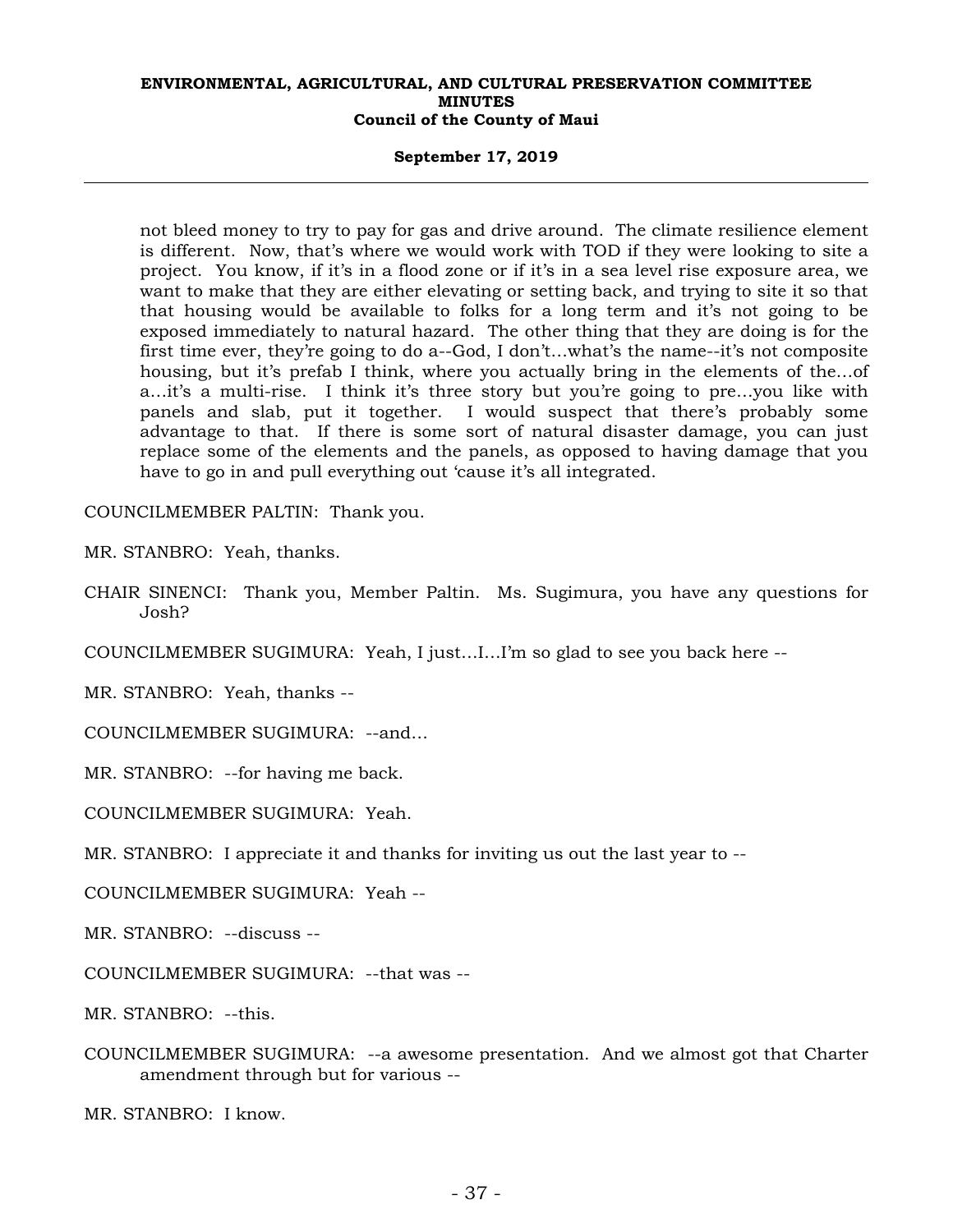## **September 17, 2019**

not bleed money to try to pay for gas and drive around. The climate resilience element is different. Now, that's where we would work with TOD if they were looking to site a project. You know, if it's in a flood zone or if it's in a sea level rise exposure area, we want to make that they are either elevating or setting back, and trying to site it so that that housing would be available to folks for a long term and it's not going to be exposed immediately to natural hazard. The other thing that they are doing is for the first time ever, they're going to do a--God, I don't…what's the name--it's not composite housing, but it's prefab I think, where you actually bring in the elements of the…of a…it's a multi-rise. I think it's three story but you're going to pre…you like with panels and slab, put it together. I would suspect that there's probably some advantage to that. If there is some sort of natural disaster damage, you can just replace some of the elements and the panels, as opposed to having damage that you have to go in and pull everything out 'cause it's all integrated.

COUNCILMEMBER PALTIN: Thank you.

MR. STANBRO: Yeah, thanks.

CHAIR SINENCI: Thank you, Member Paltin. Ms. Sugimura, you have any questions for Josh?

COUNCILMEMBER SUGIMURA: Yeah, I just…I…I'm so glad to see you back here --

MR. STANBRO: Yeah, thanks --

COUNCILMEMBER SUGIMURA: --and…

MR. STANBRO: --for having me back.

COUNCILMEMBER SUGIMURA: Yeah.

MR. STANBRO: I appreciate it and thanks for inviting us out the last year to --

COUNCILMEMBER SUGIMURA: Yeah --

MR. STANBRO: --discuss --

COUNCILMEMBER SUGIMURA: --that was --

MR. STANBRO: --this.

COUNCILMEMBER SUGIMURA: --a awesome presentation. And we almost got that Charter amendment through but for various --

MR. STANBRO: I know.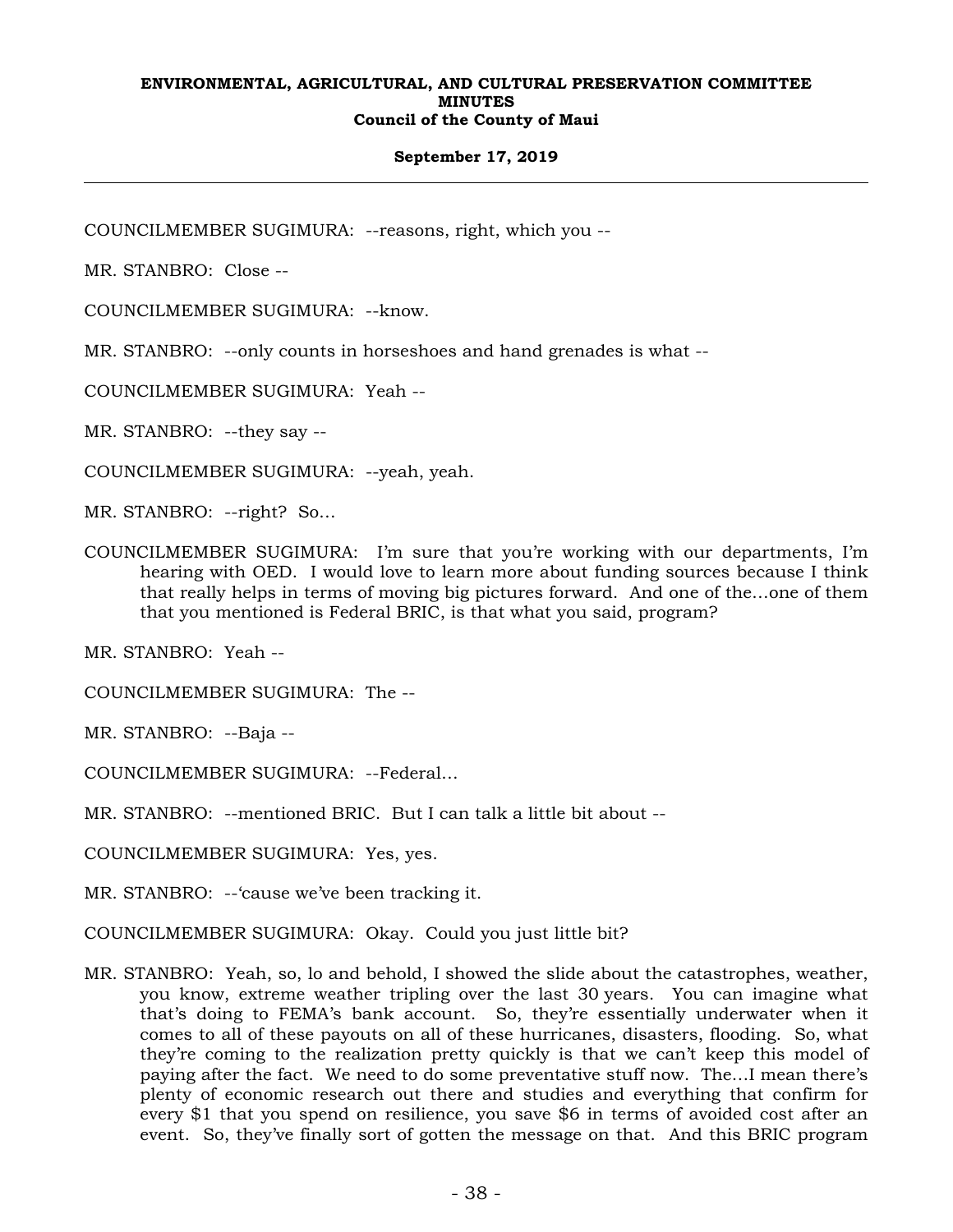## **September 17, 2019**

COUNCILMEMBER SUGIMURA: --reasons, right, which you --

MR. STANBRO: Close --

COUNCILMEMBER SUGIMURA: --know.

MR. STANBRO: --only counts in horseshoes and hand grenades is what --

COUNCILMEMBER SUGIMURA: Yeah --

MR. STANBRO: --they say --

COUNCILMEMBER SUGIMURA: --yeah, yeah.

MR. STANBRO: --right? So…

COUNCILMEMBER SUGIMURA: I'm sure that you're working with our departments, I'm hearing with OED. I would love to learn more about funding sources because I think that really helps in terms of moving big pictures forward. And one of the…one of them that you mentioned is Federal BRIC, is that what you said, program?

MR. STANBRO: Yeah --

COUNCILMEMBER SUGIMURA: The --

MR. STANBRO: --Baja --

COUNCILMEMBER SUGIMURA: --Federal…

MR. STANBRO: --mentioned BRIC. But I can talk a little bit about --

COUNCILMEMBER SUGIMURA: Yes, yes.

MR. STANBRO: --'cause we've been tracking it.

COUNCILMEMBER SUGIMURA: Okay. Could you just little bit?

MR. STANBRO: Yeah, so, lo and behold, I showed the slide about the catastrophes, weather, you know, extreme weather tripling over the last 30 years. You can imagine what that's doing to FEMA's bank account. So, they're essentially underwater when it comes to all of these payouts on all of these hurricanes, disasters, flooding. So, what they're coming to the realization pretty quickly is that we can't keep this model of paying after the fact. We need to do some preventative stuff now. The…I mean there's plenty of economic research out there and studies and everything that confirm for every \$1 that you spend on resilience, you save \$6 in terms of avoided cost after an event. So, they've finally sort of gotten the message on that. And this BRIC program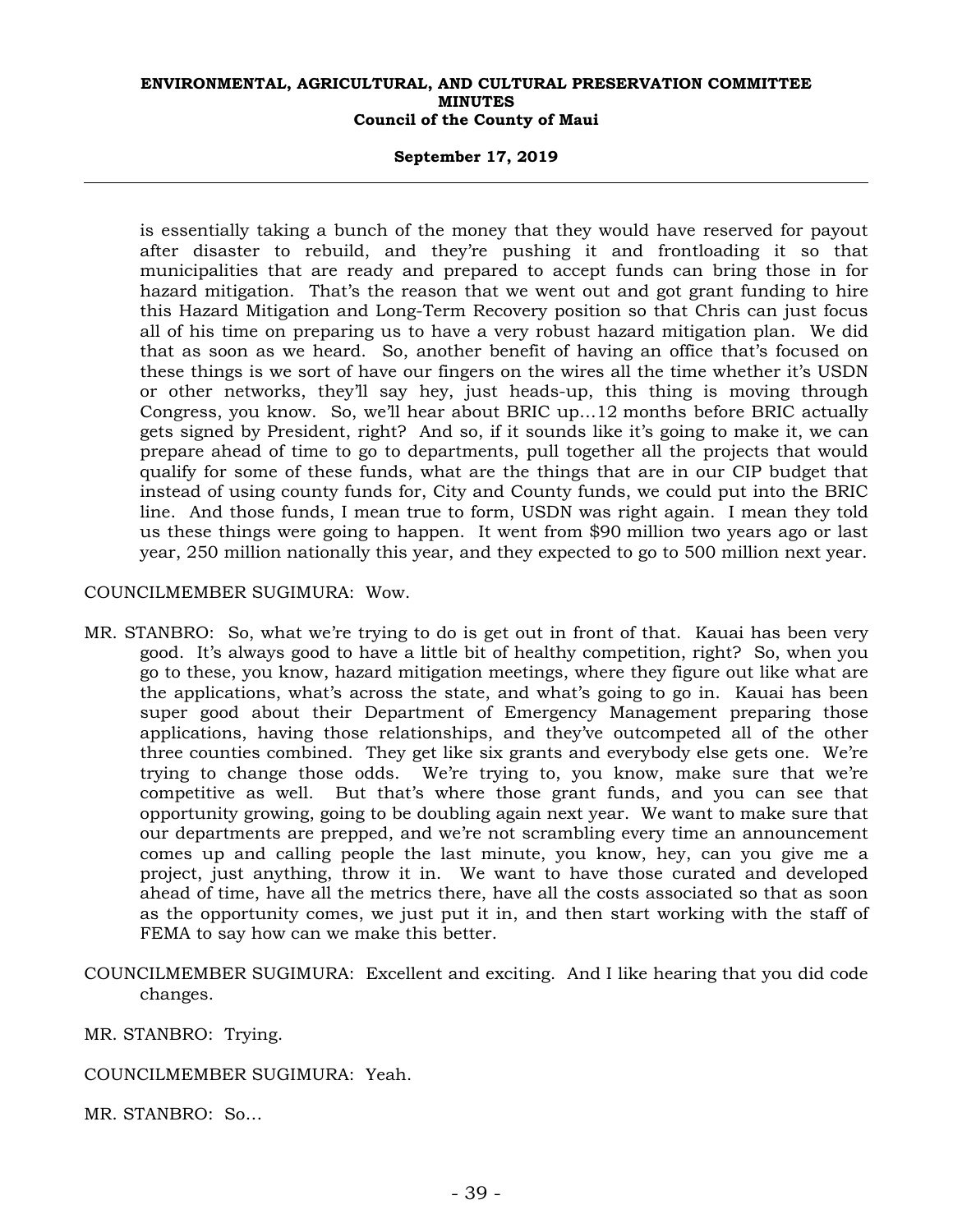## **September 17, 2019**

is essentially taking a bunch of the money that they would have reserved for payout after disaster to rebuild, and they're pushing it and frontloading it so that municipalities that are ready and prepared to accept funds can bring those in for hazard mitigation. That's the reason that we went out and got grant funding to hire this Hazard Mitigation and Long-Term Recovery position so that Chris can just focus all of his time on preparing us to have a very robust hazard mitigation plan. We did that as soon as we heard. So, another benefit of having an office that's focused on these things is we sort of have our fingers on the wires all the time whether it's USDN or other networks, they'll say hey, just heads-up, this thing is moving through Congress, you know. So, we'll hear about BRIC up…12 months before BRIC actually gets signed by President, right? And so, if it sounds like it's going to make it, we can prepare ahead of time to go to departments, pull together all the projects that would qualify for some of these funds, what are the things that are in our CIP budget that instead of using county funds for, City and County funds, we could put into the BRIC line. And those funds, I mean true to form, USDN was right again. I mean they told us these things were going to happen. It went from \$90 million two years ago or last year, 250 million nationally this year, and they expected to go to 500 million next year.

## COUNCILMEMBER SUGIMURA: Wow.

- MR. STANBRO: So, what we're trying to do is get out in front of that. Kauai has been very good. It's always good to have a little bit of healthy competition, right? So, when you go to these, you know, hazard mitigation meetings, where they figure out like what are the applications, what's across the state, and what's going to go in. Kauai has been super good about their Department of Emergency Management preparing those applications, having those relationships, and they've outcompeted all of the other three counties combined. They get like six grants and everybody else gets one. We're trying to change those odds. We're trying to, you know, make sure that we're competitive as well. But that's where those grant funds, and you can see that opportunity growing, going to be doubling again next year. We want to make sure that our departments are prepped, and we're not scrambling every time an announcement comes up and calling people the last minute, you know, hey, can you give me a project, just anything, throw it in. We want to have those curated and developed ahead of time, have all the metrics there, have all the costs associated so that as soon as the opportunity comes, we just put it in, and then start working with the staff of FEMA to say how can we make this better.
- COUNCILMEMBER SUGIMURA: Excellent and exciting. And I like hearing that you did code changes.

MR. STANBRO: Trying.

COUNCILMEMBER SUGIMURA: Yeah.

MR. STANBRO: So…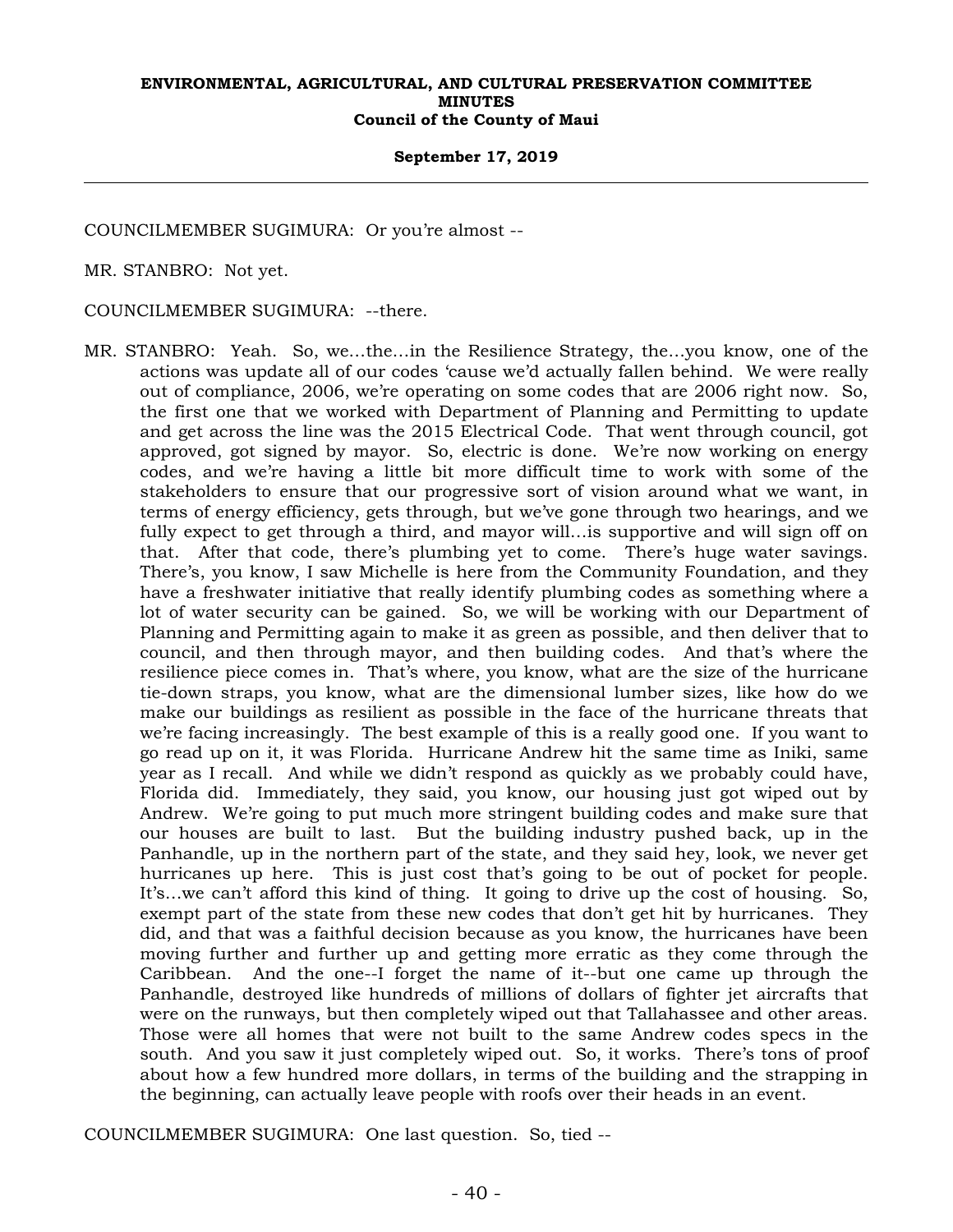## **September 17, 2019**

COUNCILMEMBER SUGIMURA: Or you're almost --

MR. STANBRO: Not yet.

COUNCILMEMBER SUGIMURA: --there.

MR. STANBRO: Yeah. So, we…the…in the Resilience Strategy, the…you know, one of the actions was update all of our codes 'cause we'd actually fallen behind. We were really out of compliance, 2006, we're operating on some codes that are 2006 right now. So, the first one that we worked with Department of Planning and Permitting to update and get across the line was the 2015 Electrical Code. That went through council, got approved, got signed by mayor. So, electric is done. We're now working on energy codes, and we're having a little bit more difficult time to work with some of the stakeholders to ensure that our progressive sort of vision around what we want, in terms of energy efficiency, gets through, but we've gone through two hearings, and we fully expect to get through a third, and mayor will…is supportive and will sign off on that. After that code, there's plumbing yet to come. There's huge water savings. There's, you know, I saw Michelle is here from the Community Foundation, and they have a freshwater initiative that really identify plumbing codes as something where a lot of water security can be gained. So, we will be working with our Department of Planning and Permitting again to make it as green as possible, and then deliver that to council, and then through mayor, and then building codes. And that's where the resilience piece comes in. That's where, you know, what are the size of the hurricane tie-down straps, you know, what are the dimensional lumber sizes, like how do we make our buildings as resilient as possible in the face of the hurricane threats that we're facing increasingly. The best example of this is a really good one. If you want to go read up on it, it was Florida. Hurricane Andrew hit the same time as Iniki, same year as I recall. And while we didn't respond as quickly as we probably could have, Florida did. Immediately, they said, you know, our housing just got wiped out by Andrew. We're going to put much more stringent building codes and make sure that our houses are built to last. But the building industry pushed back, up in the Panhandle, up in the northern part of the state, and they said hey, look, we never get hurricanes up here. This is just cost that's going to be out of pocket for people. It's…we can't afford this kind of thing. It going to drive up the cost of housing. So, exempt part of the state from these new codes that don't get hit by hurricanes. They did, and that was a faithful decision because as you know, the hurricanes have been moving further and further up and getting more erratic as they come through the Caribbean. And the one--I forget the name of it--but one came up through the Panhandle, destroyed like hundreds of millions of dollars of fighter jet aircrafts that were on the runways, but then completely wiped out that Tallahassee and other areas. Those were all homes that were not built to the same Andrew codes specs in the south. And you saw it just completely wiped out. So, it works. There's tons of proof about how a few hundred more dollars, in terms of the building and the strapping in the beginning, can actually leave people with roofs over their heads in an event.

COUNCILMEMBER SUGIMURA: One last question. So, tied --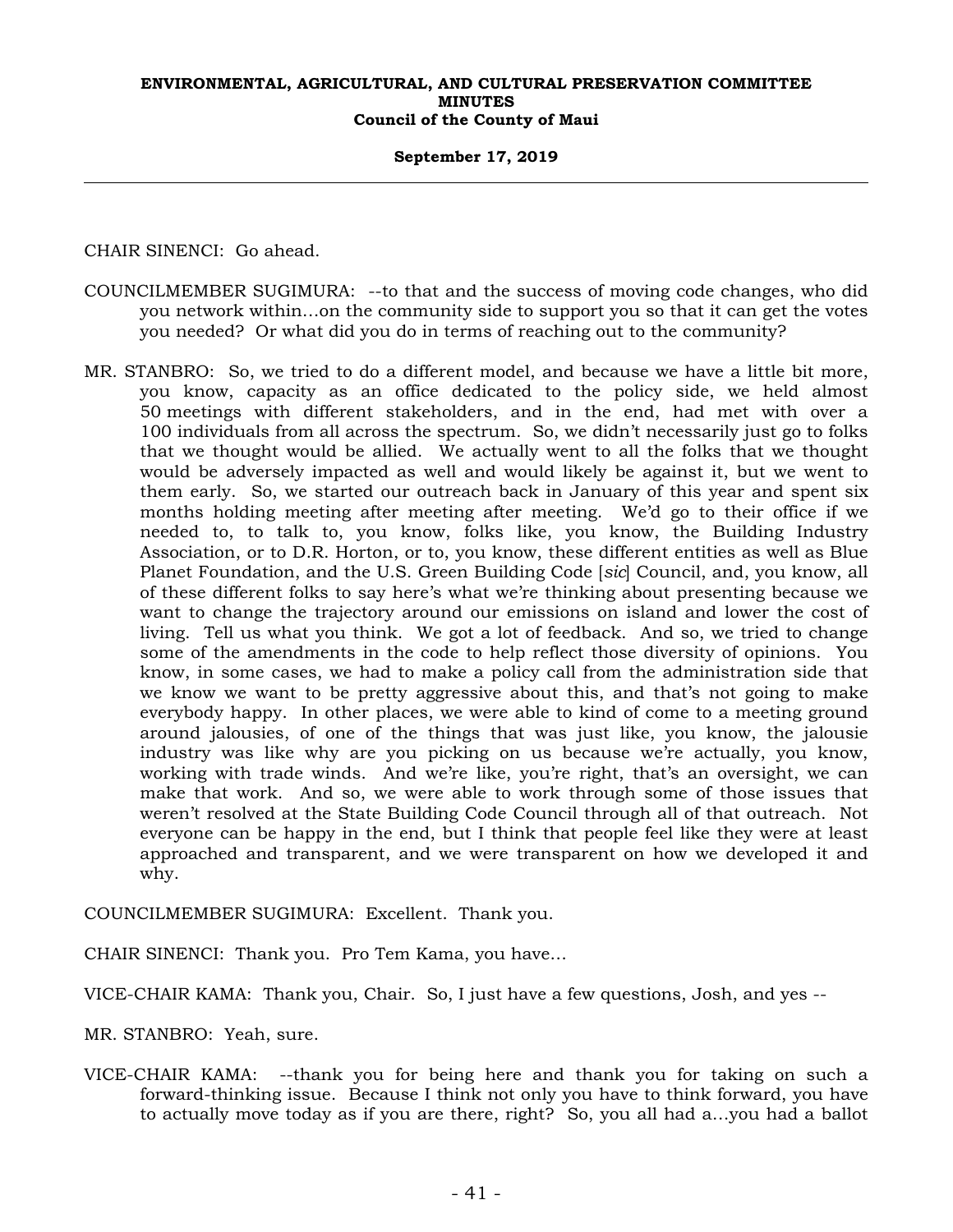## **September 17, 2019**

CHAIR SINENCI: Go ahead.

- COUNCILMEMBER SUGIMURA: --to that and the success of moving code changes, who did you network within…on the community side to support you so that it can get the votes you needed? Or what did you do in terms of reaching out to the community?
- MR. STANBRO: So, we tried to do a different model, and because we have a little bit more, you know, capacity as an office dedicated to the policy side, we held almost 50 meetings with different stakeholders, and in the end, had met with over a 100 individuals from all across the spectrum. So, we didn't necessarily just go to folks that we thought would be allied. We actually went to all the folks that we thought would be adversely impacted as well and would likely be against it, but we went to them early. So, we started our outreach back in January of this year and spent six months holding meeting after meeting after meeting. We'd go to their office if we needed to, to talk to, you know, folks like, you know, the Building Industry Association, or to D.R. Horton, or to, you know, these different entities as well as Blue Planet Foundation, and the U.S. Green Building Code [*sic*] Council, and, you know, all of these different folks to say here's what we're thinking about presenting because we want to change the trajectory around our emissions on island and lower the cost of living. Tell us what you think. We got a lot of feedback. And so, we tried to change some of the amendments in the code to help reflect those diversity of opinions. You know, in some cases, we had to make a policy call from the administration side that we know we want to be pretty aggressive about this, and that's not going to make everybody happy. In other places, we were able to kind of come to a meeting ground around jalousies, of one of the things that was just like, you know, the jalousie industry was like why are you picking on us because we're actually, you know, working with trade winds. And we're like, you're right, that's an oversight, we can make that work. And so, we were able to work through some of those issues that weren't resolved at the State Building Code Council through all of that outreach. Not everyone can be happy in the end, but I think that people feel like they were at least approached and transparent, and we were transparent on how we developed it and why.

COUNCILMEMBER SUGIMURA: Excellent. Thank you.

CHAIR SINENCI: Thank you. Pro Tem Kama, you have…

VICE-CHAIR KAMA: Thank you, Chair. So, I just have a few questions, Josh, and yes --

MR. STANBRO: Yeah, sure.

VICE-CHAIR KAMA: --thank you for being here and thank you for taking on such a forward-thinking issue. Because I think not only you have to think forward, you have to actually move today as if you are there, right? So, you all had a…you had a ballot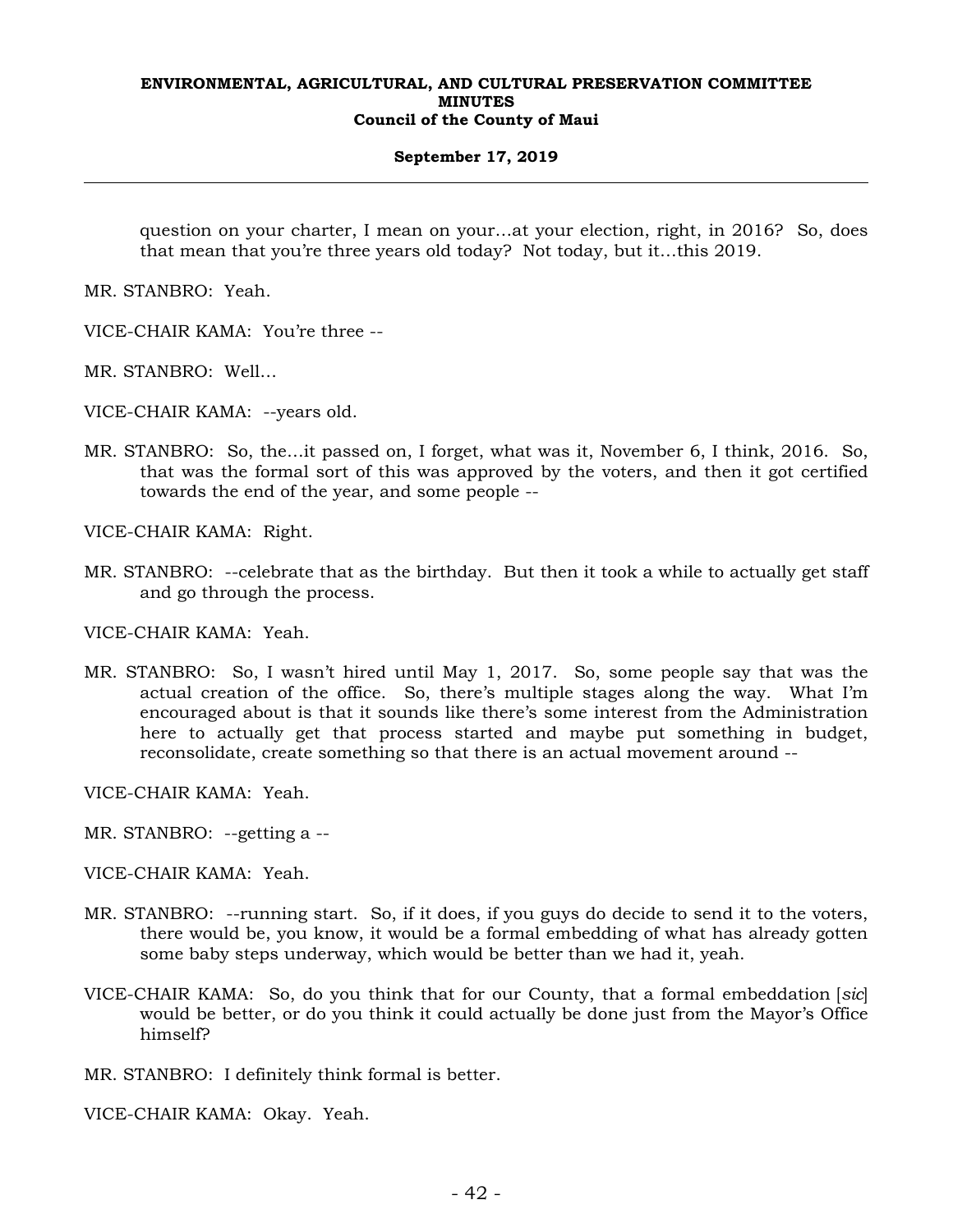## **September 17, 2019**

question on your charter, I mean on your…at your election, right, in 2016? So, does that mean that you're three years old today? Not today, but it…this 2019.

MR. STANBRO: Yeah.

- VICE-CHAIR KAMA: You're three --
- MR. STANBRO: Well…

VICE-CHAIR KAMA: --years old.

MR. STANBRO: So, the…it passed on, I forget, what was it, November 6, I think, 2016. So, that was the formal sort of this was approved by the voters, and then it got certified towards the end of the year, and some people --

VICE-CHAIR KAMA: Right.

MR. STANBRO: --celebrate that as the birthday. But then it took a while to actually get staff and go through the process.

VICE-CHAIR KAMA: Yeah.

MR. STANBRO: So, I wasn't hired until May 1, 2017. So, some people say that was the actual creation of the office. So, there's multiple stages along the way. What I'm encouraged about is that it sounds like there's some interest from the Administration here to actually get that process started and maybe put something in budget, reconsolidate, create something so that there is an actual movement around --

VICE-CHAIR KAMA: Yeah.

MR. STANBRO: --getting a --

VICE-CHAIR KAMA: Yeah.

- MR. STANBRO: --running start. So, if it does, if you guys do decide to send it to the voters, there would be, you know, it would be a formal embedding of what has already gotten some baby steps underway, which would be better than we had it, yeah.
- VICE-CHAIR KAMA: So, do you think that for our County, that a formal embeddation [*sic*] would be better, or do you think it could actually be done just from the Mayor's Office himself?

MR. STANBRO: I definitely think formal is better.

VICE-CHAIR KAMA: Okay. Yeah.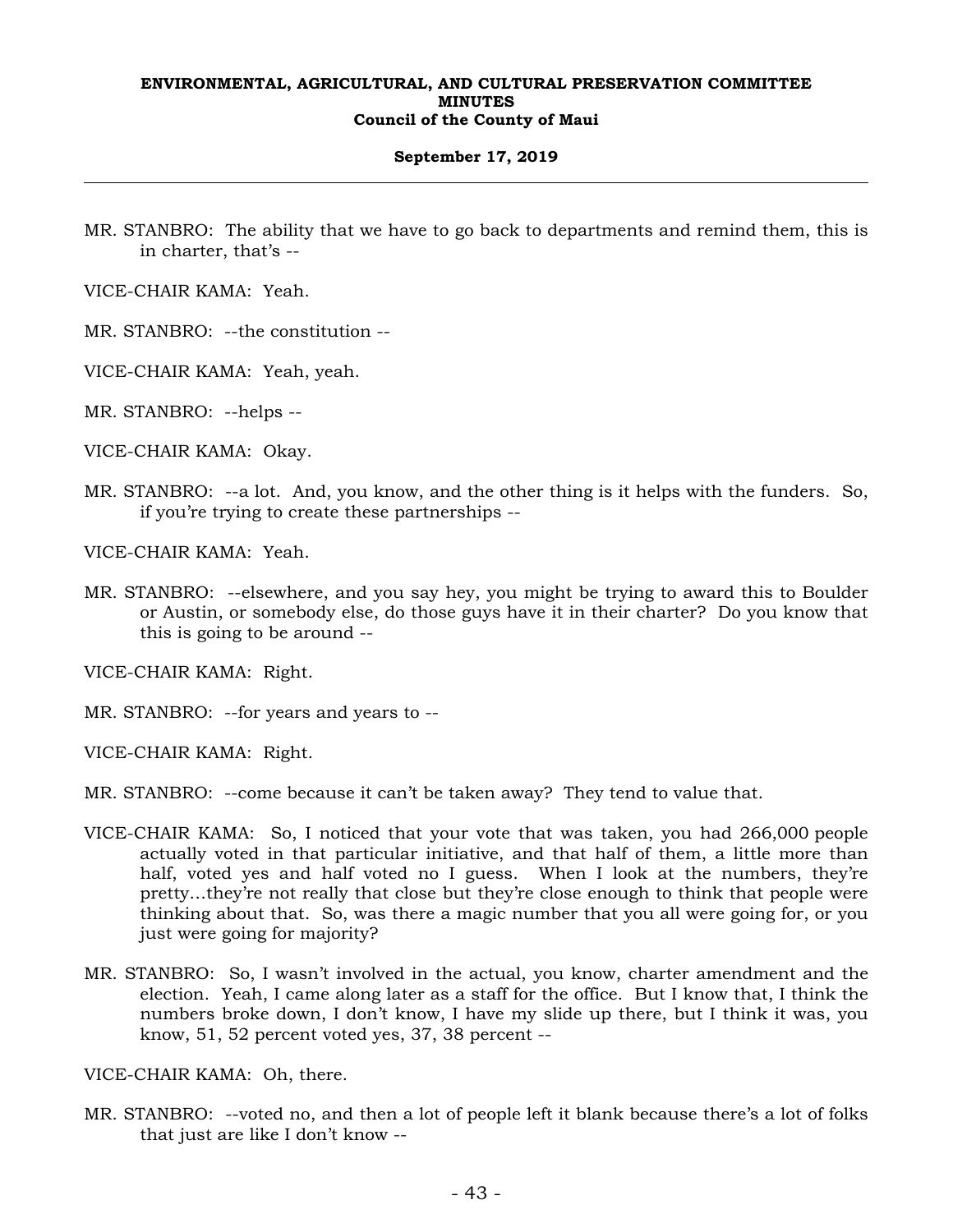## **September 17, 2019**

MR. STANBRO: The ability that we have to go back to departments and remind them, this is in charter, that's --

VICE-CHAIR KAMA: Yeah.

MR. STANBRO: --the constitution --

VICE-CHAIR KAMA: Yeah, yeah.

MR. STANBRO: --helps --

VICE-CHAIR KAMA: Okay.

MR. STANBRO: --a lot. And, you know, and the other thing is it helps with the funders. So, if you're trying to create these partnerships --

VICE-CHAIR KAMA: Yeah.

MR. STANBRO: --elsewhere, and you say hey, you might be trying to award this to Boulder or Austin, or somebody else, do those guys have it in their charter? Do you know that this is going to be around --

VICE-CHAIR KAMA: Right.

MR. STANBRO: --for years and years to --

VICE-CHAIR KAMA: Right.

MR. STANBRO: --come because it can't be taken away? They tend to value that.

- VICE-CHAIR KAMA: So, I noticed that your vote that was taken, you had 266,000 people actually voted in that particular initiative, and that half of them, a little more than half, voted yes and half voted no I guess. When I look at the numbers, they're pretty…they're not really that close but they're close enough to think that people were thinking about that. So, was there a magic number that you all were going for, or you just were going for majority?
- MR. STANBRO: So, I wasn't involved in the actual, you know, charter amendment and the election. Yeah, I came along later as a staff for the office. But I know that, I think the numbers broke down, I don't know, I have my slide up there, but I think it was, you know, 51, 52 percent voted yes, 37, 38 percent --

VICE-CHAIR KAMA: Oh, there.

MR. STANBRO: --voted no, and then a lot of people left it blank because there's a lot of folks that just are like I don't know --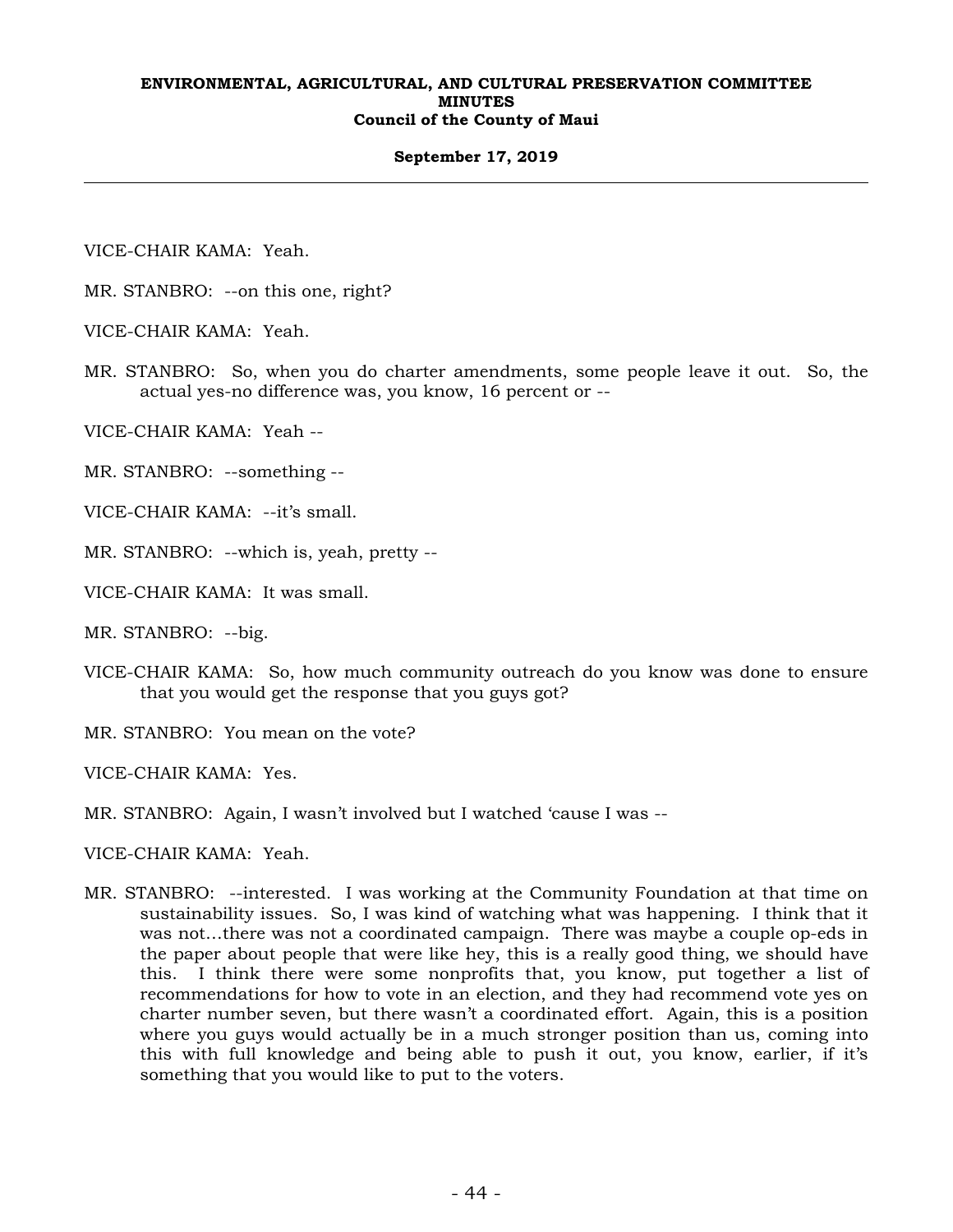## **September 17, 2019**

VICE-CHAIR KAMA: Yeah.

- MR. STANBRO: --on this one, right?
- VICE-CHAIR KAMA: Yeah.
- MR. STANBRO: So, when you do charter amendments, some people leave it out. So, the actual yes-no difference was, you know, 16 percent or --
- VICE-CHAIR KAMA: Yeah --
- MR. STANBRO: --something --
- VICE-CHAIR KAMA: --it's small.
- MR. STANBRO: --which is, yeah, pretty --
- VICE-CHAIR KAMA: It was small.
- MR. STANBRO: --big.
- VICE-CHAIR KAMA: So, how much community outreach do you know was done to ensure that you would get the response that you guys got?
- MR. STANBRO: You mean on the vote?

VICE-CHAIR KAMA: Yes.

- MR. STANBRO: Again, I wasn't involved but I watched 'cause I was --
- VICE-CHAIR KAMA: Yeah.
- MR. STANBRO: --interested. I was working at the Community Foundation at that time on sustainability issues. So, I was kind of watching what was happening. I think that it was not…there was not a coordinated campaign. There was maybe a couple op-eds in the paper about people that were like hey, this is a really good thing, we should have this. I think there were some nonprofits that, you know, put together a list of recommendations for how to vote in an election, and they had recommend vote yes on charter number seven, but there wasn't a coordinated effort. Again, this is a position where you guys would actually be in a much stronger position than us, coming into this with full knowledge and being able to push it out, you know, earlier, if it's something that you would like to put to the voters.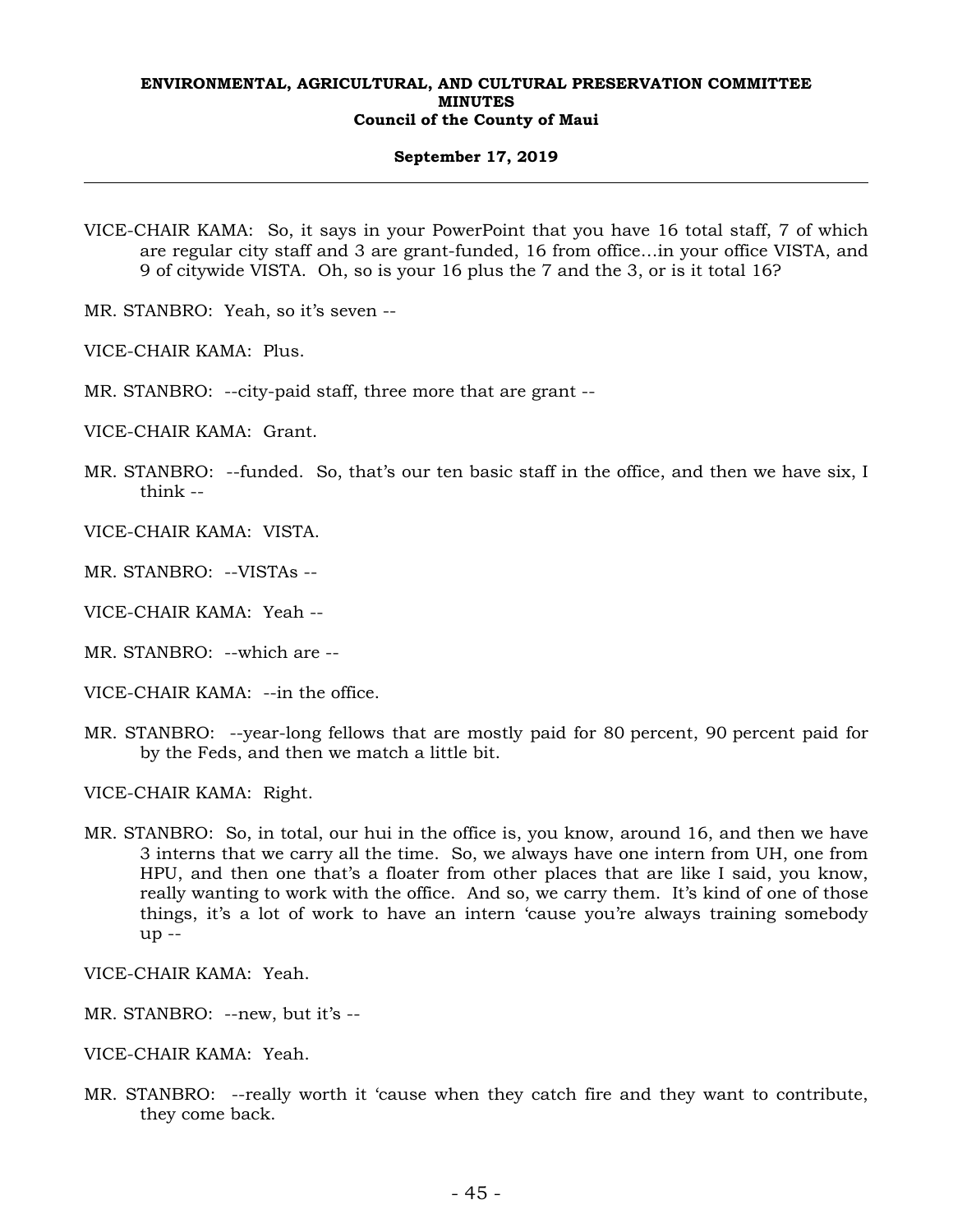## **September 17, 2019**

- VICE-CHAIR KAMA: So, it says in your PowerPoint that you have 16 total staff, 7 of which are regular city staff and 3 are grant-funded, 16 from office…in your office VISTA, and 9 of citywide VISTA. Oh, so is your 16 plus the 7 and the 3, or is it total 16?
- MR. STANBRO: Yeah, so it's seven --
- VICE-CHAIR KAMA: Plus.
- MR. STANBRO: --city-paid staff, three more that are grant --
- VICE-CHAIR KAMA: Grant.
- MR. STANBRO: --funded. So, that's our ten basic staff in the office, and then we have six, I think --
- VICE-CHAIR KAMA: VISTA.
- MR. STANBRO: --VISTAs --
- VICE-CHAIR KAMA: Yeah --
- MR. STANBRO: --which are --
- VICE-CHAIR KAMA: --in the office.
- MR. STANBRO: --year-long fellows that are mostly paid for 80 percent, 90 percent paid for by the Feds, and then we match a little bit.
- VICE-CHAIR KAMA: Right.
- MR. STANBRO: So, in total, our hui in the office is, you know, around 16, and then we have 3 interns that we carry all the time. So, we always have one intern from UH, one from HPU, and then one that's a floater from other places that are like I said, you know, really wanting to work with the office. And so, we carry them. It's kind of one of those things, it's a lot of work to have an intern 'cause you're always training somebody up --

VICE-CHAIR KAMA: Yeah.

- MR. STANBRO: --new, but it's --
- VICE-CHAIR KAMA: Yeah.
- MR. STANBRO: --really worth it 'cause when they catch fire and they want to contribute, they come back.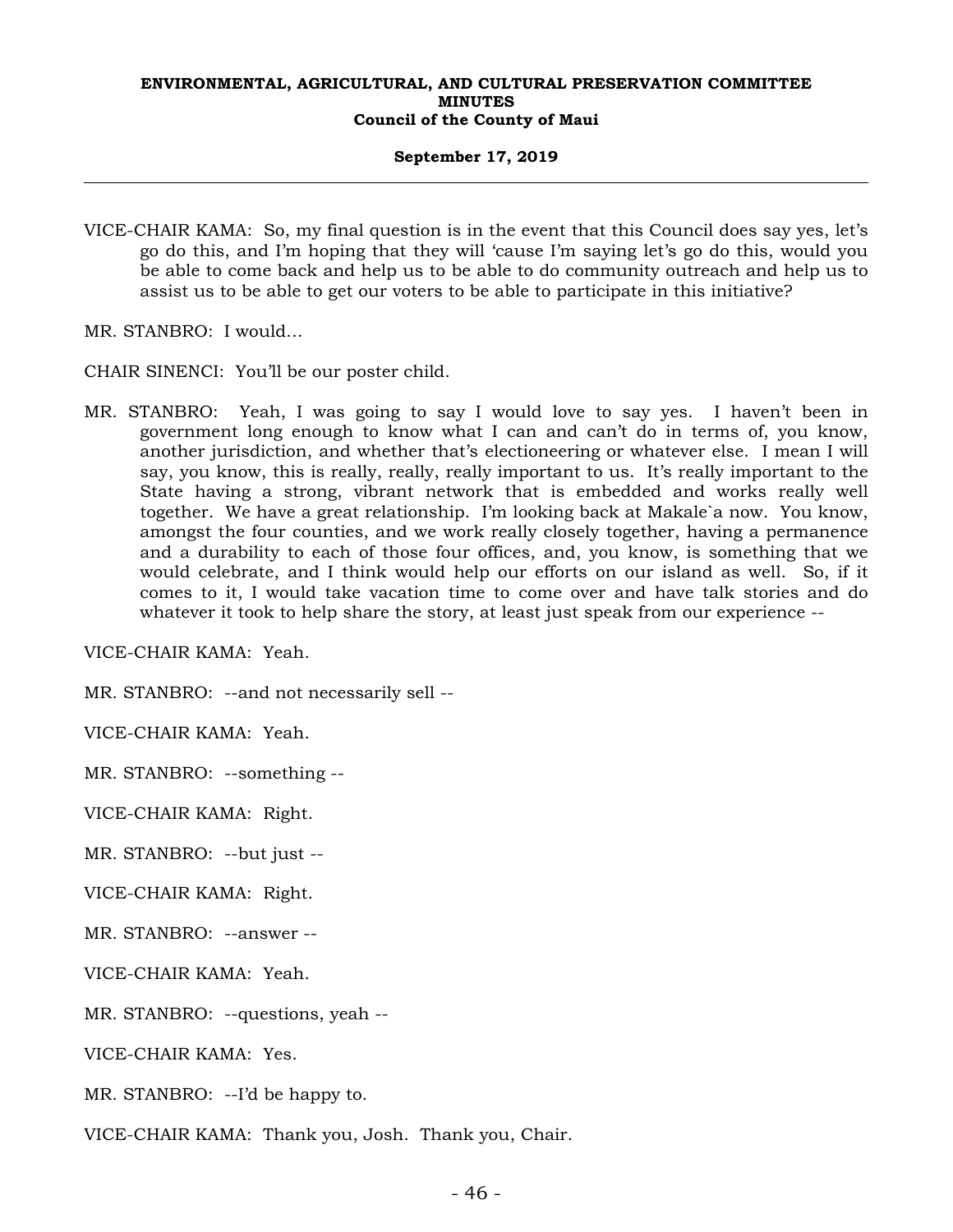## **September 17, 2019**

VICE-CHAIR KAMA: So, my final question is in the event that this Council does say yes, let's go do this, and I'm hoping that they will 'cause I'm saying let's go do this, would you be able to come back and help us to be able to do community outreach and help us to assist us to be able to get our voters to be able to participate in this initiative?

MR. STANBRO: I would…

CHAIR SINENCI: You'll be our poster child.

MR. STANBRO: Yeah, I was going to say I would love to say yes. I haven't been in government long enough to know what I can and can't do in terms of, you know, another jurisdiction, and whether that's electioneering or whatever else. I mean I will say, you know, this is really, really, really important to us. It's really important to the State having a strong, vibrant network that is embedded and works really well together. We have a great relationship. I'm looking back at Makale`a now. You know, amongst the four counties, and we work really closely together, having a permanence and a durability to each of those four offices, and, you know, is something that we would celebrate, and I think would help our efforts on our island as well. So, if it comes to it, I would take vacation time to come over and have talk stories and do whatever it took to help share the story, at least just speak from our experience --

VICE-CHAIR KAMA: Yeah.

MR. STANBRO: --and not necessarily sell --

VICE-CHAIR KAMA: Yeah.

MR. STANBRO: --something --

VICE-CHAIR KAMA: Right.

MR. STANBRO: --but just --

VICE-CHAIR KAMA: Right.

MR. STANBRO: --answer --

VICE-CHAIR KAMA: Yeah.

MR. STANBRO: --questions, yeah --

VICE-CHAIR KAMA: Yes.

MR. STANBRO: --I'd be happy to.

VICE-CHAIR KAMA: Thank you, Josh. Thank you, Chair.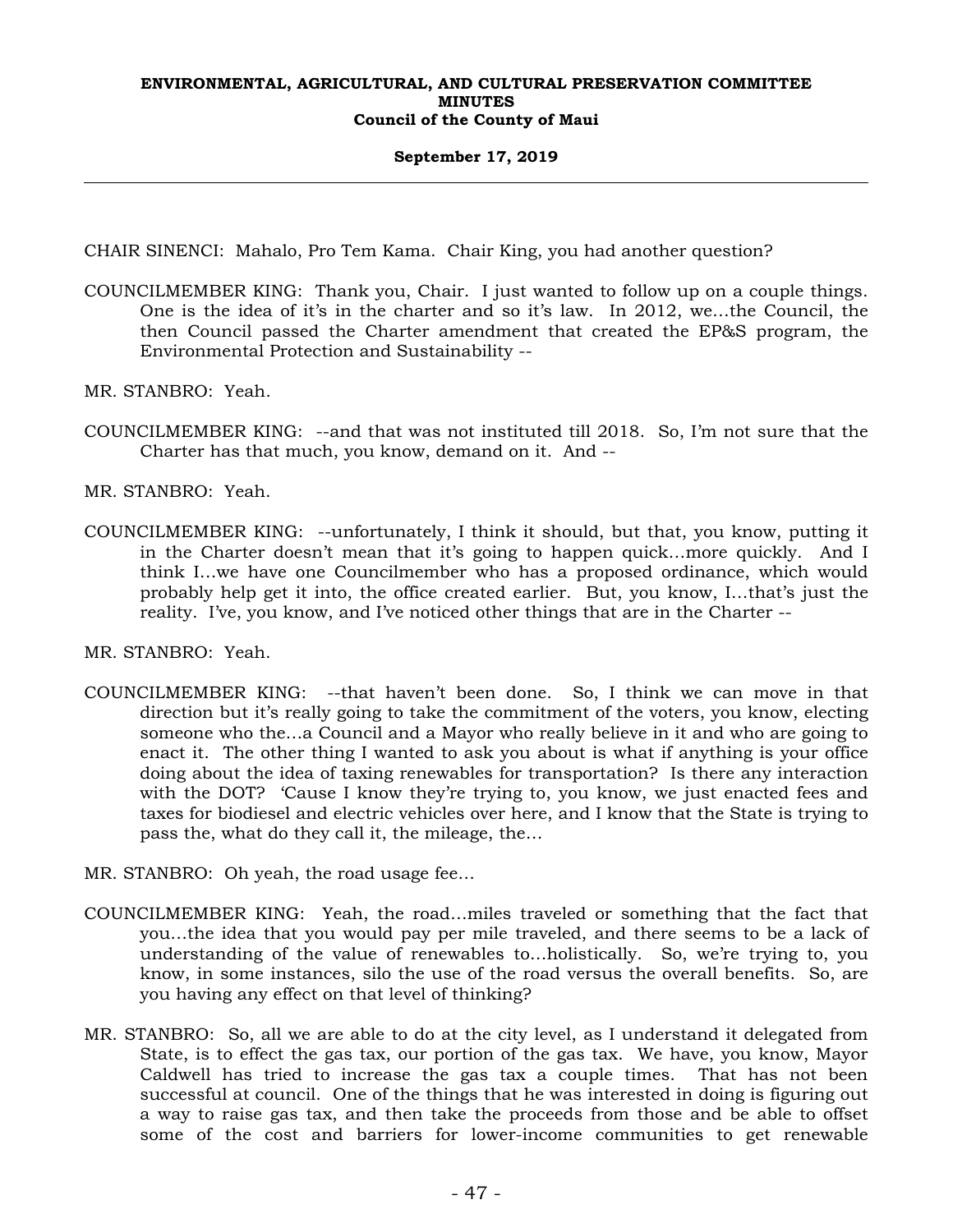## **September 17, 2019**

CHAIR SINENCI: Mahalo, Pro Tem Kama. Chair King, you had another question?

- COUNCILMEMBER KING: Thank you, Chair. I just wanted to follow up on a couple things. One is the idea of it's in the charter and so it's law. In 2012, we…the Council, the then Council passed the Charter amendment that created the EP&S program, the Environmental Protection and Sustainability --
- MR. STANBRO: Yeah.
- COUNCILMEMBER KING: --and that was not instituted till 2018. So, I'm not sure that the Charter has that much, you know, demand on it. And --

MR. STANBRO: Yeah.

COUNCILMEMBER KING: --unfortunately, I think it should, but that, you know, putting it in the Charter doesn't mean that it's going to happen quick…more quickly. And I think I…we have one Councilmember who has a proposed ordinance, which would probably help get it into, the office created earlier. But, you know, I…that's just the reality. I've, you know, and I've noticed other things that are in the Charter --

MR. STANBRO: Yeah.

- COUNCILMEMBER KING: --that haven't been done. So, I think we can move in that direction but it's really going to take the commitment of the voters, you know, electing someone who the…a Council and a Mayor who really believe in it and who are going to enact it. The other thing I wanted to ask you about is what if anything is your office doing about the idea of taxing renewables for transportation? Is there any interaction with the DOT? 'Cause I know they're trying to, you know, we just enacted fees and taxes for biodiesel and electric vehicles over here, and I know that the State is trying to pass the, what do they call it, the mileage, the…
- MR. STANBRO: Oh yeah, the road usage fee…
- COUNCILMEMBER KING: Yeah, the road…miles traveled or something that the fact that you…the idea that you would pay per mile traveled, and there seems to be a lack of understanding of the value of renewables to…holistically. So, we're trying to, you know, in some instances, silo the use of the road versus the overall benefits. So, are you having any effect on that level of thinking?
- MR. STANBRO: So, all we are able to do at the city level, as I understand it delegated from State, is to effect the gas tax, our portion of the gas tax. We have, you know, Mayor Caldwell has tried to increase the gas tax a couple times. That has not been successful at council. One of the things that he was interested in doing is figuring out a way to raise gas tax, and then take the proceeds from those and be able to offset some of the cost and barriers for lower-income communities to get renewable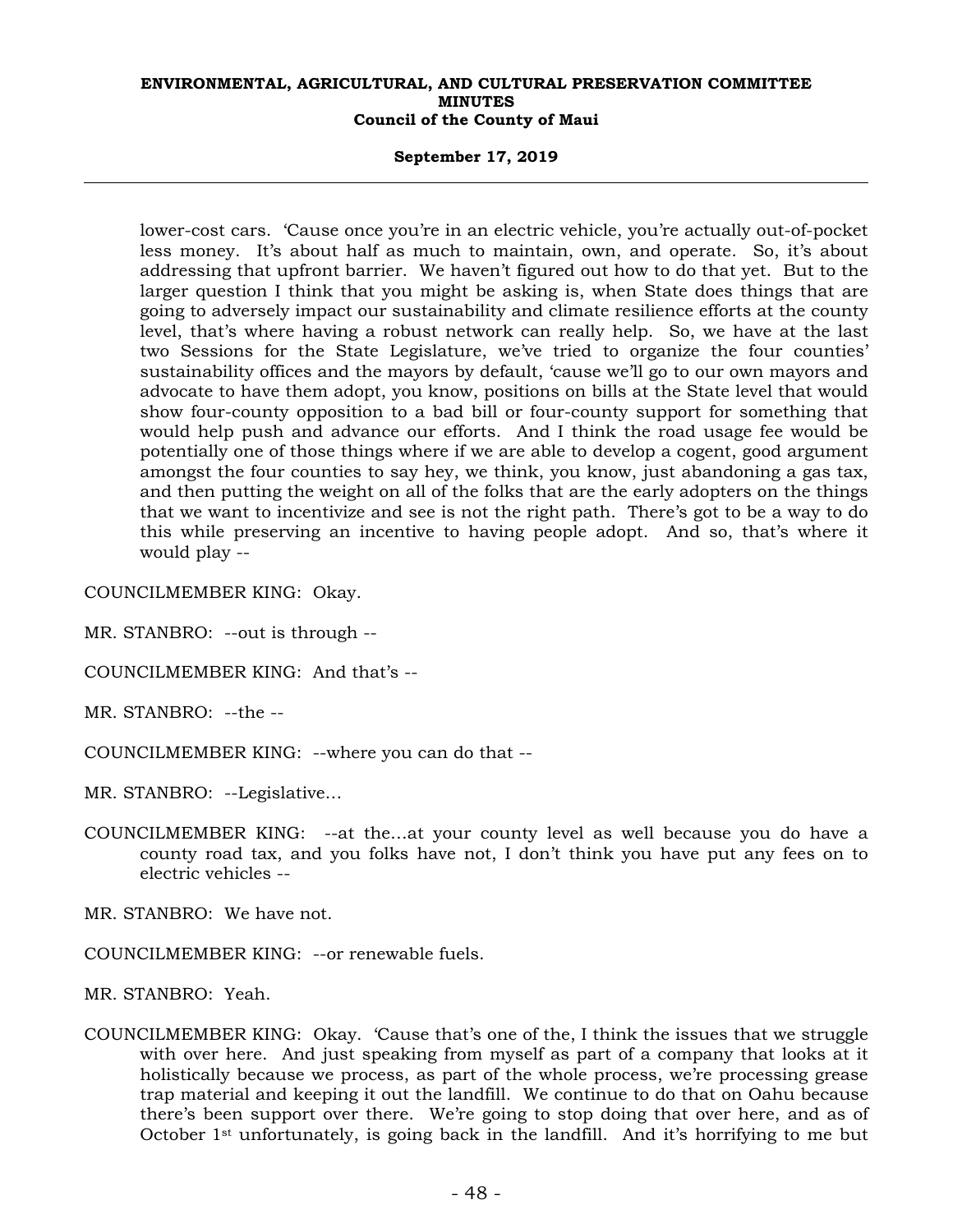## **September 17, 2019**

lower-cost cars. 'Cause once you're in an electric vehicle, you're actually out-of-pocket less money. It's about half as much to maintain, own, and operate. So, it's about addressing that upfront barrier. We haven't figured out how to do that yet. But to the larger question I think that you might be asking is, when State does things that are going to adversely impact our sustainability and climate resilience efforts at the county level, that's where having a robust network can really help. So, we have at the last two Sessions for the State Legislature, we've tried to organize the four counties' sustainability offices and the mayors by default, 'cause we'll go to our own mayors and advocate to have them adopt, you know, positions on bills at the State level that would show four-county opposition to a bad bill or four-county support for something that would help push and advance our efforts. And I think the road usage fee would be potentially one of those things where if we are able to develop a cogent, good argument amongst the four counties to say hey, we think, you know, just abandoning a gas tax, and then putting the weight on all of the folks that are the early adopters on the things that we want to incentivize and see is not the right path. There's got to be a way to do this while preserving an incentive to having people adopt. And so, that's where it would play --

COUNCILMEMBER KING: Okay.

- MR. STANBRO: --out is through --
- COUNCILMEMBER KING: And that's --

MR. STANBRO: --the --

- COUNCILMEMBER KING: --where you can do that --
- MR. STANBRO: --Legislative…
- COUNCILMEMBER KING: --at the…at your county level as well because you do have a county road tax, and you folks have not, I don't think you have put any fees on to electric vehicles --

MR. STANBRO: We have not.

COUNCILMEMBER KING: --or renewable fuels.

MR. STANBRO: Yeah.

COUNCILMEMBER KING: Okay. 'Cause that's one of the, I think the issues that we struggle with over here. And just speaking from myself as part of a company that looks at it holistically because we process, as part of the whole process, we're processing grease trap material and keeping it out the landfill. We continue to do that on Oahu because there's been support over there. We're going to stop doing that over here, and as of October 1st unfortunately, is going back in the landfill. And it's horrifying to me but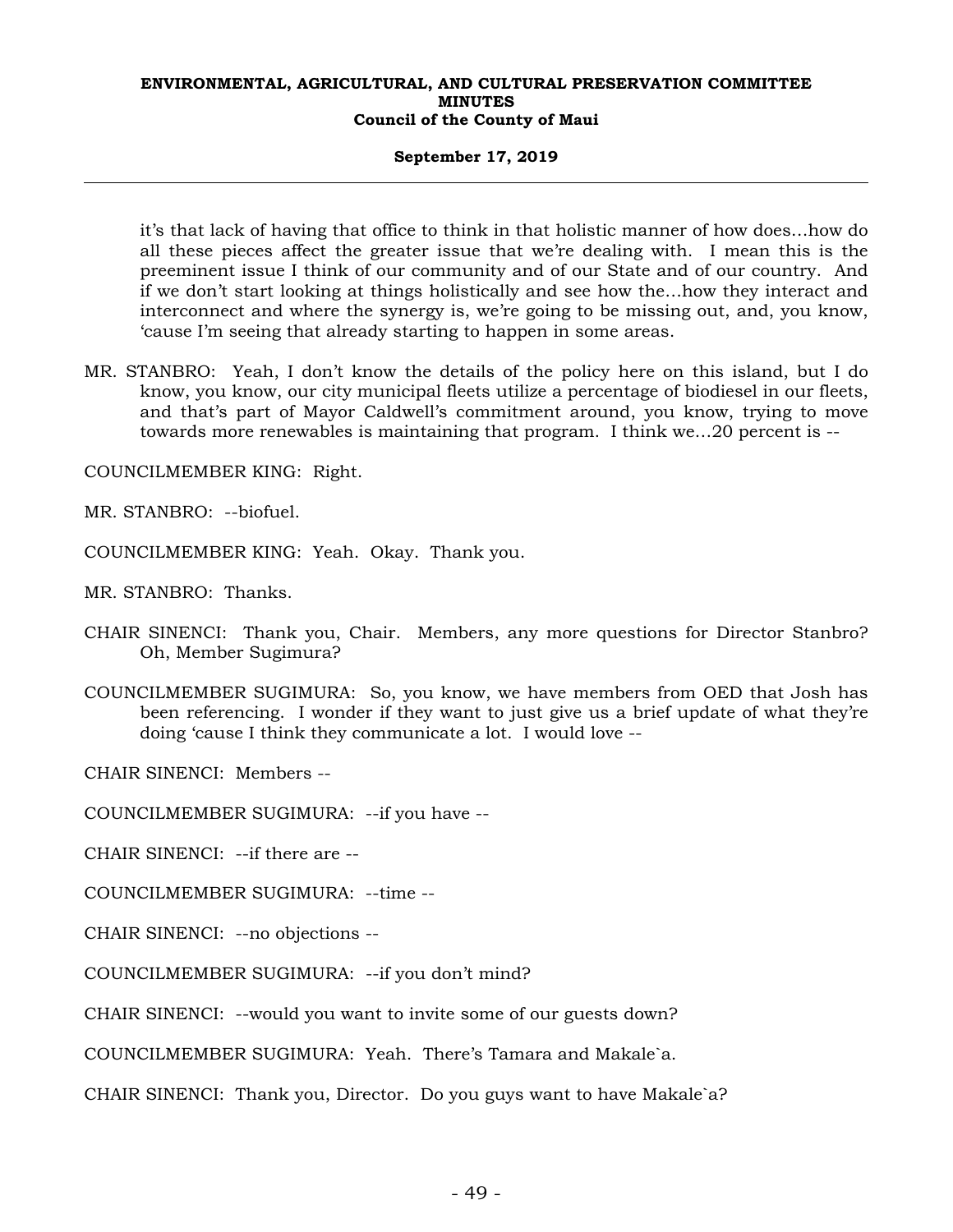## **September 17, 2019**

it's that lack of having that office to think in that holistic manner of how does…how do all these pieces affect the greater issue that we're dealing with. I mean this is the preeminent issue I think of our community and of our State and of our country. And if we don't start looking at things holistically and see how the…how they interact and interconnect and where the synergy is, we're going to be missing out, and, you know, 'cause I'm seeing that already starting to happen in some areas.

MR. STANBRO: Yeah, I don't know the details of the policy here on this island, but I do know, you know, our city municipal fleets utilize a percentage of biodiesel in our fleets, and that's part of Mayor Caldwell's commitment around, you know, trying to move towards more renewables is maintaining that program. I think we…20 percent is --

COUNCILMEMBER KING: Right.

MR. STANBRO: --biofuel.

COUNCILMEMBER KING: Yeah. Okay. Thank you.

MR. STANBRO: Thanks.

- CHAIR SINENCI: Thank you, Chair. Members, any more questions for Director Stanbro? Oh, Member Sugimura?
- COUNCILMEMBER SUGIMURA: So, you know, we have members from OED that Josh has been referencing. I wonder if they want to just give us a brief update of what they're doing 'cause I think they communicate a lot. I would love --

CHAIR SINENCI: Members --

COUNCILMEMBER SUGIMURA: --if you have --

CHAIR SINENCI: --if there are --

COUNCILMEMBER SUGIMURA: --time --

CHAIR SINENCI: --no objections --

COUNCILMEMBER SUGIMURA: --if you don't mind?

CHAIR SINENCI: --would you want to invite some of our guests down?

COUNCILMEMBER SUGIMURA: Yeah. There's Tamara and Makale`a.

CHAIR SINENCI: Thank you, Director. Do you guys want to have Makale`a?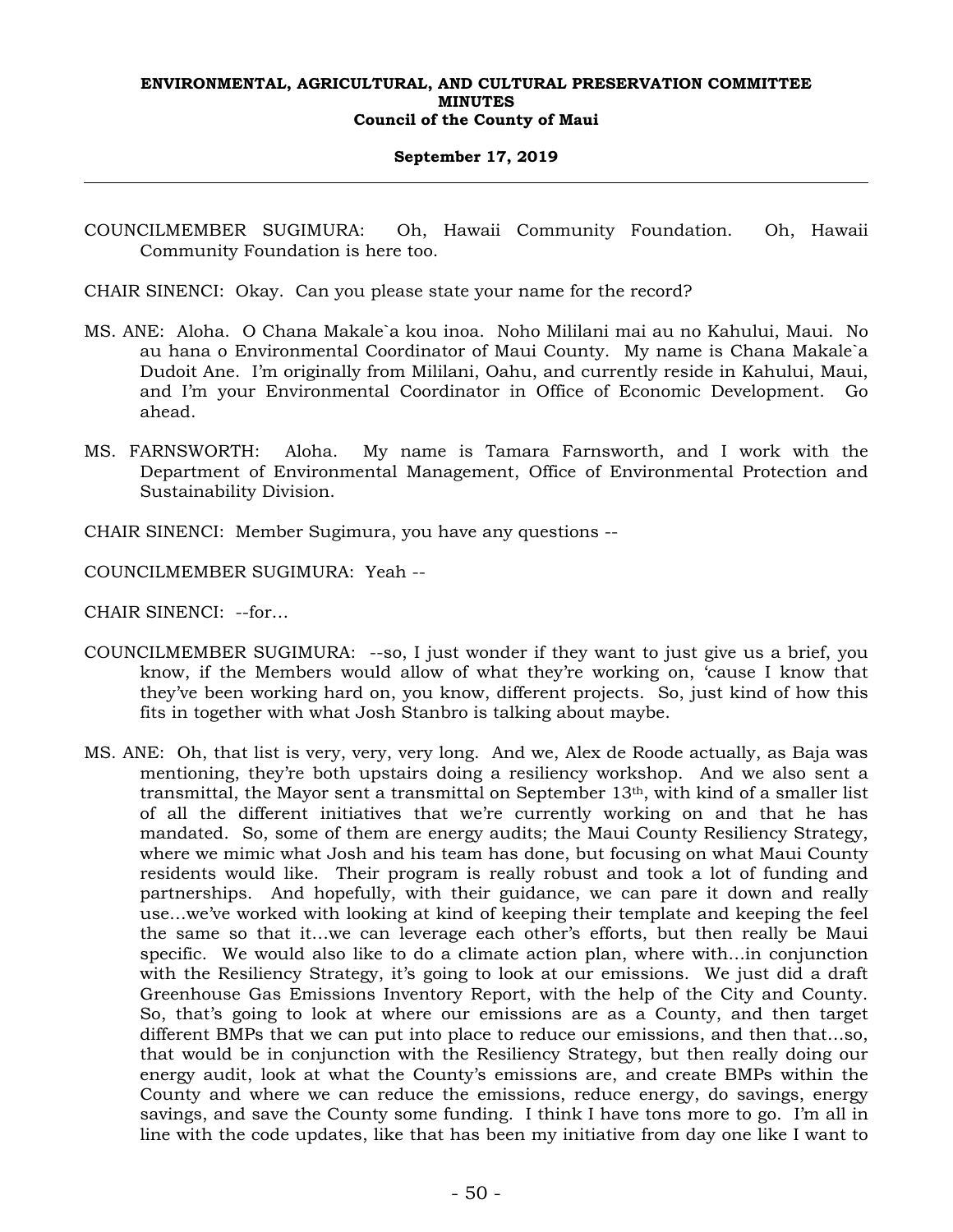## **September 17, 2019**

COUNCILMEMBER SUGIMURA: Oh, Hawaii Community Foundation. Oh, Hawaii Community Foundation is here too.

CHAIR SINENCI: Okay. Can you please state your name for the record?

- MS. ANE: Aloha. O Chana Makale`a kou inoa. Noho Mililani mai au no Kahului, Maui. No au hana o Environmental Coordinator of Maui County. My name is Chana Makale`a Dudoit Ane. I'm originally from Mililani, Oahu, and currently reside in Kahului, Maui, and I'm your Environmental Coordinator in Office of Economic Development. Go ahead.
- MS. FARNSWORTH: Aloha. My name is Tamara Farnsworth, and I work with the Department of Environmental Management, Office of Environmental Protection and Sustainability Division.

CHAIR SINENCI: Member Sugimura, you have any questions --

COUNCILMEMBER SUGIMURA: Yeah --

CHAIR SINENCI: --for…

- COUNCILMEMBER SUGIMURA: --so, I just wonder if they want to just give us a brief, you know, if the Members would allow of what they're working on, 'cause I know that they've been working hard on, you know, different projects. So, just kind of how this fits in together with what Josh Stanbro is talking about maybe.
- MS. ANE: Oh, that list is very, very, very long. And we, Alex de Roode actually, as Baja was mentioning, they're both upstairs doing a resiliency workshop. And we also sent a transmittal, the Mayor sent a transmittal on September 13<sup>th</sup>, with kind of a smaller list of all the different initiatives that we're currently working on and that he has mandated. So, some of them are energy audits; the Maui County Resiliency Strategy, where we mimic what Josh and his team has done, but focusing on what Maui County residents would like. Their program is really robust and took a lot of funding and partnerships. And hopefully, with their guidance, we can pare it down and really use…we've worked with looking at kind of keeping their template and keeping the feel the same so that it…we can leverage each other's efforts, but then really be Maui specific. We would also like to do a climate action plan, where with…in conjunction with the Resiliency Strategy, it's going to look at our emissions. We just did a draft Greenhouse Gas Emissions Inventory Report, with the help of the City and County. So, that's going to look at where our emissions are as a County, and then target different BMPs that we can put into place to reduce our emissions, and then that…so, that would be in conjunction with the Resiliency Strategy, but then really doing our energy audit, look at what the County's emissions are, and create BMPs within the County and where we can reduce the emissions, reduce energy, do savings, energy savings, and save the County some funding. I think I have tons more to go. I'm all in line with the code updates, like that has been my initiative from day one like I want to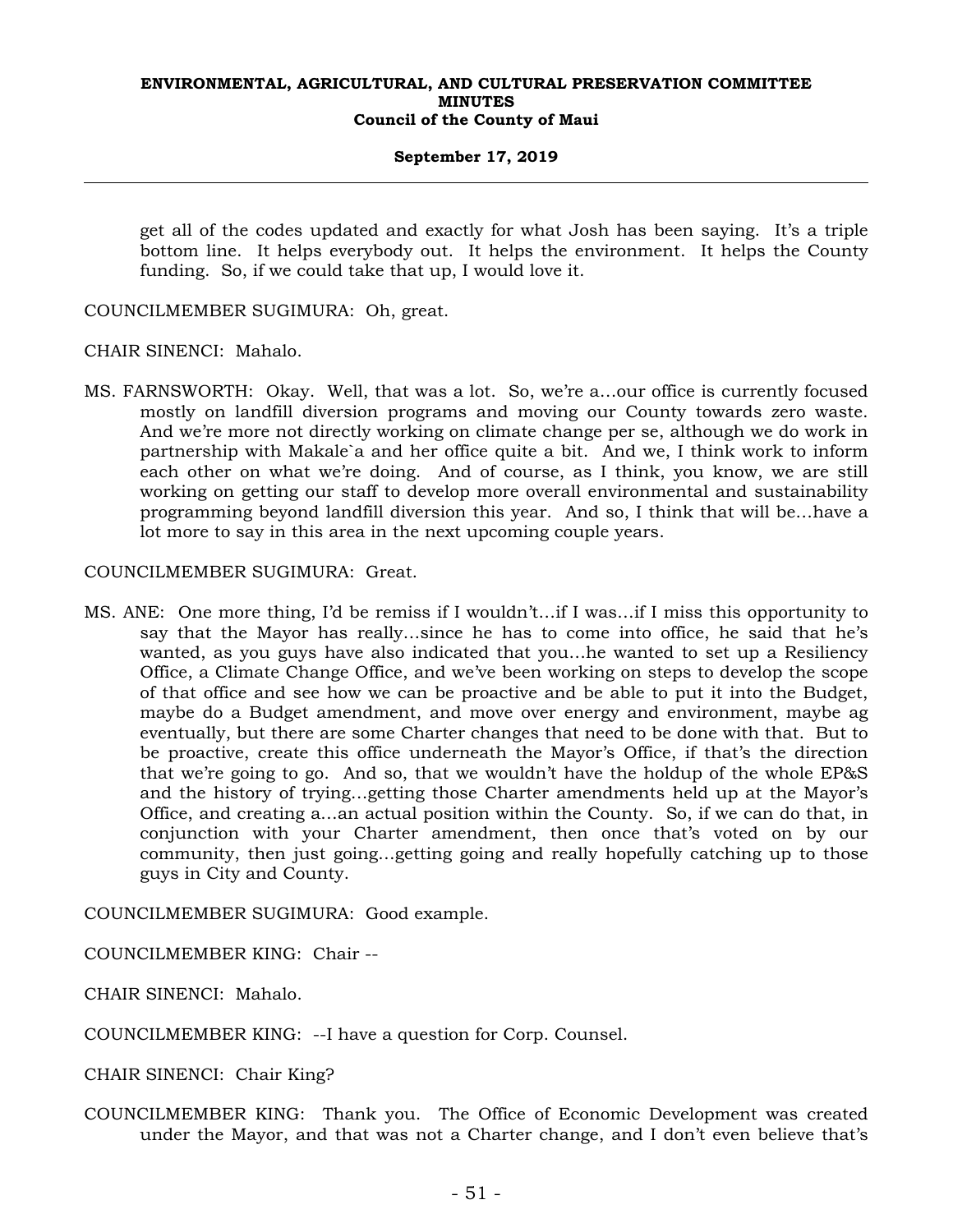## **September 17, 2019**

get all of the codes updated and exactly for what Josh has been saying. It's a triple bottom line. It helps everybody out. It helps the environment. It helps the County funding. So, if we could take that up, I would love it.

COUNCILMEMBER SUGIMURA: Oh, great.

CHAIR SINENCI: Mahalo.

MS. FARNSWORTH: Okay. Well, that was a lot. So, we're a…our office is currently focused mostly on landfill diversion programs and moving our County towards zero waste. And we're more not directly working on climate change per se, although we do work in partnership with Makale`a and her office quite a bit. And we, I think work to inform each other on what we're doing. And of course, as I think, you know, we are still working on getting our staff to develop more overall environmental and sustainability programming beyond landfill diversion this year. And so, I think that will be…have a lot more to say in this area in the next upcoming couple years.

## COUNCILMEMBER SUGIMURA: Great.

MS. ANE: One more thing, I'd be remiss if I wouldn't…if I was…if I miss this opportunity to say that the Mayor has really…since he has to come into office, he said that he's wanted, as you guys have also indicated that you…he wanted to set up a Resiliency Office, a Climate Change Office, and we've been working on steps to develop the scope of that office and see how we can be proactive and be able to put it into the Budget, maybe do a Budget amendment, and move over energy and environment, maybe ag eventually, but there are some Charter changes that need to be done with that. But to be proactive, create this office underneath the Mayor's Office, if that's the direction that we're going to go. And so, that we wouldn't have the holdup of the whole EP&S and the history of trying…getting those Charter amendments held up at the Mayor's Office, and creating a…an actual position within the County. So, if we can do that, in conjunction with your Charter amendment, then once that's voted on by our community, then just going…getting going and really hopefully catching up to those guys in City and County.

COUNCILMEMBER SUGIMURA: Good example.

COUNCILMEMBER KING: Chair --

CHAIR SINENCI: Mahalo.

COUNCILMEMBER KING: --I have a question for Corp. Counsel.

CHAIR SINENCI: Chair King?

COUNCILMEMBER KING: Thank you. The Office of Economic Development was created under the Mayor, and that was not a Charter change, and I don't even believe that's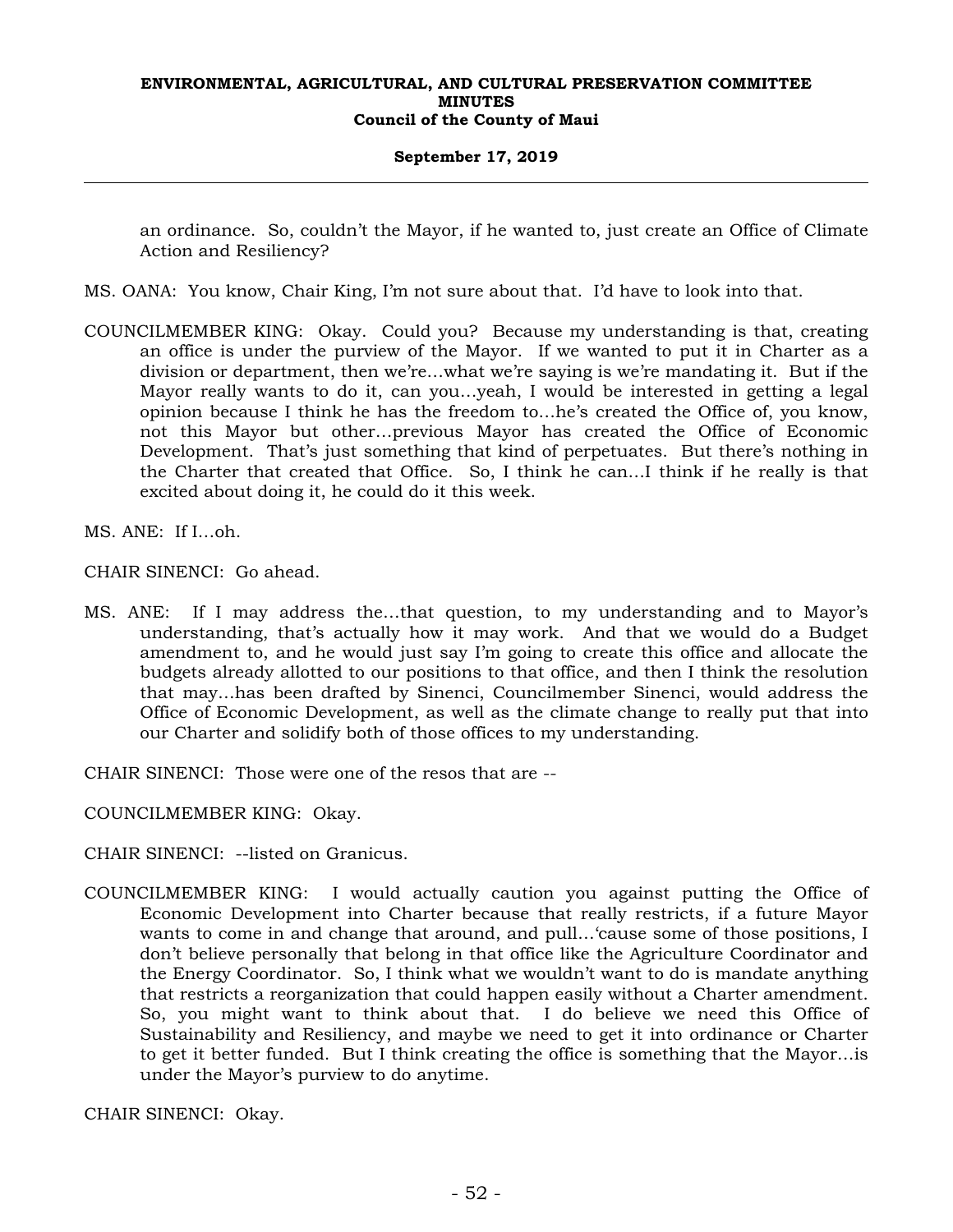## **September 17, 2019**

an ordinance. So, couldn't the Mayor, if he wanted to, just create an Office of Climate Action and Resiliency?

- MS. OANA: You know, Chair King, I'm not sure about that. I'd have to look into that.
- COUNCILMEMBER KING: Okay. Could you? Because my understanding is that, creating an office is under the purview of the Mayor. If we wanted to put it in Charter as a division or department, then we're…what we're saying is we're mandating it. But if the Mayor really wants to do it, can you…yeah, I would be interested in getting a legal opinion because I think he has the freedom to…he's created the Office of, you know, not this Mayor but other…previous Mayor has created the Office of Economic Development. That's just something that kind of perpetuates. But there's nothing in the Charter that created that Office. So, I think he can…I think if he really is that excited about doing it, he could do it this week.
- MS. ANE: If I…oh.

CHAIR SINENCI: Go ahead.

MS. ANE: If I may address the…that question, to my understanding and to Mayor's understanding, that's actually how it may work. And that we would do a Budget amendment to, and he would just say I'm going to create this office and allocate the budgets already allotted to our positions to that office, and then I think the resolution that may…has been drafted by Sinenci, Councilmember Sinenci, would address the Office of Economic Development, as well as the climate change to really put that into our Charter and solidify both of those offices to my understanding.

CHAIR SINENCI: Those were one of the resos that are --

COUNCILMEMBER KING: Okay.

CHAIR SINENCI: --listed on Granicus.

COUNCILMEMBER KING: I would actually caution you against putting the Office of Economic Development into Charter because that really restricts, if a future Mayor wants to come in and change that around, and pull…'cause some of those positions, I don't believe personally that belong in that office like the Agriculture Coordinator and the Energy Coordinator. So, I think what we wouldn't want to do is mandate anything that restricts a reorganization that could happen easily without a Charter amendment. So, you might want to think about that. I do believe we need this Office of Sustainability and Resiliency, and maybe we need to get it into ordinance or Charter to get it better funded. But I think creating the office is something that the Mayor…is under the Mayor's purview to do anytime.

CHAIR SINENCI: Okay.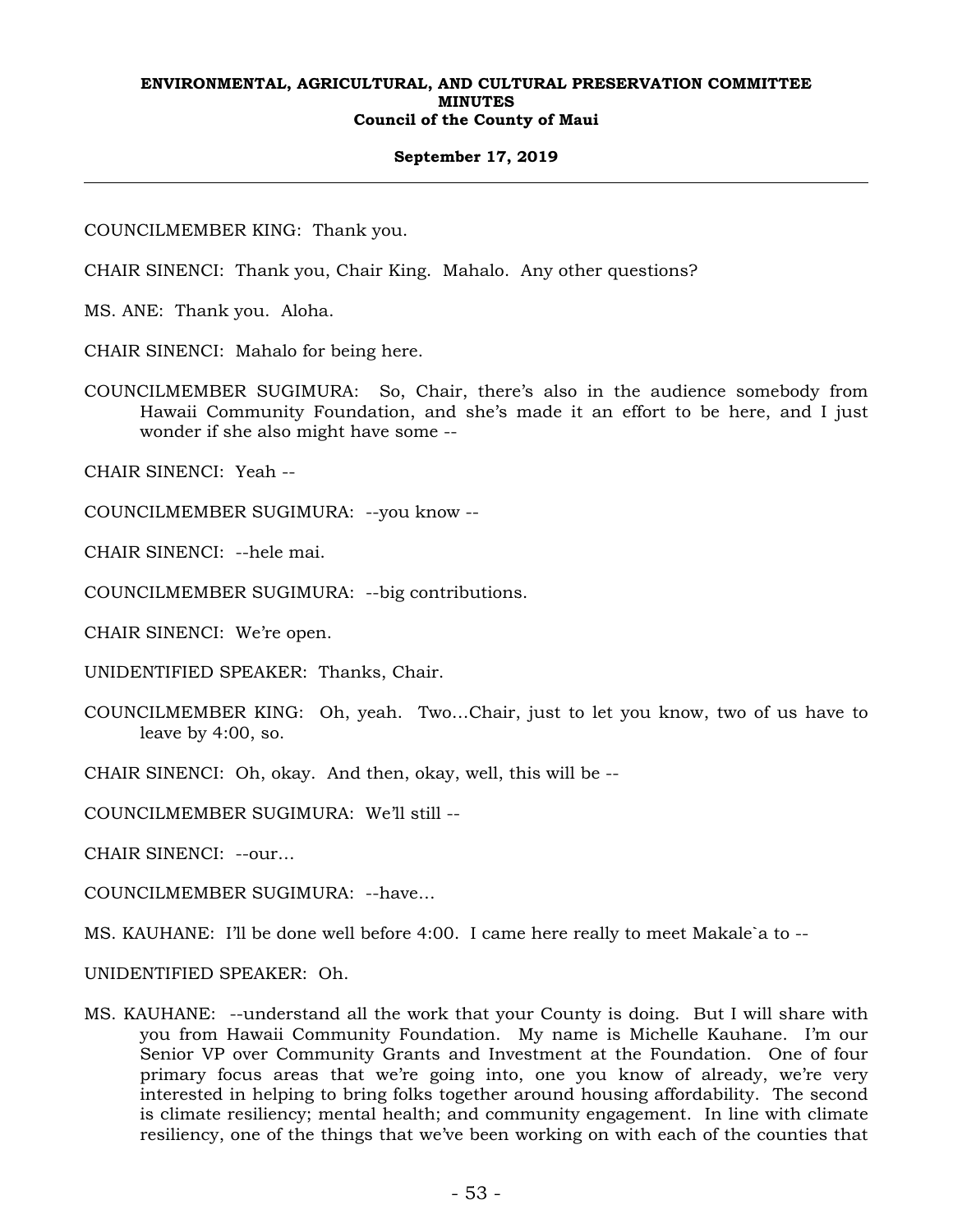## **September 17, 2019**

COUNCILMEMBER KING: Thank you.

CHAIR SINENCI: Thank you, Chair King. Mahalo. Any other questions?

MS. ANE: Thank you. Aloha.

CHAIR SINENCI: Mahalo for being here.

COUNCILMEMBER SUGIMURA: So, Chair, there's also in the audience somebody from Hawaii Community Foundation, and she's made it an effort to be here, and I just wonder if she also might have some --

CHAIR SINENCI: Yeah --

COUNCILMEMBER SUGIMURA: --you know --

CHAIR SINENCI: --hele mai.

COUNCILMEMBER SUGIMURA: --big contributions.

CHAIR SINENCI: We're open.

UNIDENTIFIED SPEAKER: Thanks, Chair.

- COUNCILMEMBER KING: Oh, yeah. Two…Chair, just to let you know, two of us have to leave by 4:00, so.
- CHAIR SINENCI: Oh, okay. And then, okay, well, this will be --

COUNCILMEMBER SUGIMURA: We'll still --

CHAIR SINENCI: --our…

COUNCILMEMBER SUGIMURA: --have…

MS. KAUHANE: I'll be done well before 4:00. I came here really to meet Makale`a to --

UNIDENTIFIED SPEAKER: Oh.

MS. KAUHANE: --understand all the work that your County is doing. But I will share with you from Hawaii Community Foundation. My name is Michelle Kauhane. I'm our Senior VP over Community Grants and Investment at the Foundation. One of four primary focus areas that we're going into, one you know of already, we're very interested in helping to bring folks together around housing affordability. The second is climate resiliency; mental health; and community engagement. In line with climate resiliency, one of the things that we've been working on with each of the counties that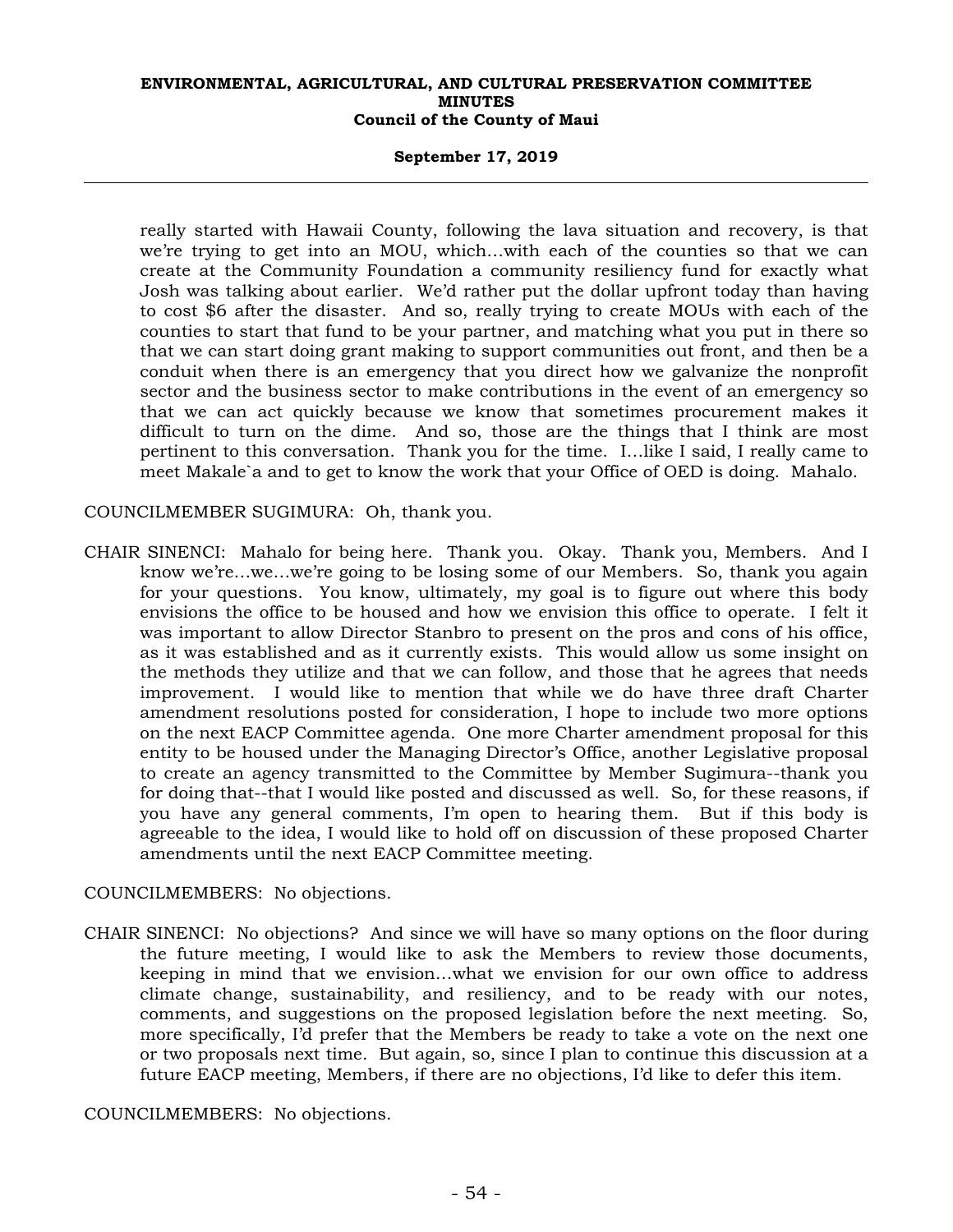## **September 17, 2019**

really started with Hawaii County, following the lava situation and recovery, is that we're trying to get into an MOU, which…with each of the counties so that we can create at the Community Foundation a community resiliency fund for exactly what Josh was talking about earlier. We'd rather put the dollar upfront today than having to cost \$6 after the disaster. And so, really trying to create MOUs with each of the counties to start that fund to be your partner, and matching what you put in there so that we can start doing grant making to support communities out front, and then be a conduit when there is an emergency that you direct how we galvanize the nonprofit sector and the business sector to make contributions in the event of an emergency so that we can act quickly because we know that sometimes procurement makes it difficult to turn on the dime. And so, those are the things that I think are most pertinent to this conversation. Thank you for the time. I…like I said, I really came to meet Makale`a and to get to know the work that your Office of OED is doing. Mahalo.

## COUNCILMEMBER SUGIMURA: Oh, thank you.

CHAIR SINENCI: Mahalo for being here. Thank you. Okay. Thank you, Members. And I know we're…we…we're going to be losing some of our Members. So, thank you again for your questions. You know, ultimately, my goal is to figure out where this body envisions the office to be housed and how we envision this office to operate. I felt it was important to allow Director Stanbro to present on the pros and cons of his office, as it was established and as it currently exists. This would allow us some insight on the methods they utilize and that we can follow, and those that he agrees that needs improvement. I would like to mention that while we do have three draft Charter amendment resolutions posted for consideration, I hope to include two more options on the next EACP Committee agenda. One more Charter amendment proposal for this entity to be housed under the Managing Director's Office, another Legislative proposal to create an agency transmitted to the Committee by Member Sugimura--thank you for doing that--that I would like posted and discussed as well. So, for these reasons, if you have any general comments, I'm open to hearing them. But if this body is agreeable to the idea, I would like to hold off on discussion of these proposed Charter amendments until the next EACP Committee meeting.

## COUNCILMEMBERS: No objections.

CHAIR SINENCI: No objections? And since we will have so many options on the floor during the future meeting, I would like to ask the Members to review those documents, keeping in mind that we envision…what we envision for our own office to address climate change, sustainability, and resiliency, and to be ready with our notes, comments, and suggestions on the proposed legislation before the next meeting. So, more specifically, I'd prefer that the Members be ready to take a vote on the next one or two proposals next time. But again, so, since I plan to continue this discussion at a future EACP meeting, Members, if there are no objections, I'd like to defer this item.

COUNCILMEMBERS: No objections.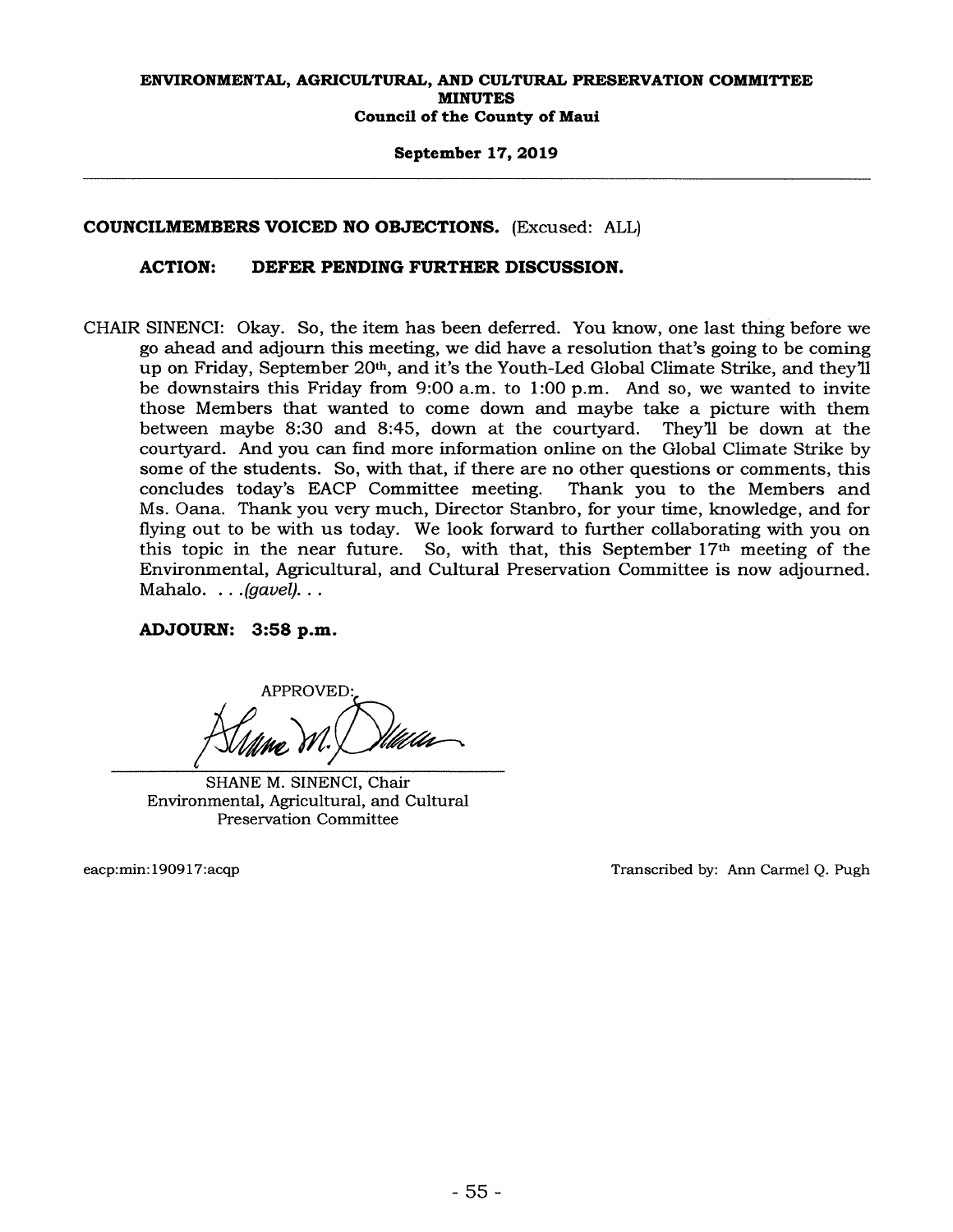## September 17, 2019

## COUNCILMEMBERS VOICED NO OBJECTIONS. (Excused: ALL)

## ACTION: DEFER PENDING FURTHER DISCUSSION.

CHAIR SINENCI: Okay. So, the item has been deferred. You know, one last thing before we go ahead and adjourn this meeting, we did have a resolution that's going to be coming up on Friday, September 20<sup>th</sup>, and it's the Youth-Led Global Climate Strike, and they'll be downstairs this Friday from 9:00 a.m. to 1:00 p.m. And so, we wanted to invite those Members that wanted to come down and maybe take a picture with them<br>between maybe 8:30 and 8:45, down at the courtyard. They'll be down at the between maybe 8:30 and 8:45, down at the courtyard. courtyard. And you can find more information online on the Global Climate Strike by some of the students. So, with that, if there are no other questions or comments, this concludes today's EACP Committee meeting. Thank you to the Members and Ms. Oana. Thank you very much, Director Stanbro, for your time, knowledge, and for flying out to be with us today. We look forward to further collaborating with you on this topic in the near future. So, with that, this September  $17<sup>th</sup>$  meeting of the Environmental, Agricultural, and Cultural Preservation Committee is now adjourned. Mahalo.  $\ldots$  (gavel).  $\ldots$ 

## ADJOURN: 3:58 p.m.

APPROVED:

SHANE M. SINENCI, Chair Environmental, Agricultural, and Cultural Preservation Committee

eacp:min: 190917: acqp Transcribed by: Ann Carmel Q. Pugh